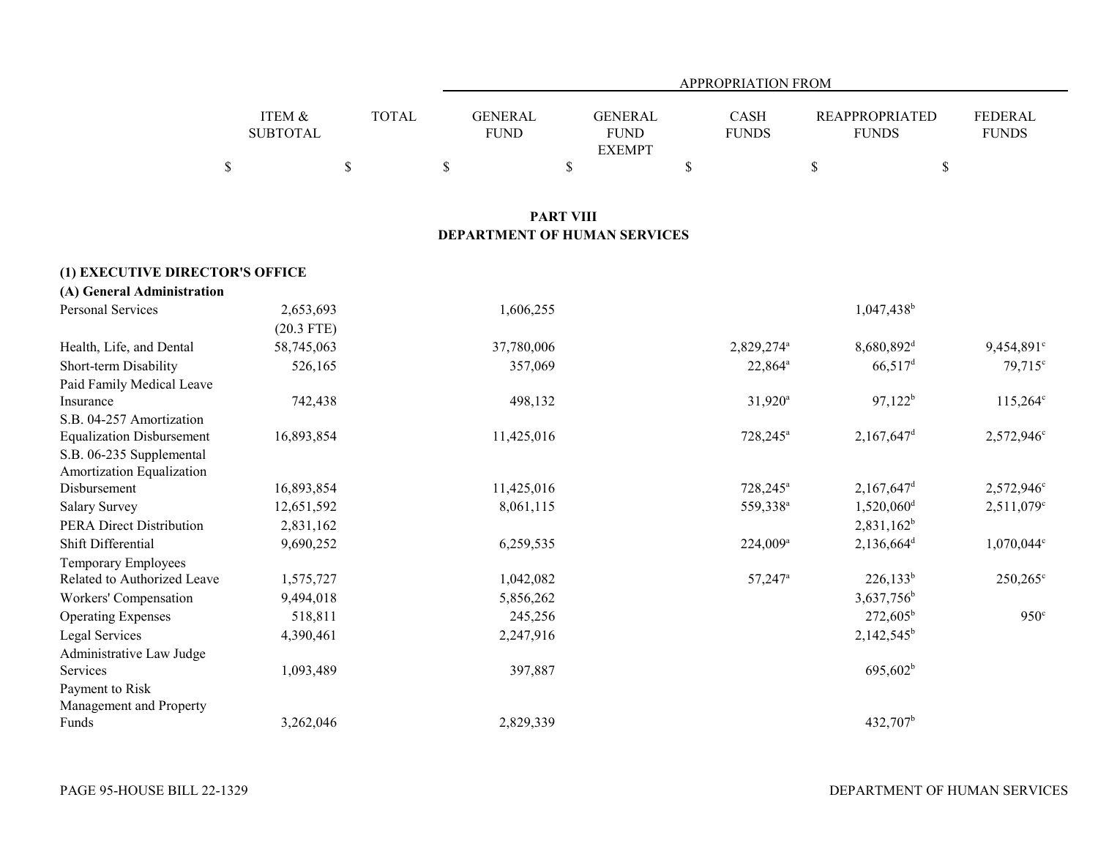|                                  |                                |              | APPROPRIATION FROM                  |                                                |                             |                                       |                                |  |  |
|----------------------------------|--------------------------------|--------------|-------------------------------------|------------------------------------------------|-----------------------------|---------------------------------------|--------------------------------|--|--|
|                                  | ITEM &<br><b>SUBTOTAL</b>      | <b>TOTAL</b> | <b>GENERAL</b><br><b>FUND</b>       | <b>GENERAL</b><br><b>FUND</b><br><b>EXEMPT</b> | <b>CASH</b><br><b>FUNDS</b> | <b>REAPPROPRIATED</b><br><b>FUNDS</b> | <b>FEDERAL</b><br><b>FUNDS</b> |  |  |
|                                  | $\mathcal{S}$<br>$\mathcal{S}$ |              | \$                                  | \$                                             | $\mathbb{S}$                | $\mathbb S$                           | $\$$                           |  |  |
|                                  |                                |              |                                     | <b>PART VIII</b>                               |                             |                                       |                                |  |  |
|                                  |                                |              | <b>DEPARTMENT OF HUMAN SERVICES</b> |                                                |                             |                                       |                                |  |  |
| (1) EXECUTIVE DIRECTOR'S OFFICE  |                                |              |                                     |                                                |                             |                                       |                                |  |  |
| (A) General Administration       |                                |              |                                     |                                                |                             |                                       |                                |  |  |
| <b>Personal Services</b>         | 2,653,693                      |              | 1,606,255                           |                                                |                             | 1,047,438 <sup>b</sup>                |                                |  |  |
|                                  | $(20.3$ FTE)                   |              |                                     |                                                |                             |                                       |                                |  |  |
| Health, Life, and Dental         | 58,745,063                     |              | 37,780,006                          |                                                | 2,829,274 <sup>a</sup>      | 8,680,892 <sup>d</sup>                | 9,454,891°                     |  |  |
| Short-term Disability            | 526,165                        |              | 357,069                             |                                                | $22,864^a$                  | $66,517$ <sup>d</sup>                 | 79,715 <sup>c</sup>            |  |  |
| Paid Family Medical Leave        |                                |              |                                     |                                                |                             |                                       |                                |  |  |
| Insurance                        | 742,438                        |              | 498,132                             |                                                | $31,920^a$                  | $97,122^b$                            | $115,264^{\circ}$              |  |  |
| S.B. 04-257 Amortization         |                                |              |                                     |                                                |                             |                                       |                                |  |  |
| <b>Equalization Disbursement</b> | 16,893,854                     |              | 11,425,016                          |                                                | 728,245 <sup>a</sup>        | $2,167,647$ <sup>d</sup>              | 2,572,946 <sup>c</sup>         |  |  |
| S.B. 06-235 Supplemental         |                                |              |                                     |                                                |                             |                                       |                                |  |  |
| Amortization Equalization        |                                |              |                                     |                                                |                             |                                       |                                |  |  |
| Disbursement                     | 16,893,854                     |              | 11,425,016                          |                                                | 728,245 <sup>a</sup>        | $2,167,647$ <sup>d</sup>              | 2,572,946 <sup>c</sup>         |  |  |
| <b>Salary Survey</b>             | 12,651,592                     |              | 8,061,115                           |                                                | 559,338 <sup>a</sup>        | $1,520,060$ <sup>d</sup>              | $2,511,079$ <sup>c</sup>       |  |  |
| <b>PERA Direct Distribution</b>  | 2,831,162                      |              |                                     |                                                |                             | $2,831,162^b$                         |                                |  |  |
| Shift Differential               | 9,690,252                      |              | 6,259,535                           |                                                | $224,009^a$                 | $2,136,664^d$                         | 1,070,044 <sup>c</sup>         |  |  |
| <b>Temporary Employees</b>       |                                |              |                                     |                                                |                             |                                       |                                |  |  |
| Related to Authorized Leave      | 1,575,727                      |              | 1,042,082                           |                                                | $57,247$ <sup>a</sup>       | $226,133^b$                           | $250,265^{\circ}$              |  |  |
| Workers' Compensation            | 9,494,018                      |              | 5,856,262                           |                                                |                             | 3,637,756 <sup>b</sup>                |                                |  |  |
| <b>Operating Expenses</b>        | 518,811                        |              | 245,256                             |                                                |                             | $272,605^{\rm b}$                     | $950^\circ$                    |  |  |
| Legal Services                   | 4,390,461                      |              | 2,247,916                           |                                                |                             | $2,142,545^b$                         |                                |  |  |
| Administrative Law Judge         |                                |              |                                     |                                                |                             |                                       |                                |  |  |
| Services                         | 1,093,489                      |              | 397,887                             |                                                |                             | $695,602^b$                           |                                |  |  |
| Payment to Risk                  |                                |              |                                     |                                                |                             |                                       |                                |  |  |
| Management and Property          |                                |              |                                     |                                                |                             |                                       |                                |  |  |
| Funds                            | 3,262,046                      |              | 2,829,339                           |                                                |                             | 432,707 <sup>b</sup>                  |                                |  |  |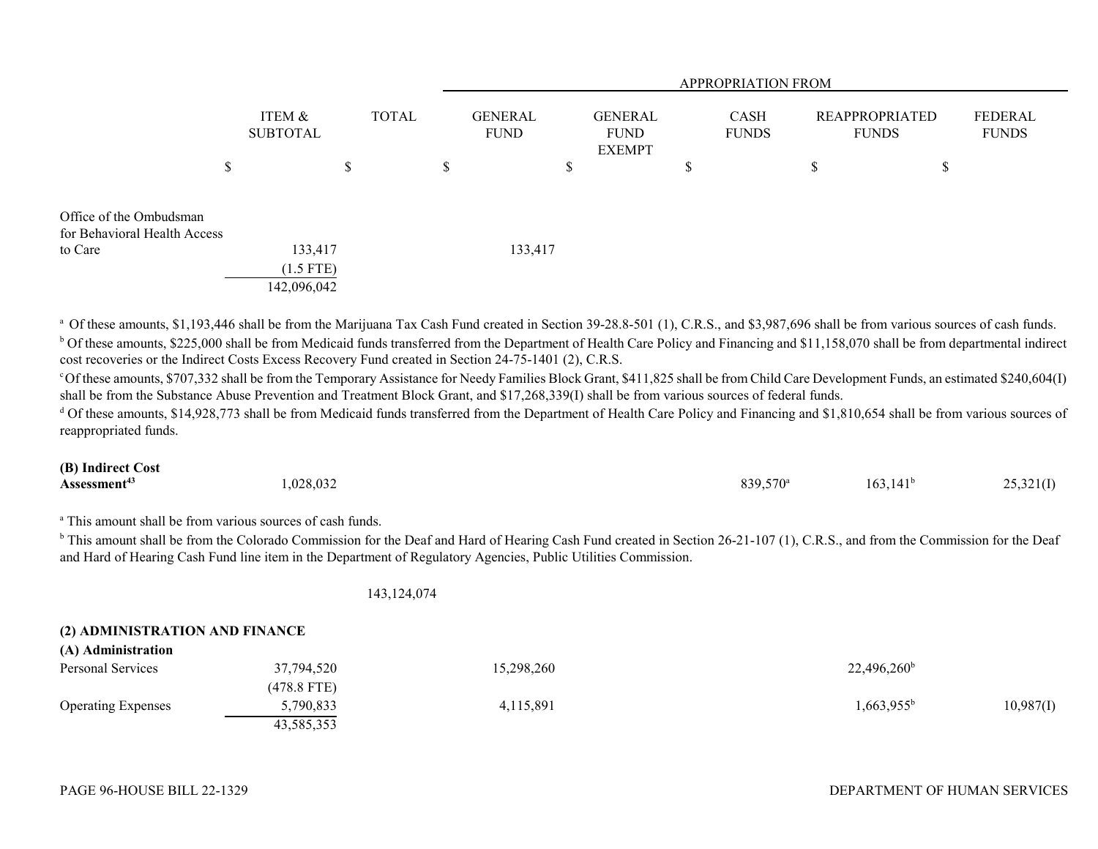|                                                         |                                       |                  | <b>APPROPRIATION FROM</b>     |                                         |                             |                                                                  |  |  |
|---------------------------------------------------------|---------------------------------------|------------------|-------------------------------|-----------------------------------------|-----------------------------|------------------------------------------------------------------|--|--|
|                                                         | ITEM &<br><b>SUBTOTAL</b>             | <b>TOTAL</b>     | <b>GENERAL</b><br><b>FUND</b> | <b>GENERAL</b><br><b>FUND</b><br>EXEMPT | <b>CASH</b><br><b>FUNDS</b> | FEDERAL<br><b>REAPPROPRIATED</b><br><b>FUNDS</b><br><b>FUNDS</b> |  |  |
|                                                         | S                                     | $\triangle$<br>D | \$<br>\$                      | \$                                      | ۰D                          | ጦ<br>P                                                           |  |  |
| Office of the Ombudsman<br>for Behavioral Health Access |                                       |                  |                               |                                         |                             |                                                                  |  |  |
| to Care                                                 | 133,417<br>$(1.5$ FTE)<br>142,096,042 |                  | 133,417                       |                                         |                             |                                                                  |  |  |

<sup>a</sup> Of these amounts, \$1,193,446 shall be from the Marijuana Tax Cash Fund created in Section 39-28.8-501 (1), C.R.S., and \$3,987,696 shall be from various sources of cash funds. <sup>b</sup> Of these amounts, \$225,000 shall be from Medicaid funds transferred from the Department of Health Care Policy and Financing and \$11,158,070 shall be from departmental indirect cost recoveries or the Indirect Costs Excess Recovery Fund created in Section 24-75-1401 (2), C.R.S.

c Of these amounts, \$707,332 shall be from the Temporary Assistance for Needy Families Block Grant, \$411,825 shall be from Child Care Development Funds, an estimated \$240,604(I) shall be from the Substance Abuse Prevention and Treatment Block Grant, and \$17,268,339(I) shall be from various sources of federal funds.

 $^{\text{d}}$  Of these amounts, \$14,928,773 shall be from Medicaid funds transferred from the Department of Health Care Policy and Financing and \$1,810,654 shall be from various sources of reappropriated funds.

### **(B) Indirect Cost Assessment<sup>43</sup> 1,028,032** 1,028,032 839,570<sup>a</sup> 163,141<sup>b</sup> 25,321(I)

<sup>a</sup> This amount shall be from various sources of cash funds.

<sup>b</sup> This amount shall be from the Colorado Commission for the Deaf and Hard of Hearing Cash Fund created in Section 26-21-107 (1), C.R.S., and from the Commission for the Deaf and Hard of Hearing Cash Fund line item in the Department of Regulatory Agencies, Public Utilities Commission.

143,124,074

# **(2) ADMINISTRATION AND FINANCE**

| $(11)$ requirement attivity |               |            |                                  |  |
|-----------------------------|---------------|------------|----------------------------------|--|
| Personal Services           | 37,794,520    | 15,298,260 | $22,496,260^{\rm b}$             |  |
|                             | $(478.8$ FTE) |            |                                  |  |
| <b>Operating Expenses</b>   | 3,790,833     | 4,115,891  | $1,663.955^{\circ}$<br>10,987(1) |  |
|                             | 43.585.353    |            |                                  |  |

**(A) Administration**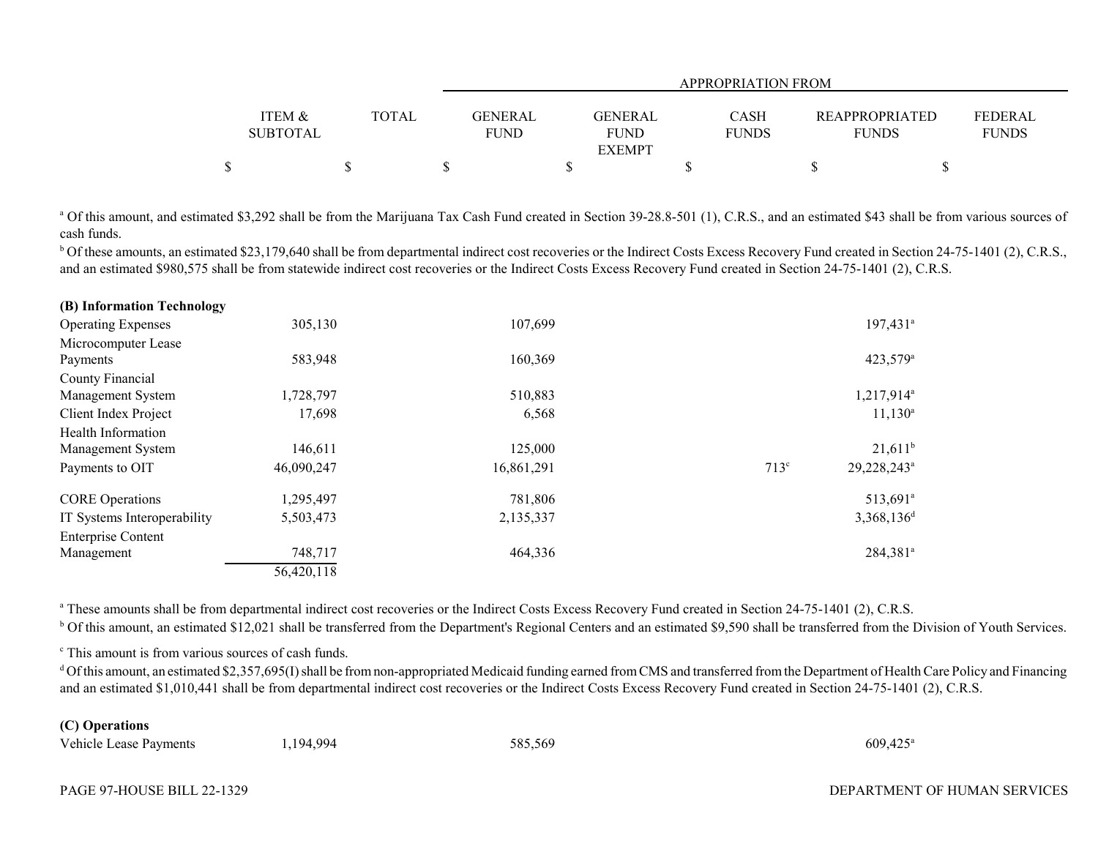|                   |              |             | APPROPRIATION FROM |                |              |                       |                |  |  |
|-------------------|--------------|-------------|--------------------|----------------|--------------|-----------------------|----------------|--|--|
|                   |              |             |                    |                |              |                       |                |  |  |
| <b>ITEM &amp;</b> | <b>TOTAL</b> | GENERAL     |                    | <b>GENERAL</b> | <b>CASH</b>  | <b>REAPPROPRIATED</b> | <b>FEDERAL</b> |  |  |
| <b>SUBTOTAL</b>   |              | <b>FUND</b> |                    | FUND           | <b>FUNDS</b> | <b>FUNDS</b>          | <b>FUNDS</b>   |  |  |
|                   |              |             |                    | <b>EXEMPT</b>  |              |                       |                |  |  |
|                   |              |             |                    |                |              |                       |                |  |  |

<sup>a</sup> Of this amount, and estimated \$3,292 shall be from the Marijuana Tax Cash Fund created in Section 39-28.8-501 (1), C.R.S., and an estimated \$43 shall be from various sources of cash funds.

<sup>b</sup> Of these amounts, an estimated \$23,179,640 shall be from departmental indirect cost recoveries or the Indirect Costs Excess Recovery Fund created in Section 24-75-1401 (2), C.R.S., and an estimated \$980,575 shall be from statewide indirect cost recoveries or the Indirect Costs Excess Recovery Fund created in Section 24-75-1401 (2), C.R.S.

| (B) Information Technology  |            |            |                                             |
|-----------------------------|------------|------------|---------------------------------------------|
| <b>Operating Expenses</b>   | 305,130    | 107,699    | $197,431$ <sup>a</sup>                      |
| Microcomputer Lease         |            |            |                                             |
| Payments                    | 583,948    | 160,369    | 423,579 <sup>a</sup>                        |
| County Financial            |            |            |                                             |
| Management System           | 1,728,797  | 510,883    | 1,217,914 <sup>a</sup>                      |
| Client Index Project        | 17,698     | 6,568      | $11,130^a$                                  |
| Health Information          |            |            |                                             |
| Management System           | 146,611    | 125,000    | $21,611^b$                                  |
| Payments to OIT             | 46,090,247 | 16,861,291 | 713 <sup>c</sup><br>29,228,243 <sup>a</sup> |
| <b>CORE</b> Operations      | 1,295,497  | 781,806    | 513,691 <sup>a</sup>                        |
| IT Systems Interoperability | 5,503,473  | 2,135,337  | $3,368,136^d$                               |
| <b>Enterprise Content</b>   |            |            |                                             |
| Management                  | 748,717    | 464,336    | 284,381 <sup>a</sup>                        |
|                             | 56,420,118 |            |                                             |

<sup>a</sup> These amounts shall be from departmental indirect cost recoveries or the Indirect Costs Excess Recovery Fund created in Section 24-75-1401 (2), C.R.S.

<sup>b</sup> Of this amount, an estimated \$12,021 shall be transferred from the Department's Regional Centers and an estimated \$9,590 shall be transferred from the Division of Youth Services.

<sup>c</sup> This amount is from various sources of cash funds.

<sup>d</sup> Of this amount, an estimated \$2,357,695(I) shall be from non-appropriated Medicaid funding earned from CMS and transferred from the Department of Health Care Policy and Financing and an estimated \$1,010,441 shall be from departmental indirect cost recoveries or the Indirect Costs Excess Recovery Fund created in Section 24-75-1401 (2), C.R.S.

# **(C) Operations**

| Vehicle Lease Payments | .194,994 | 585,569 | $609,425^\circ$ |
|------------------------|----------|---------|-----------------|
|------------------------|----------|---------|-----------------|

DEPARTMENT OF HUMAN SERVICES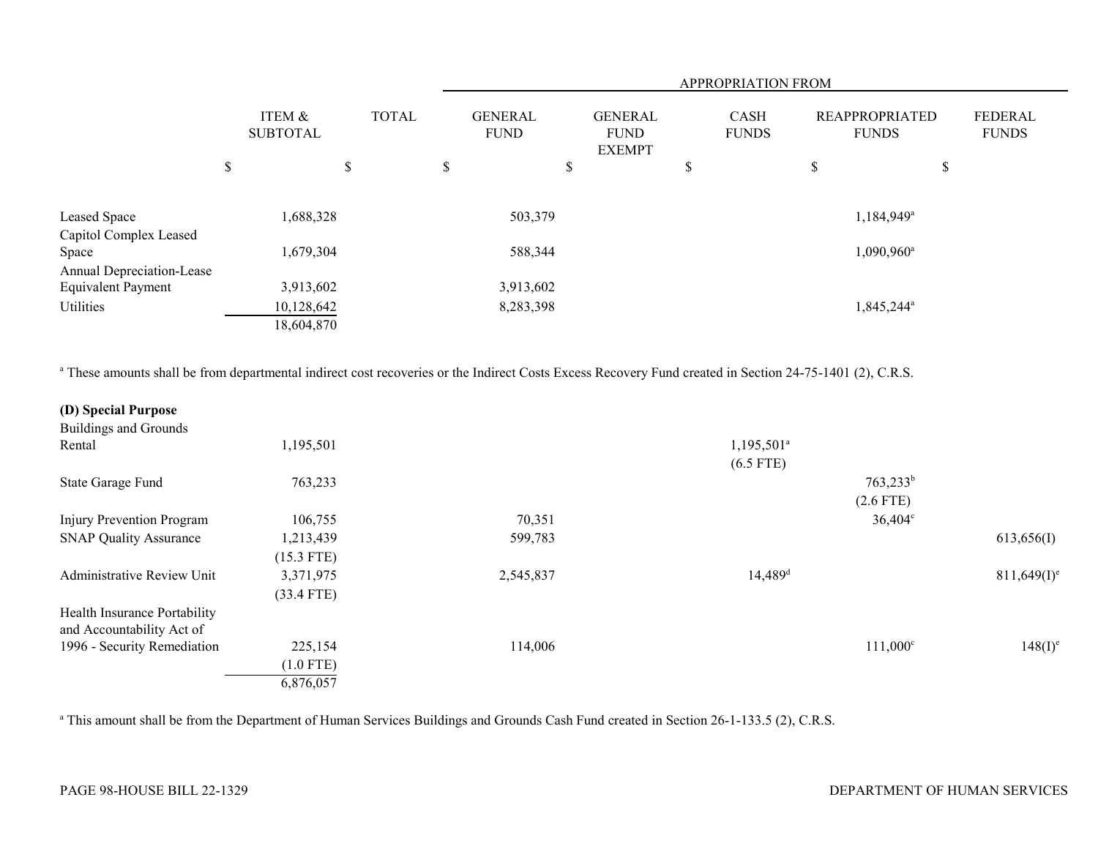|                                                        |                           |              |                           |                               |                                                | <b>APPROPRIATION FROM</b>   |                                       |                                |  |
|--------------------------------------------------------|---------------------------|--------------|---------------------------|-------------------------------|------------------------------------------------|-----------------------------|---------------------------------------|--------------------------------|--|
|                                                        | ITEM &<br><b>SUBTOTAL</b> | <b>TOTAL</b> |                           | <b>GENERAL</b><br><b>FUND</b> | <b>GENERAL</b><br><b>FUND</b><br><b>EXEMPT</b> | <b>CASH</b><br><b>FUNDS</b> | <b>REAPPROPRIATED</b><br><b>FUNDS</b> | <b>FEDERAL</b><br><b>FUNDS</b> |  |
|                                                        | \$                        | \$           | $\boldsymbol{\mathsf{S}}$ |                               | \$                                             | \$                          | \$<br>\$                              |                                |  |
| Leased Space                                           | 1,688,328                 |              |                           | 503,379                       |                                                |                             | 1,184,949 <sup>a</sup>                |                                |  |
| Capitol Complex Leased<br>Space                        | 1,679,304                 |              |                           | 588,344                       |                                                |                             | $1,090,960^{\rm a}$                   |                                |  |
| Annual Depreciation-Lease<br><b>Equivalent Payment</b> | 3,913,602                 |              |                           | 3,913,602                     |                                                |                             |                                       |                                |  |
| Utilities                                              | 10,128,642                |              |                           | 8,283,398                     |                                                |                             | 1,845,244 <sup>a</sup>                |                                |  |
|                                                        | 18,604,870                |              |                           |                               |                                                |                             |                                       |                                |  |

<sup>a</sup> These amounts shall be from departmental indirect cost recoveries or the Indirect Costs Excess Recovery Fund created in Section 24-75-1401 (2), C.R.S.

| (D) Special Purpose           |              |           |                       |                   |                |
|-------------------------------|--------------|-----------|-----------------------|-------------------|----------------|
| <b>Buildings and Grounds</b>  |              |           |                       |                   |                |
| Rental                        | 1,195,501    |           | $1,195,501^a$         |                   |                |
|                               |              |           | $(6.5$ FTE)           |                   |                |
| State Garage Fund             | 763,233      |           |                       | $763,233^b$       |                |
|                               |              |           |                       | $(2.6$ FTE)       |                |
| Injury Prevention Program     | 106,755      | 70,351    |                       | $36,404^{\circ}$  |                |
| <b>SNAP Quality Assurance</b> | 1,213,439    | 599,783   |                       |                   | 613,656(I)     |
|                               | $(15.3$ FTE) |           |                       |                   |                |
| Administrative Review Unit    | 3,371,975    | 2,545,837 | $14,489$ <sup>d</sup> |                   | $811,649(I)^e$ |
|                               | $(33.4$ FTE) |           |                       |                   |                |
| Health Insurance Portability  |              |           |                       |                   |                |
| and Accountability Act of     |              |           |                       |                   |                |
| 1996 - Security Remediation   | 225,154      | 114,006   |                       | $111,000^{\circ}$ | $148(I)^{e}$   |
|                               | $(1.0$ FTE)  |           |                       |                   |                |
|                               | 6,876,057    |           |                       |                   |                |

<sup>a</sup> This amount shall be from the Department of Human Services Buildings and Grounds Cash Fund created in Section 26-1-133.5 (2), C.R.S.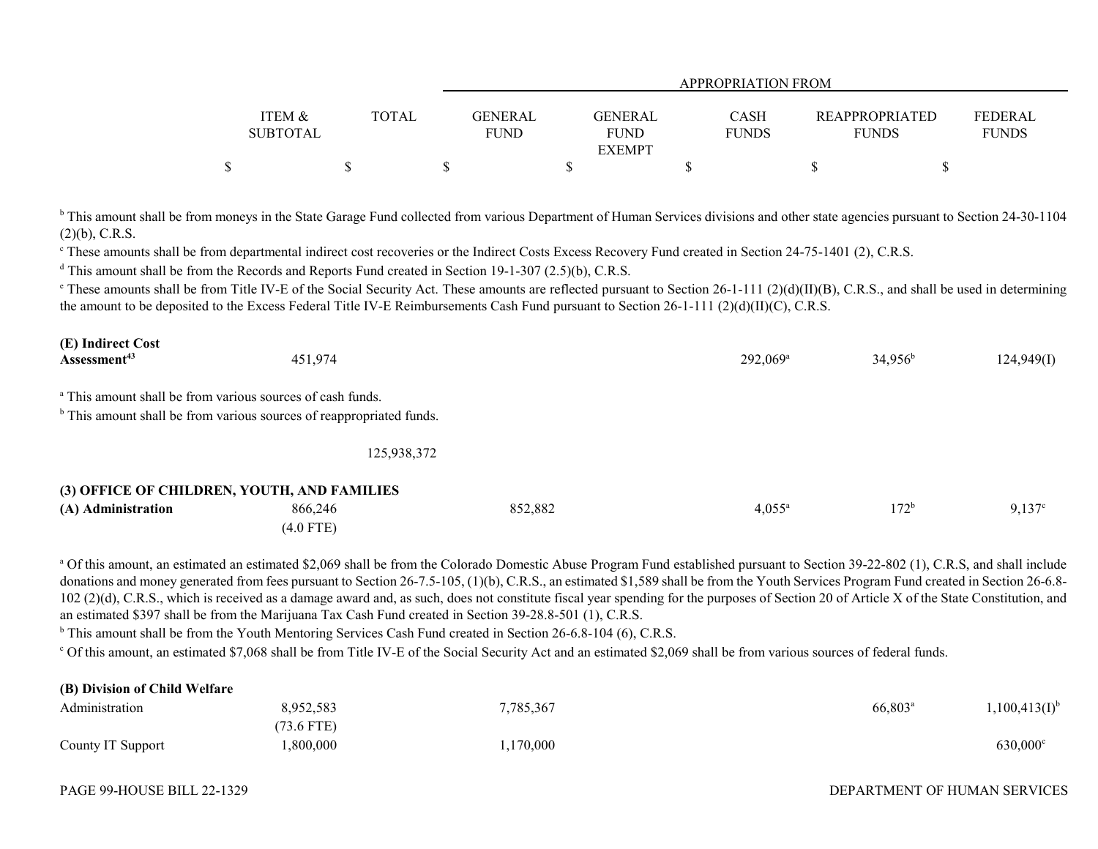|                   |              | <b>APPROPRIATION FROM</b> |                |              |                       |                |  |  |
|-------------------|--------------|---------------------------|----------------|--------------|-----------------------|----------------|--|--|
| <b>ITEM &amp;</b> | <b>TOTAL</b> | GENERAL                   | <b>GENERAL</b> | <b>CASH</b>  | <b>REAPPROPRIATED</b> | <b>FEDERAL</b> |  |  |
| <b>SUBTOTAL</b>   |              | <b>FUND</b>               | <b>FUND</b>    | <b>FUNDS</b> | <b>FUNDS</b>          | <b>FUNDS</b>   |  |  |
|                   |              |                           | <b>EXEMPT</b>  |              |                       |                |  |  |
|                   |              |                           |                |              |                       |                |  |  |

<sup>b</sup> This amount shall be from moneys in the State Garage Fund collected from various Department of Human Services divisions and other state agencies pursuant to Section 24-30-1104 (2)(b), C.R.S.

<sup>e</sup> These amounts shall be from departmental indirect cost recoveries or the Indirect Costs Excess Recovery Fund created in Section 24-75-1401 (2), C.R.S.

 $d$  This amount shall be from the Records and Reports Fund created in Section 19-1-307 (2.5)(b), C.R.S.

 $\degree$  These amounts shall be from Title IV-E of the Social Security Act. These amounts are reflected pursuant to Section 26-1-111 (2)(d)(II)(B), C.R.S., and shall be used in determining the amount to be deposited to the Excess Federal Title IV-E Reimbursements Cash Fund pursuant to Section 26-1-111 (2)(d)(II)(C), C.R.S.

| (E) Indirect Cost        |         |                      |                  |            |
|--------------------------|---------|----------------------|------------------|------------|
| Assessment <sup>43</sup> | 451,974 | 292,069 <sup>a</sup> | $34,956^{\rm b}$ | 124,949(I) |
|                          |         |                      |                  |            |

<sup>a</sup> This amount shall be from various sources of cash funds.

 $<sup>b</sup>$  This amount shall be from various sources of reappropriated funds.</sup>

125,938,372

#### **(3) OFFICE OF CHILDREN, YOUTH, AND FAMILIES**

| .<br>(A) Administration | 866,246   | 852,882 | $4,055^{\circ}$ | 170 <sub>b</sub><br>1/2 | $Q_{1}$ $27^{\circ}$<br>ر ۱. |
|-------------------------|-----------|---------|-----------------|-------------------------|------------------------------|
|                         | (4.0 FTE) |         |                 |                         |                              |

<sup>a</sup> Of this amount, an estimated an estimated \$2,069 shall be from the Colorado Domestic Abuse Program Fund established pursuant to Section 39-22-802 (1), C.R.S, and shall include donations and money generated from fees pursuant to Section 26-7.5-105, (1)(b), C.R.S., an estimated \$1,589 shall be from the Youth Services Program Fund created in Section 26-6.8-102 (2)(d), C.R.S., which is received as a damage award and, as such, does not constitute fiscal year spending for the purposes of Section 20 of Article X of the State Constitution, and an estimated \$397 shall be from the Marijuana Tax Cash Fund created in Section 39-28.8-501 (1), C.R.S.

<sup>b</sup> This amount shall be from the Youth Mentoring Services Cash Fund created in Section 26-6.8-104 (6), C.R.S.

c Of this amount, an estimated \$7,068 shall be from Title IV-E of the Social Security Act and an estimated \$2,069 shall be from various sources of federal funds.

| (B) Division of Child Welfare |           |           |                                  |  |
|-------------------------------|-----------|-----------|----------------------------------|--|
| Administration                | 8,952,583 | 7,785,367 | $66,803^a$<br>$1,100,413(I)^{6}$ |  |
|                               | 73.6 FTE) |           |                                  |  |
| County IT Support             | 0.800,000 | ,170,000  | 630,000 <sup>c</sup>             |  |

#### DEPARTMENT OF HUMAN SERVICES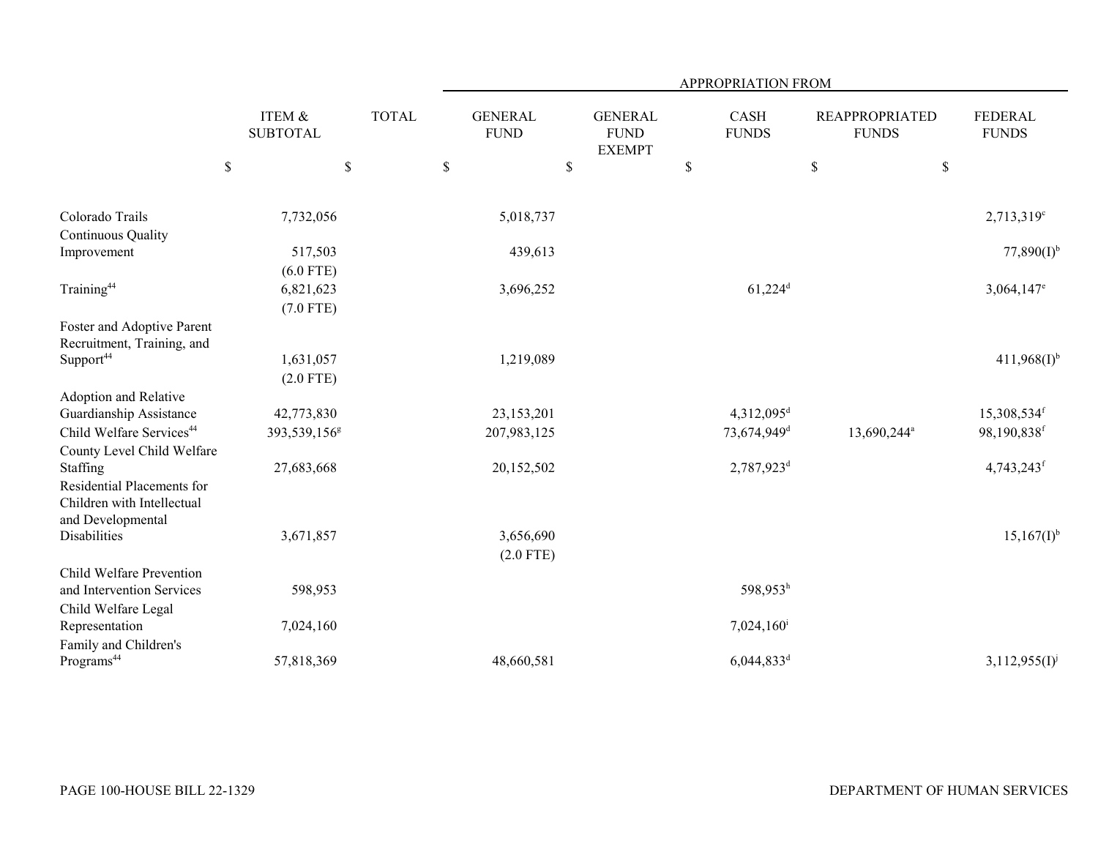|                                      |                                      |              |                               |                                                | APPROPRIATION FROM       |                                       |                                |
|--------------------------------------|--------------------------------------|--------------|-------------------------------|------------------------------------------------|--------------------------|---------------------------------------|--------------------------------|
|                                      | <b>ITEM &amp;</b><br><b>SUBTOTAL</b> | <b>TOTAL</b> | <b>GENERAL</b><br><b>FUND</b> | <b>GENERAL</b><br><b>FUND</b><br><b>EXEMPT</b> | CASH<br><b>FUNDS</b>     | <b>REAPPROPRIATED</b><br><b>FUNDS</b> | <b>FEDERAL</b><br><b>FUNDS</b> |
|                                      | $\mathbb{S}$<br>$\$$                 |              | $\mathbb{S}$                  | \$                                             | $\$$                     | $\$$<br>$\$$                          |                                |
| Colorado Trails                      | 7,732,056                            |              | 5,018,737                     |                                                |                          |                                       | $2,713,319^{\circ}$            |
| Continuous Quality                   |                                      |              |                               |                                                |                          |                                       |                                |
| Improvement                          | 517,503                              |              | 439,613                       |                                                |                          |                                       | $77,890(I)^{b}$                |
|                                      | $(6.0$ FTE)                          |              |                               |                                                |                          |                                       |                                |
| Training <sup>44</sup>               | 6,821,623                            |              | 3,696,252                     |                                                | $61,224$ <sup>d</sup>    |                                       | $3,064,147$ <sup>e</sup>       |
|                                      | $(7.0$ FTE)                          |              |                               |                                                |                          |                                       |                                |
| Foster and Adoptive Parent           |                                      |              |                               |                                                |                          |                                       |                                |
| Recruitment, Training, and           |                                      |              |                               |                                                |                          |                                       |                                |
| Support <sup>44</sup>                | 1,631,057                            |              | 1,219,089                     |                                                |                          |                                       | $411,968(I)^{b}$               |
|                                      | $(2.0$ FTE)                          |              |                               |                                                |                          |                                       |                                |
| Adoption and Relative                |                                      |              |                               |                                                |                          |                                       |                                |
| Guardianship Assistance              | 42,773,830                           |              | 23,153,201                    |                                                | $4,312,095$ <sup>d</sup> |                                       | $15,308,534$ <sup>f</sup>      |
| Child Welfare Services <sup>44</sup> | 393,539,156 <sup>g</sup>             |              | 207,983,125                   |                                                | 73,674,949 <sup>d</sup>  | 13,690,244 <sup>a</sup>               | 98,190,838f                    |
| County Level Child Welfare           |                                      |              |                               |                                                |                          |                                       |                                |
| Staffing                             | 27,683,668                           |              | 20,152,502                    |                                                | 2,787,923 <sup>d</sup>   |                                       | 4,743,243f                     |
| Residential Placements for           |                                      |              |                               |                                                |                          |                                       |                                |
| Children with Intellectual           |                                      |              |                               |                                                |                          |                                       |                                |
| and Developmental                    |                                      |              |                               |                                                |                          |                                       |                                |
| <b>Disabilities</b>                  | 3,671,857                            |              | 3,656,690                     |                                                |                          |                                       | $15,167(I)^{b}$                |
|                                      |                                      |              | $(2.0$ FTE)                   |                                                |                          |                                       |                                |
| Child Welfare Prevention             |                                      |              |                               |                                                |                          |                                       |                                |
| and Intervention Services            | 598,953                              |              |                               |                                                | 598,953h                 |                                       |                                |
| Child Welfare Legal                  |                                      |              |                               |                                                |                          |                                       |                                |
| Representation                       | 7,024,160                            |              |                               |                                                | $7,024,160$ <sup>i</sup> |                                       |                                |
| Family and Children's                |                                      |              |                               |                                                |                          |                                       |                                |
| Programs <sup>44</sup>               | 57,818,369                           |              | 48,660,581                    |                                                | $6,044,833$ <sup>d</sup> |                                       | $3,112,955(I)^{j}$             |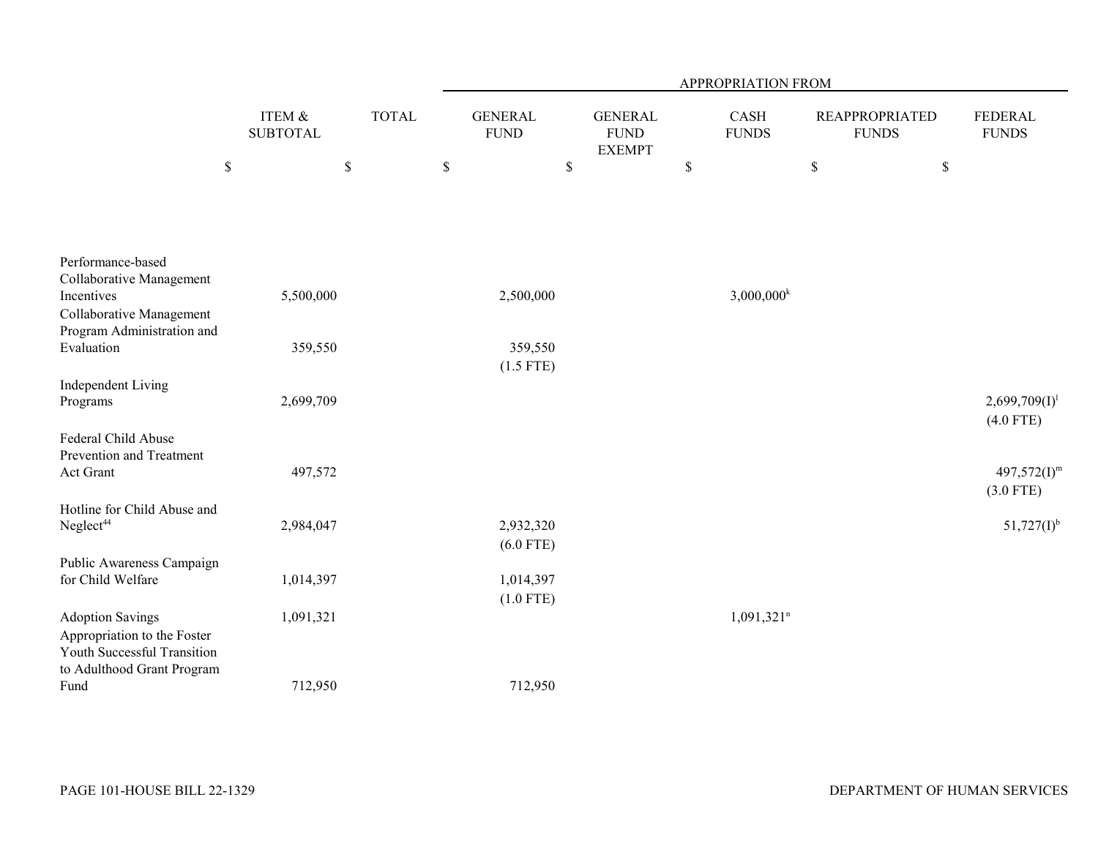|                                        |                                      |              |             |                               |                                                | APPROPRIATION FROM       |                                       |                                 |
|----------------------------------------|--------------------------------------|--------------|-------------|-------------------------------|------------------------------------------------|--------------------------|---------------------------------------|---------------------------------|
|                                        | <b>ITEM &amp;</b><br><b>SUBTOTAL</b> | <b>TOTAL</b> |             | <b>GENERAL</b><br><b>FUND</b> | <b>GENERAL</b><br><b>FUND</b><br><b>EXEMPT</b> | CASH<br><b>FUNDS</b>     | <b>REAPPROPRIATED</b><br><b>FUNDS</b> | <b>FEDERAL</b><br><b>FUNDS</b>  |
| $\$$                                   |                                      | \$           | $\mathbb S$ |                               | $\$$                                           | \$                       | $\mathbb S$                           | \$                              |
|                                        |                                      |              |             |                               |                                                |                          |                                       |                                 |
| Performance-based                      |                                      |              |             |                               |                                                |                          |                                       |                                 |
| Collaborative Management<br>Incentives |                                      |              |             |                               |                                                | $3,000,000^k$            |                                       |                                 |
| Collaborative Management               | 5,500,000                            |              |             | 2,500,000                     |                                                |                          |                                       |                                 |
| Program Administration and             |                                      |              |             |                               |                                                |                          |                                       |                                 |
| Evaluation                             | 359,550                              |              |             | 359,550                       |                                                |                          |                                       |                                 |
|                                        |                                      |              |             | $(1.5$ FTE)                   |                                                |                          |                                       |                                 |
| <b>Independent Living</b><br>Programs  | 2,699,709                            |              |             |                               |                                                |                          |                                       | $2,699,709(1)^1$<br>$(4.0$ FTE) |
| Federal Child Abuse                    |                                      |              |             |                               |                                                |                          |                                       |                                 |
| Prevention and Treatment               |                                      |              |             |                               |                                                |                          |                                       |                                 |
| Act Grant                              | 497,572                              |              |             |                               |                                                |                          |                                       | $497,572(I)^m$<br>$(3.0$ FTE)   |
| Hotline for Child Abuse and            |                                      |              |             |                               |                                                |                          |                                       |                                 |
| Neglect <sup>44</sup>                  | 2,984,047                            |              |             | 2,932,320                     |                                                |                          |                                       | $51,727(I)^{b}$                 |
|                                        |                                      |              |             | $(6.0$ FTE)                   |                                                |                          |                                       |                                 |
| Public Awareness Campaign              |                                      |              |             |                               |                                                |                          |                                       |                                 |
| for Child Welfare                      | 1,014,397                            |              |             | 1,014,397<br>$(1.0$ FTE)      |                                                |                          |                                       |                                 |
| <b>Adoption Savings</b>                | 1,091,321                            |              |             |                               |                                                | $1,091,321$ <sup>n</sup> |                                       |                                 |
| Appropriation to the Foster            |                                      |              |             |                               |                                                |                          |                                       |                                 |
| Youth Successful Transition            |                                      |              |             |                               |                                                |                          |                                       |                                 |
| to Adulthood Grant Program<br>Fund     | 712,950                              |              |             | 712,950                       |                                                |                          |                                       |                                 |
|                                        |                                      |              |             |                               |                                                |                          |                                       |                                 |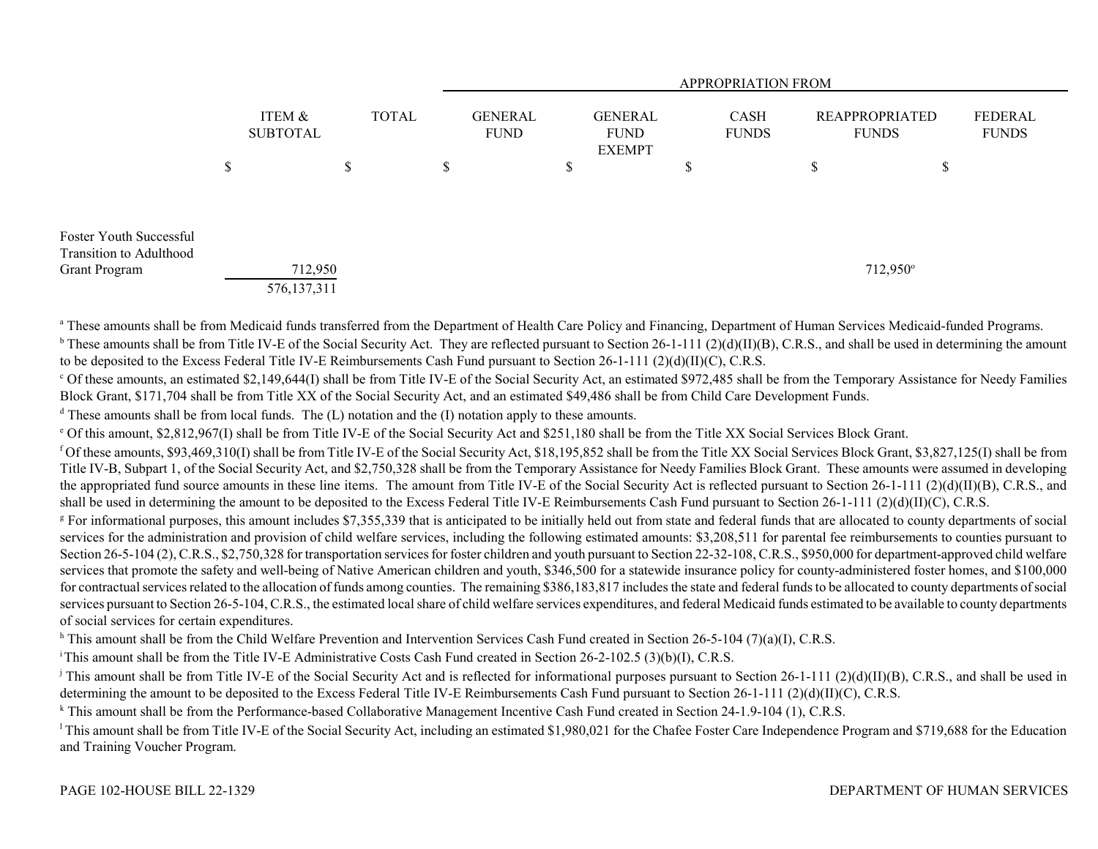|                                                    |                           |              |   |                               |   |                                         |         | <b>APPROPRIATION FROM</b>   |                                       |                         |
|----------------------------------------------------|---------------------------|--------------|---|-------------------------------|---|-----------------------------------------|---------|-----------------------------|---------------------------------------|-------------------------|
|                                                    | ITEM &<br><b>SUBTOTAL</b> | <b>TOTAL</b> |   | <b>GENERAL</b><br><b>FUND</b> |   | GENERAL<br><b>FUND</b><br><b>EXEMPT</b> |         | <b>CASH</b><br><b>FUNDS</b> | <b>REAPPROPRIATED</b><br><b>FUNDS</b> | FEDERAL<br><b>FUNDS</b> |
|                                                    | \$                        | \$           | S |                               | D |                                         | ሖ<br>۰D |                             | \$<br>Φ<br>D                          |                         |
|                                                    |                           |              |   |                               |   |                                         |         |                             |                                       |                         |
| Foster Youth Successful<br>Transition to Adulthood |                           |              |   |                               |   |                                         |         |                             |                                       |                         |
| <b>Grant Program</b>                               | 712,950                   |              |   |                               |   |                                         |         |                             | 712,950°                              |                         |
|                                                    | 576, 137, 311             |              |   |                               |   |                                         |         |                             |                                       |                         |

<sup>a</sup> These amounts shall be from Medicaid funds transferred from the Department of Health Care Policy and Financing, Department of Human Services Medicaid-funded Programs. <sup>b</sup> These amounts shall be from Title IV-E of the Social Security Act. They are reflected pursuant to Section 26-1-111 (2)(d)(II)(B), C.R.S., and shall be used in determining the amount to be deposited to the Excess Federal Title IV-E Reimbursements Cash Fund pursuant to Section 26-1-111 (2)(d)(II)(C), C.R.S.

c Of these amounts, an estimated \$2,149,644(I) shall be from Title IV-E of the Social Security Act, an estimated \$972,485 shall be from the Temporary Assistance for Needy Families Block Grant, \$171,704 shall be from Title XX of the Social Security Act, and an estimated \$49,486 shall be from Child Care Development Funds.

 $d$  These amounts shall be from local funds. The (L) notation and the (I) notation apply to these amounts.

e Of this amount, \$2,812,967(I) shall be from Title IV-E of the Social Security Act and \$251,180 shall be from the Title XX Social Services Block Grant.

<sup>f</sup> Of these amounts, \$93,469,310(I) shall be from Title IV-E of the Social Security Act, \$18,195,852 shall be from the Title XX Social Services Block Grant, \$3,827,125(I) shall be from Title IV-B, Subpart 1, of the Social Security Act, and \$2,750,328 shall be from the Temporary Assistance for Needy Families Block Grant. These amounts were assumed in developing the appropriated fund source amounts in these line items. The amount from Title IV-E of the Social Security Act is reflected pursuant to Section 26-1-111 (2)(d)(II)(B), C.R.S., and shall be used in determining the amount to be deposited to the Excess Federal Title IV-E Reimbursements Cash Fund pursuant to Section 26-1-111 (2)(d)(II)(C), C.R.S.

<sup>g</sup> For informational purposes, this amount includes \$7,355,339 that is anticipated to be initially held out from state and federal funds that are allocated to county departments of social services for the administration and provision of child welfare services, including the following estimated amounts: \$3,208,511 for parental fee reimbursements to counties pursuant to Section 26-5-104 (2), C.R.S., \$2,750,328 for transportation services for foster children and youth pursuant to Section 22-32-108, C.R.S., \$950,000 for department-approved child welfare services that promote the safety and well-being of Native American children and youth, \$346,500 for a statewide insurance policy for county-administered foster homes, and \$100,000 for contractual services related to the allocation of funds among counties. The remaining \$386,183,817 includes the state and federal funds to be allocated to county departments of social services pursuant to Section 26-5-104, C.R.S., the estimated local share of child welfare services expenditures, and federal Medicaid funds estimated to be available to county departments of social services for certain expenditures.

<sup>h</sup> This amount shall be from the Child Welfare Prevention and Intervention Services Cash Fund created in Section 26-5-104 (7)(a)(I), C.R.S.

i This amount shall be from the Title IV-E Administrative Costs Cash Fund created in Section 26-2-102.5 (3)(b)(I), C.R.S.

<sup>j</sup> This amount shall be from Title IV-E of the Social Security Act and is reflected for informational purposes pursuant to Section 26-1-111 (2)(d)(II)(B), C.R.S., and shall be used in determining the amount to be deposited to the Excess Federal Title IV-E Reimbursements Cash Fund pursuant to Section 26-1-111 (2)(d)(II)(C), C.R.S.

<sup>k</sup> This amount shall be from the Performance-based Collaborative Management Incentive Cash Fund created in Section 24-1.9-104 (1), C.R.S.

<sup>1</sup>This amount shall be from Title IV-E of the Social Security Act, including an estimated \$1,980,021 for the Chafee Foster Care Independence Program and \$719,688 for the Education and Training Voucher Program.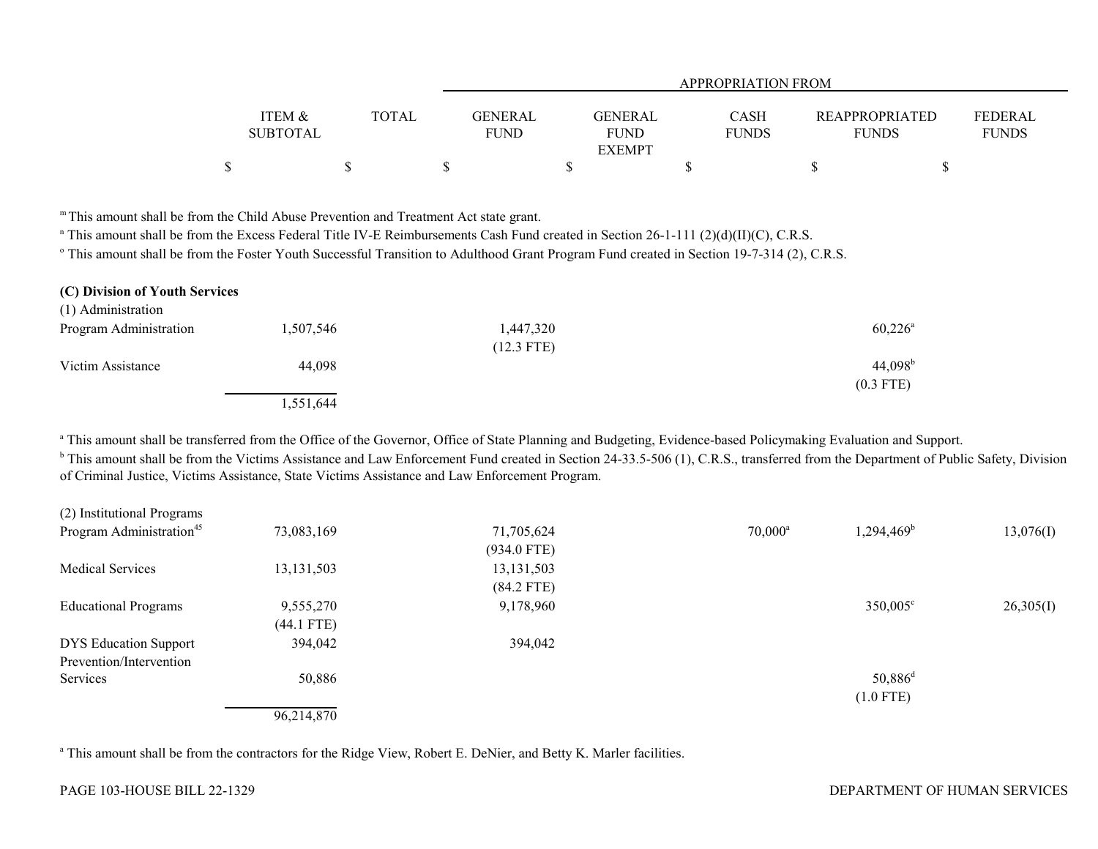|                                      |              |                        |                               | APPROPRIATION FROM   |                                       |                                |
|--------------------------------------|--------------|------------------------|-------------------------------|----------------------|---------------------------------------|--------------------------------|
| <b>ITEM &amp;</b><br><b>SUBTOTAL</b> | <b>TOTAL</b> | GENERAL<br><b>FUND</b> | <b>GENERAL</b><br><b>FUND</b> | CASH<br><b>FUNDS</b> | <b>REAPPROPRIATED</b><br><b>FUNDS</b> | <b>FEDERAL</b><br><b>FUNDS</b> |
|                                      |              |                        | <b>EXEMPT</b>                 |                      |                                       |                                |
|                                      |              |                        |                               |                      |                                       |                                |

m This amount shall be from the Child Abuse Prevention and Treatment Act state grant.

n This amount shall be from the Excess Federal Title IV-E Reimbursements Cash Fund created in Section 26-1-111 (2)(d)(II)(C), C.R.S.

<sup>o</sup> This amount shall be from the Foster Youth Successful Transition to Adulthood Grant Program Fund created in Section 19-7-314 (2), C.R.S.

| (C) Division of Youth Services |           |              |                       |
|--------------------------------|-----------|--------------|-----------------------|
| (1) Administration             |           |              |                       |
| Program Administration         | 1,507,546 | 1,447,320    | $60,226^{\circ}$      |
|                                |           | $(12.3$ FTE) |                       |
| Victim Assistance              | 44.098    |              | $44,098$ <sup>b</sup> |
|                                |           |              | $(0.3$ FTE)           |
|                                | 1,551,644 |              |                       |

<sup>a</sup> This amount shall be transferred from the Office of the Governor, Office of State Planning and Budgeting, Evidence-based Policymaking Evaluation and Support.

<sup>b</sup> This amount shall be from the Victims Assistance and Law Enforcement Fund created in Section 24-33.5-506 (1), C.R.S., transferred from the Department of Public Safety, Division of Criminal Justice, Victims Assistance, State Victims Assistance and Law Enforcement Program.

| (2) Institutional Programs           |              |               |                  |                        |           |
|--------------------------------------|--------------|---------------|------------------|------------------------|-----------|
| Program Administration <sup>45</sup> | 73,083,169   | 71,705,624    | $70,000^{\rm a}$ | 1,294,469 <sup>b</sup> | 13,076(I) |
|                                      |              | $(934.0$ FTE) |                  |                        |           |
| <b>Medical Services</b>              | 13, 131, 503 | 13, 131, 503  |                  |                        |           |
|                                      |              | $(84.2$ FTE)  |                  |                        |           |
| <b>Educational Programs</b>          | 9,555,270    | 9,178,960     |                  | 350,005°               | 26,305(I) |
|                                      | $(44.1$ FTE) |               |                  |                        |           |
| <b>DYS Education Support</b>         | 394,042      | 394,042       |                  |                        |           |
| Prevention/Intervention              |              |               |                  |                        |           |
| Services                             | 50,886       |               |                  | $50,886$ <sup>d</sup>  |           |
|                                      |              |               |                  | $(1.0$ FTE)            |           |
|                                      | 96,214,870   |               |                  |                        |           |

<sup>a</sup> This amount shall be from the contractors for the Ridge View, Robert E. DeNier, and Betty K. Marler facilities.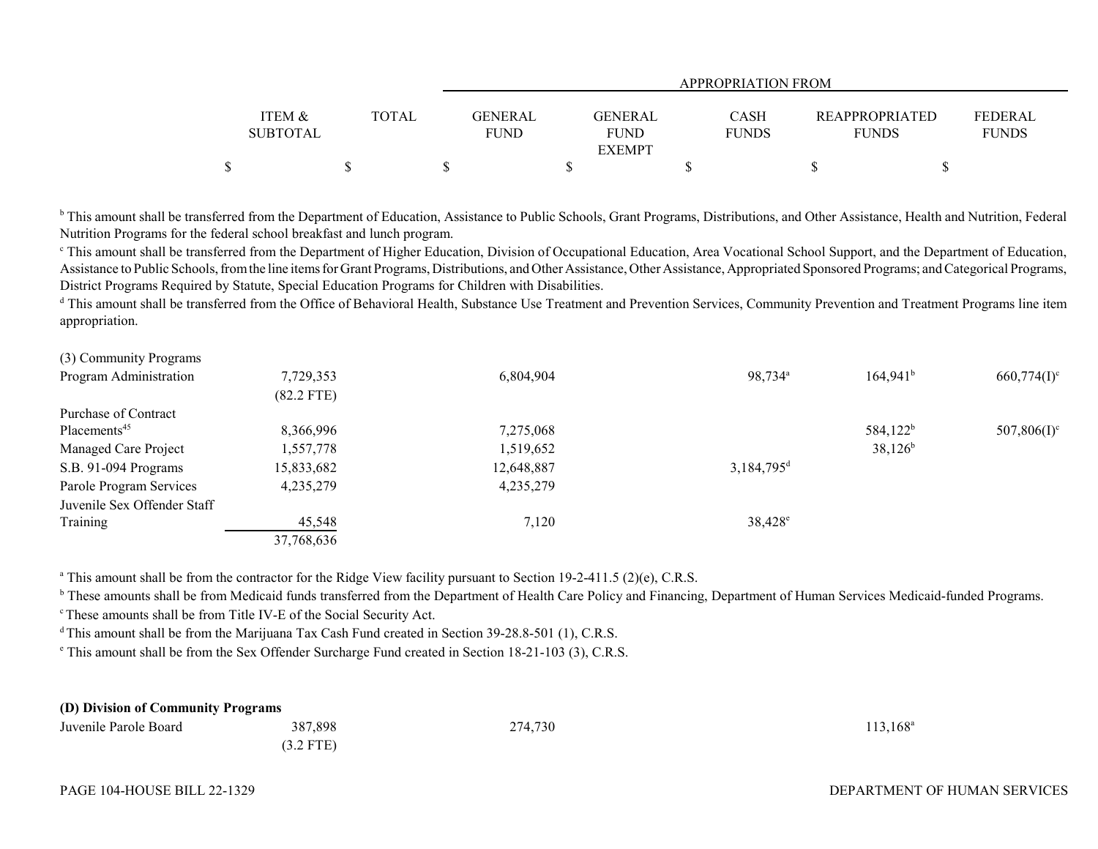|                   |              |                |                        | APPROPRIATION FROM          |                       |                                |
|-------------------|--------------|----------------|------------------------|-----------------------------|-----------------------|--------------------------------|
| <b>ITEM &amp;</b> | <b>TOTAL</b> | <b>GENERAL</b> |                        |                             | <b>REAPPROPRIATED</b> |                                |
| <b>SUBTOTAL</b>   |              | <b>FUND</b>    | GENERAL<br><b>FUND</b> | <b>CASH</b><br><b>FUNDS</b> | <b>FUNDS</b>          | <b>FEDERAL</b><br><b>FUNDS</b> |
|                   |              |                | <b>EXEMPT</b>          |                             |                       |                                |
| \$                |              |                |                        |                             |                       |                                |

<sup>b</sup> This amount shall be transferred from the Department of Education, Assistance to Public Schools, Grant Programs, Distributions, and Other Assistance, Health and Nutrition, Federal Nutrition Programs for the federal school breakfast and lunch program.

<sup>c</sup> This amount shall be transferred from the Department of Higher Education, Division of Occupational Education, Area Vocational School Support, and the Department of Education, Assistance to Public Schools, from the line items for Grant Programs, Distributions, and Other Assistance, Other Assistance, Appropriated Sponsored Programs; and Categorical Programs, District Programs Required by Statute, Special Education Programs for Children with Disabilities.

<sup>d</sup> This amount shall be transferred from the Office of Behavioral Health, Substance Use Treatment and Prevention Services, Community Prevention and Treatment Programs line item appropriation.

| (3) Community Programs      |              |            |                          |                      |                           |
|-----------------------------|--------------|------------|--------------------------|----------------------|---------------------------|
| Program Administration      | 7,729,353    | 6,804,904  | 98,734 <sup>a</sup>      | $164,941^b$          | $660,774(I)^c$            |
|                             | $(82.2$ FTE) |            |                          |                      |                           |
| Purchase of Contract        |              |            |                          |                      |                           |
| Placements <sup>45</sup>    | 8,366,996    | 7,275,068  |                          | 584,122 <sup>b</sup> | $507,806(1)$ <sup>c</sup> |
| Managed Care Project        | 1,557,778    | 1,519,652  |                          | $38,126^b$           |                           |
| S.B. 91-094 Programs        | 15,833,682   | 12,648,887 | $3,184,795$ <sup>d</sup> |                      |                           |
| Parole Program Services     | 4,235,279    | 4,235,279  |                          |                      |                           |
| Juvenile Sex Offender Staff |              |            |                          |                      |                           |
| Training                    | 45,548       | 7,120      | $38,428^{\circ}$         |                      |                           |
|                             | 37,768,636   |            |                          |                      |                           |

<sup>a</sup> This amount shall be from the contractor for the Ridge View facility pursuant to Section 19-2-411.5 (2)(e), C.R.S.

<sup>b</sup> These amounts shall be from Medicaid funds transferred from the Department of Health Care Policy and Financing, Department of Human Services Medicaid-funded Programs.

c These amounts shall be from Title IV-E of the Social Security Act.

<sup>d</sup> This amount shall be from the Marijuana Tax Cash Fund created in Section 39-28.8-501 (1), C.R.S.

e This amount shall be from the Sex Offender Surcharge Fund created in Section 18-21-103 (3), C.R.S.

| (D) Division of Community Programs |             |         |                   |
|------------------------------------|-------------|---------|-------------------|
| Juvenile Parole Board              | 387.898     | 274,730 | $113,168^{\circ}$ |
|                                    | $(3.2$ FTE) |         |                   |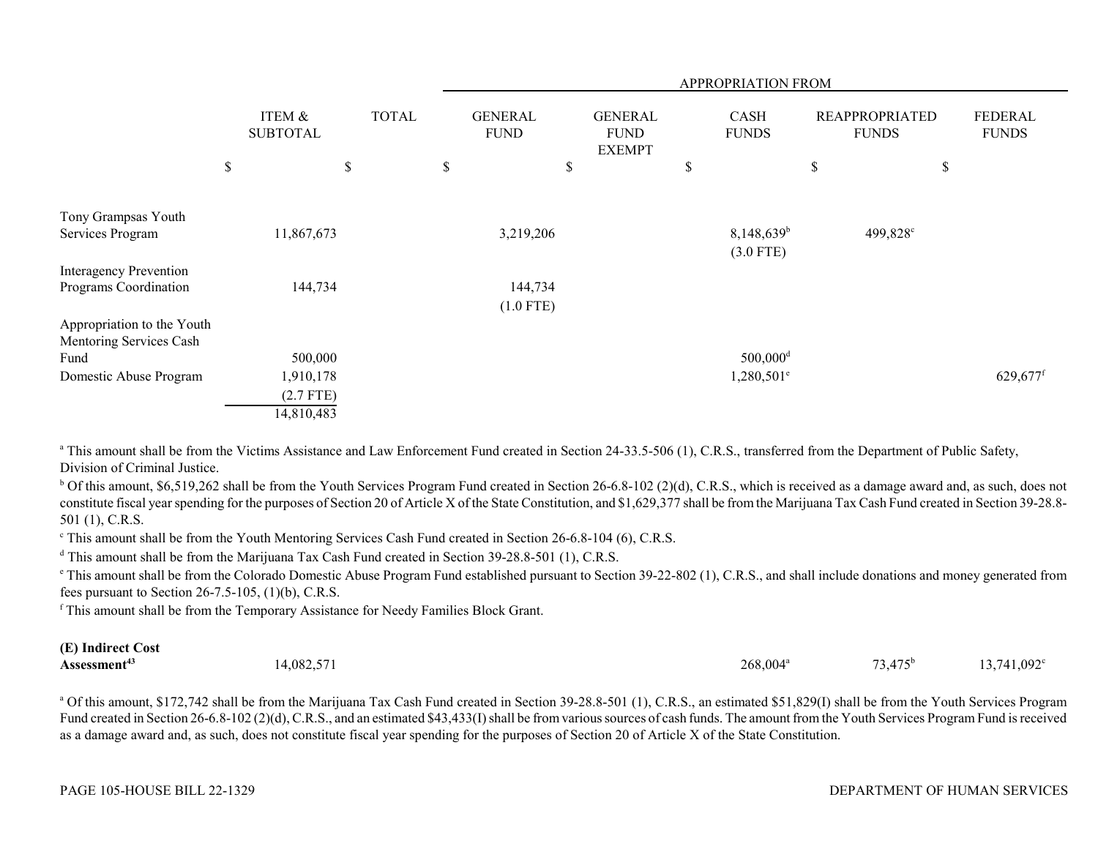|                                                       |                           |              |              |                               |                                                | APPROPRIATION FROM                      |                                       |                                |          |
|-------------------------------------------------------|---------------------------|--------------|--------------|-------------------------------|------------------------------------------------|-----------------------------------------|---------------------------------------|--------------------------------|----------|
|                                                       | ITEM &<br><b>SUBTOTAL</b> | <b>TOTAL</b> |              | <b>GENERAL</b><br><b>FUND</b> | <b>GENERAL</b><br><b>FUND</b><br><b>EXEMPT</b> | <b>CASH</b><br><b>FUNDS</b>             | <b>REAPPROPRIATED</b><br><b>FUNDS</b> | <b>FEDERAL</b><br><b>FUNDS</b> |          |
|                                                       | \$                        | \$           | $\mathbb{S}$ |                               | \$                                             | \$                                      | \$<br>\$                              |                                |          |
| Tony Grampsas Youth                                   |                           |              |              |                               |                                                |                                         |                                       |                                |          |
| Services Program                                      | 11,867,673                |              |              | 3,219,206                     |                                                | $8,148,639$ <sup>b</sup><br>$(3.0$ FTE) | 499,828°                              |                                |          |
| <b>Interagency Prevention</b>                         |                           |              |              |                               |                                                |                                         |                                       |                                |          |
| Programs Coordination                                 | 144,734                   |              |              | 144,734                       |                                                |                                         |                                       |                                |          |
|                                                       |                           |              |              | $(1.0$ FTE)                   |                                                |                                         |                                       |                                |          |
| Appropriation to the Youth<br>Mentoring Services Cash |                           |              |              |                               |                                                |                                         |                                       |                                |          |
| Fund                                                  | 500,000                   |              |              |                               |                                                | $500,000$ <sup>d</sup>                  |                                       |                                |          |
| Domestic Abuse Program                                | 1,910,178                 |              |              |                               |                                                | $1,280,501$ <sup>e</sup>                |                                       |                                | 629,677f |
|                                                       | $(2.7$ FTE)               |              |              |                               |                                                |                                         |                                       |                                |          |
|                                                       | 14,810,483                |              |              |                               |                                                |                                         |                                       |                                |          |

<sup>a</sup> This amount shall be from the Victims Assistance and Law Enforcement Fund created in Section 24-33.5-506 (1), C.R.S., transferred from the Department of Public Safety, Division of Criminal Justice.

 $b$  Of this amount, \$6,519,262 shall be from the Youth Services Program Fund created in Section 26-6.8-102 (2)(d), C.R.S., which is received as a damage award and, as such, does not constitute fiscal year spending for the purposes of Section 20 of Article X of the State Constitution, and \$1,629,377 shall be from the Marijuana Tax Cash Fund created in Section 39-28.8- 501 (1), C.R.S.

<sup>c</sup> This amount shall be from the Youth Mentoring Services Cash Fund created in Section 26-6.8-104 (6), C.R.S.

<sup>d</sup> This amount shall be from the Marijuana Tax Cash Fund created in Section 39-28.8-501 (1), C.R.S.

<sup>e</sup> This amount shall be from the Colorado Domestic Abuse Program Fund established pursuant to Section 39-22-802 (1), C.R.S., and shall include donations and money generated from fees pursuant to Section  $26-7.5-105$ ,  $(1)(b)$ , C.R.S.

f This amount shall be from the Temporary Assistance for Needy Families Block Grant.

#### **(E) Indirect Cost Assessment<sup>43</sup> 14,082,571** 14,082,571 268,004<sup>a</sup> 268,004<sup>a</sup> 73,475<sup>b</sup> 13,741,092<sup>c</sup>

<sup>a</sup> Of this amount, \$172,742 shall be from the Marijuana Tax Cash Fund created in Section 39-28.8-501 (1), C.R.S., an estimated \$51,829(I) shall be from the Youth Services Program Fund created in Section 26-6.8-102 (2)(d), C.R.S., and an estimated \$43,433(I) shall be from various sources of cash funds. The amount from the Youth Services Program Fund is received as a damage award and, as such, does not constitute fiscal year spending for the purposes of Section 20 of Article X of the State Constitution.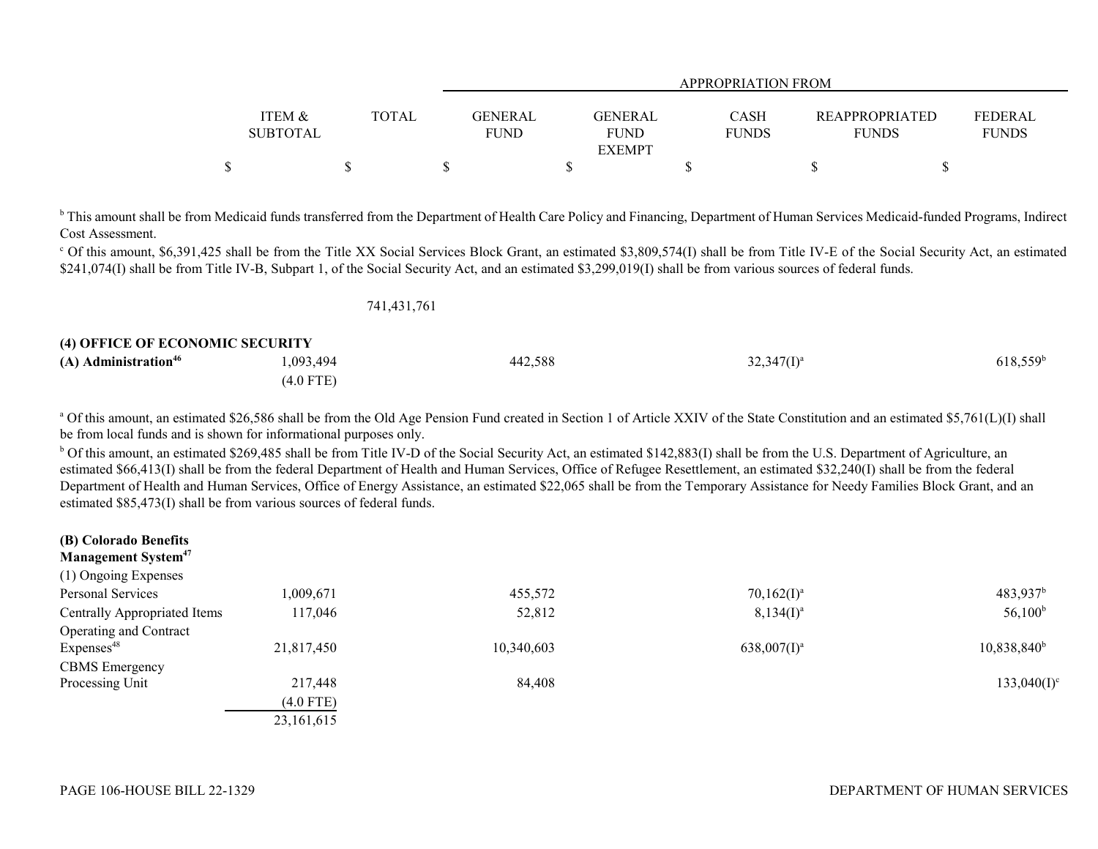|                 |       |             |                | APPROPRIATION FROM |                       |                |  |
|-----------------|-------|-------------|----------------|--------------------|-----------------------|----------------|--|
| ITEM &          | TOTAL | GENERAL     | <b>GENERAL</b> | <b>CASH</b>        | <b>REAPPROPRIATED</b> | <b>FEDERAL</b> |  |
| <b>SUBTOTAL</b> |       | <b>FUND</b> | <b>FUND</b>    | <b>FUNDS</b>       | <b>FUNDS</b>          | <b>FUNDS</b>   |  |
|                 |       |             | <b>EXEMPT</b>  |                    |                       |                |  |
|                 |       |             |                |                    |                       |                |  |

<sup>b</sup> This amount shall be from Medicaid funds transferred from the Department of Health Care Policy and Financing, Department of Human Services Medicaid-funded Programs, Indirect Cost Assessment.

<sup>c</sup> Of this amount, \$6,391,425 shall be from the Title XX Social Services Block Grant, an estimated \$3,809,574(I) shall be from Title IV-E of the Social Security Act, an estimated \$241,074(I) shall be from Title IV-B, Subpart 1, of the Social Security Act, and an estimated \$3,299,019(I) shall be from various sources of federal funds.

| 741,431,761 |
|-------------|
|-------------|

| <b>(4) OFFICE OF ECONOMIC SECURITY</b> |           |         |               |                     |
|----------------------------------------|-----------|---------|---------------|---------------------|
| (A) Administration <sup>46</sup>       | 1,093,494 | 442,588 | $32,347(1)^a$ | $618{,}559^{\rm t}$ |
|                                        | (4.0 FTE) |         |               |                     |

<sup>a</sup> Of this amount, an estimated \$26,586 shall be from the Old Age Pension Fund created in Section 1 of Article XXIV of the State Constitution and an estimated \$5,761(L)(I) shall be from local funds and is shown for informational purposes only.

<sup>b</sup> Of this amount, an estimated \$269,485 shall be from Title IV-D of the Social Security Act, an estimated \$142,883(I) shall be from the U.S. Department of Agriculture, an estimated \$66,413(I) shall be from the federal Department of Health and Human Services, Office of Refugee Resettlement, an estimated \$32,240(I) shall be from the federal Department of Health and Human Services, Office of Energy Assistance, an estimated \$22,065 shall be from the Temporary Assistance for Needy Families Block Grant, and an estimated \$85,473(I) shall be from various sources of federal funds.

| (B) Colorado Benefits<br><b>Management System</b> <sup>47</sup> |              |            |                |                      |
|-----------------------------------------------------------------|--------------|------------|----------------|----------------------|
| (1) Ongoing Expenses                                            |              |            |                |                      |
| Personal Services                                               | 1,009,671    | 455,572    | $70,162(I)^a$  | 483,937 <sup>b</sup> |
| Centrally Appropriated Items                                    | 117,046      | 52,812     | $8,134(I)^a$   | $56,100^{\rm b}$     |
| Operating and Contract                                          |              |            |                |                      |
| Express <sup>48</sup>                                           | 21,817,450   | 10,340,603 | $638,007(1)^a$ | $10,838,840^b$       |
| <b>CBMS</b> Emergency                                           |              |            |                |                      |
| Processing Unit                                                 | 217,448      | 84,408     |                | $133,040(I)^c$       |
|                                                                 | $(4.0$ FTE)  |            |                |                      |
|                                                                 | 23, 161, 615 |            |                |                      |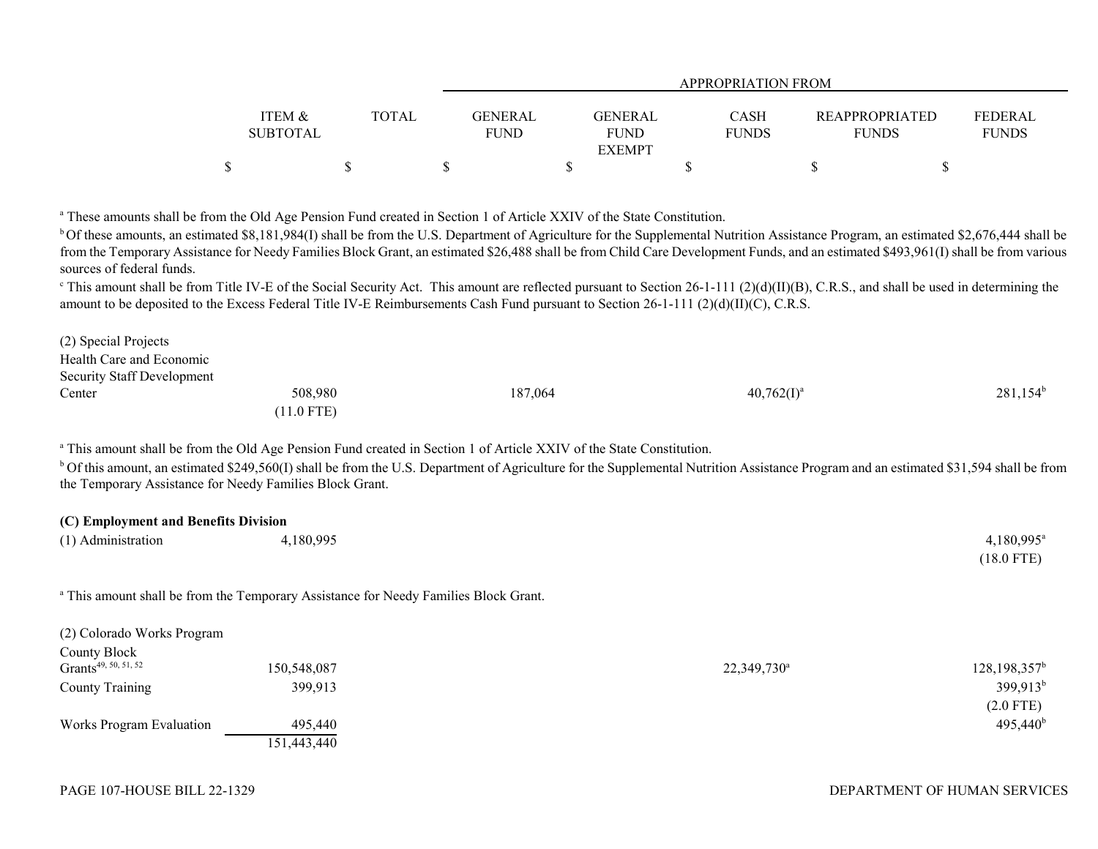|                   |       |             | <b>APPROPRIATION FROM</b> |              |                       |                |  |  |  |
|-------------------|-------|-------------|---------------------------|--------------|-----------------------|----------------|--|--|--|
|                   |       |             |                           |              |                       |                |  |  |  |
| <b>ITEM &amp;</b> | TOTAL | GENERAL     | GENERAL                   | <b>CASH</b>  | <b>REAPPROPRIATED</b> | <b>FEDERAL</b> |  |  |  |
| <b>SUBTOTAL</b>   |       | <b>FUND</b> | <b>FUND</b>               | <b>FUNDS</b> | <b>FUNDS</b>          | <b>FUNDS</b>   |  |  |  |
|                   |       |             | <b>EXEMPT</b>             |              |                       |                |  |  |  |
| \$                |       |             |                           |              |                       |                |  |  |  |

<sup>a</sup> These amounts shall be from the Old Age Pension Fund created in Section 1 of Article XXIV of the State Constitution.

<sup>b</sup> Of these amounts, an estimated \$8,181,984(I) shall be from the U.S. Department of Agriculture for the Supplemental Nutrition Assistance Program, an estimated \$2,676,444 shall be from the Temporary Assistance for Needy Families Block Grant, an estimated \$26,488 shall be from Child Care Development Funds, and an estimated \$493,961(I) shall be from various sources of federal funds.

<sup>c</sup> This amount shall be from Title IV-E of the Social Security Act. This amount are reflected pursuant to Section 26-1-111 (2)(d)(II)(B), C.R.S., and shall be used in determining the amount to be deposited to the Excess Federal Title IV-E Reimbursements Cash Fund pursuant to Section 26-1-111 (2)(d)(II)(C), C.R.S.

| (2) Special Projects              |              |         |               |             |
|-----------------------------------|--------------|---------|---------------|-------------|
| Health Care and Economic          |              |         |               |             |
| <b>Security Staff Development</b> |              |         |               |             |
| Center                            | 508,980      | 187,064 | $40,762(I)^a$ | $281,154^b$ |
|                                   | $(11.0$ FTE) |         |               |             |

<sup>a</sup> This amount shall be from the Old Age Pension Fund created in Section 1 of Article XXIV of the State Constitution.

<sup>b</sup> Of this amount, an estimated \$249,560(I) shall be from the U.S. Department of Agriculture for the Supplemental Nutrition Assistance Program and an estimated \$31,594 shall be from the Temporary Assistance for Needy Families Block Grant.

| (C) Employment and Benefits Division |           |                      |  |  |  |
|--------------------------------------|-----------|----------------------|--|--|--|
| (1) Administration                   | 4,180,995 | $4,180,995^{\circ}$  |  |  |  |
|                                      |           | $(18.0 \text{ FTE})$ |  |  |  |

<sup>a</sup> This amount shall be from the Temporary Assistance for Needy Families Block Grant.

| (2) Colorado Works Program       |             |                         |                   |
|----------------------------------|-------------|-------------------------|-------------------|
| County Block                     |             |                         |                   |
| Grants <sup>49, 50, 51, 52</sup> | 150,548,087 | 22,349,730 <sup>a</sup> | $128,198,357^b$   |
| <b>County Training</b>           | 399,913     |                         | $399,913^b$       |
|                                  |             |                         | $(2.0$ FTE)       |
| Works Program Evaluation         | 495,440     |                         | $495,440^{\rm b}$ |
|                                  | 151,443,440 |                         |                   |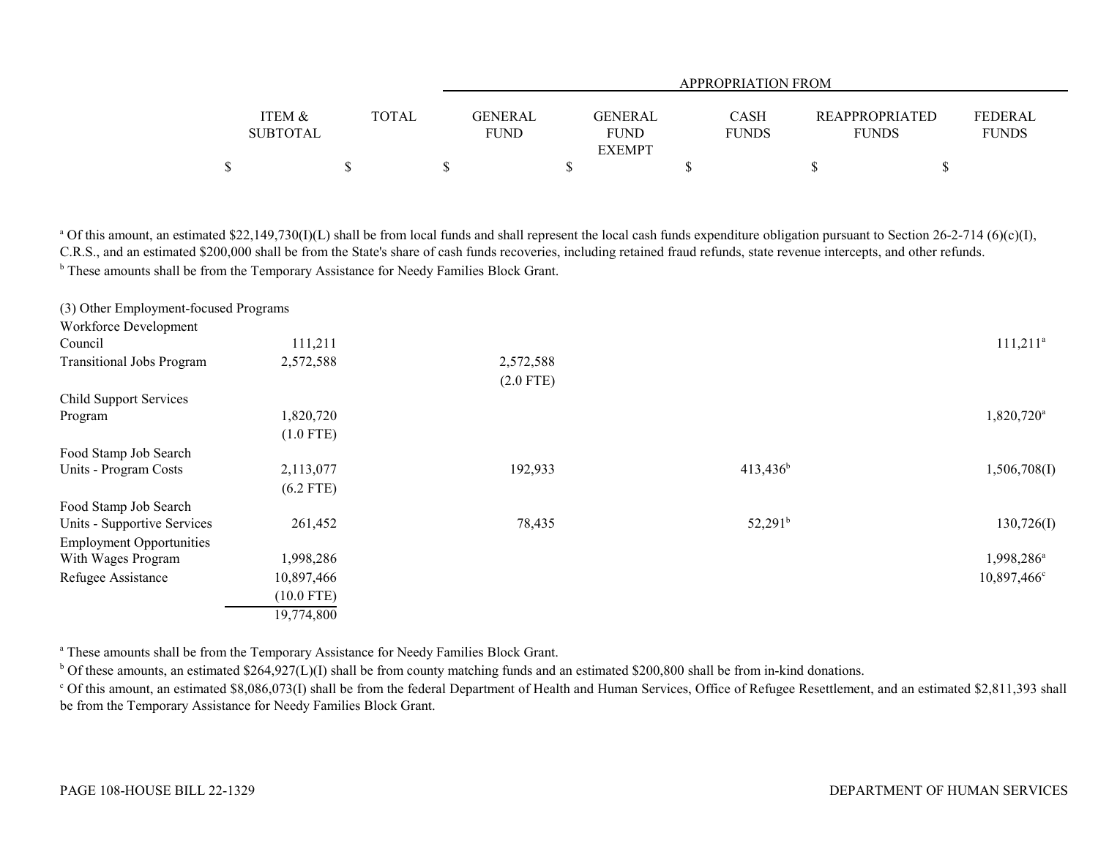|                   |       |             | APPROPRIATION FROM |              |                       |              |  |  |  |
|-------------------|-------|-------------|--------------------|--------------|-----------------------|--------------|--|--|--|
|                   |       |             |                    |              |                       |              |  |  |  |
| <b>ITEM &amp;</b> | TOTAL | GENERAL     | GENERAL            | CASH         | <b>REAPPROPRIATED</b> | FEDERAL      |  |  |  |
| <b>SUBTOTAL</b>   |       | <b>FUND</b> | <b>FUND</b>        | <b>FUNDS</b> | <b>FUNDS</b>          | <b>FUNDS</b> |  |  |  |
|                   |       |             | <b>EXEMPT</b>      |              |                       |              |  |  |  |
|                   |       |             |                    |              |                       |              |  |  |  |

<sup>a</sup> Of this amount, an estimated \$22,149,730(I)(L) shall be from local funds and shall represent the local cash funds expenditure obligation pursuant to Section 26-2-714 (6)(c)(I), C.R.S., and an estimated \$200,000 shall be from the State's share of cash funds recoveries, including retained fraud refunds, state revenue intercepts, and other refunds. <sup>b</sup> These amounts shall be from the Temporary Assistance for Needy Families Block Grant.

| (3) Other Employment-focused Programs |              |             |                  |                        |
|---------------------------------------|--------------|-------------|------------------|------------------------|
| Workforce Development                 |              |             |                  |                        |
| Council                               | 111,211      |             |                  | $111,211^a$            |
| <b>Transitional Jobs Program</b>      | 2,572,588    | 2,572,588   |                  |                        |
|                                       |              | $(2.0$ FTE) |                  |                        |
| Child Support Services                |              |             |                  |                        |
| Program                               | 1,820,720    |             |                  | 1,820,720 <sup>a</sup> |
|                                       | $(1.0$ FTE)  |             |                  |                        |
| Food Stamp Job Search                 |              |             |                  |                        |
| Units - Program Costs                 | 2,113,077    | 192,933     | $413,436^b$      | 1,506,708(I)           |
|                                       | $(6.2$ FTE)  |             |                  |                        |
| Food Stamp Job Search                 |              |             |                  |                        |
| Units - Supportive Services           | 261,452      | 78,435      | $52,291^{\rm b}$ | 130,726(I)             |
| <b>Employment Opportunities</b>       |              |             |                  |                        |
| With Wages Program                    | 1,998,286    |             |                  | 1,998,286 <sup>a</sup> |
| Refugee Assistance                    | 10,897,466   |             |                  | $10,897,466^{\circ}$   |
|                                       | $(10.0$ FTE) |             |                  |                        |
|                                       | 19,774,800   |             |                  |                        |

<sup>a</sup> These amounts shall be from the Temporary Assistance for Needy Families Block Grant.

 $b$  Of these amounts, an estimated \$264,927(L)(I) shall be from county matching funds and an estimated \$200,800 shall be from in-kind donations.

<sup>c</sup> Of this amount, an estimated \$8,086,073(I) shall be from the federal Department of Health and Human Services, Office of Refugee Resettlement, and an estimated \$2,811,393 shall be from the Temporary Assistance for Needy Families Block Grant.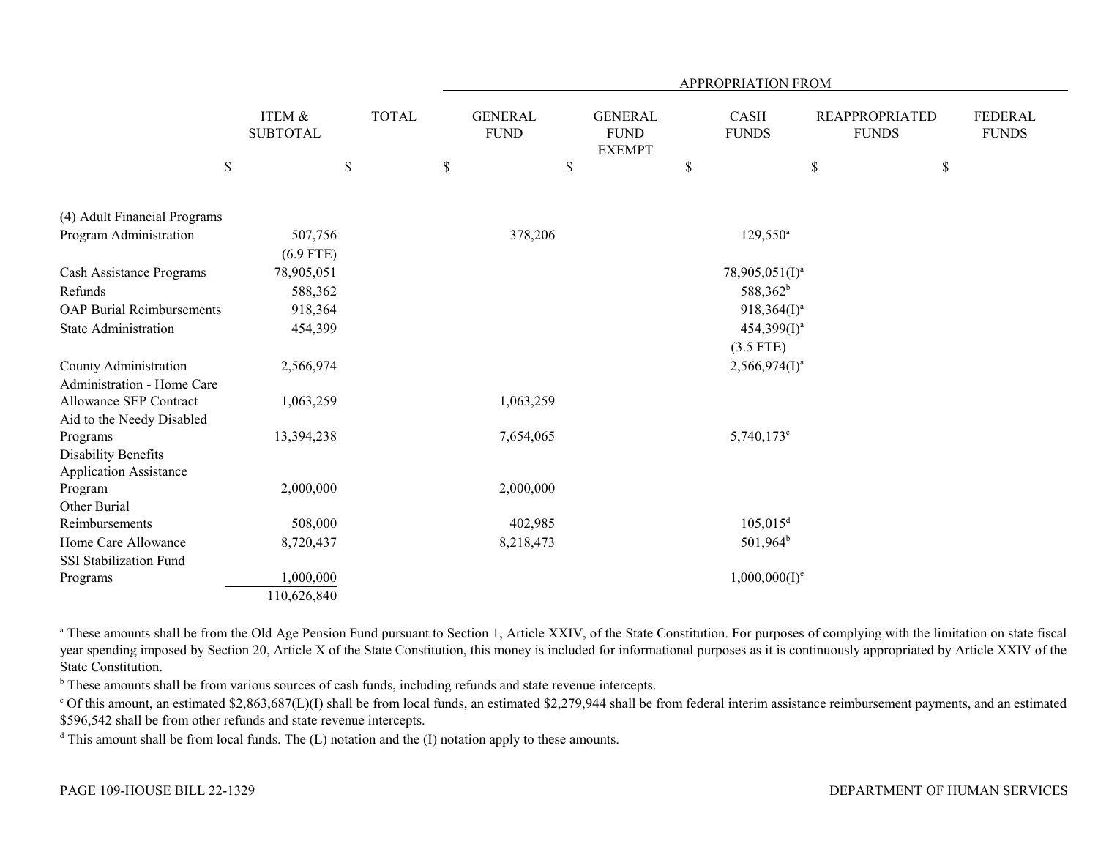|                                                      |                           |              | APPROPRIATION FROM |    |                                                |                           |                      |                                       |    |                                |  |
|------------------------------------------------------|---------------------------|--------------|--------------------|----|------------------------------------------------|---------------------------|----------------------|---------------------------------------|----|--------------------------------|--|
|                                                      | ITEM &<br><b>SUBTOTAL</b> | <b>TOTAL</b> |                    |    | <b>GENERAL</b><br><b>FUND</b><br><b>EXEMPT</b> |                           | CASH<br><b>FUNDS</b> | <b>REAPPROPRIATED</b><br><b>FUNDS</b> |    | <b>FEDERAL</b><br><b>FUNDS</b> |  |
| \$                                                   | $\mathcal{S}$             |              | $\mathbb{S}$       | \$ |                                                | $\boldsymbol{\mathsf{S}}$ |                      | $\$$                                  | \$ |                                |  |
| (4) Adult Financial Programs                         |                           |              |                    |    |                                                |                           |                      |                                       |    |                                |  |
| Program Administration                               | 507,756                   |              | 378,206            |    |                                                |                           | $129,550^a$          |                                       |    |                                |  |
|                                                      | $(6.9$ FTE)               |              |                    |    |                                                |                           |                      |                                       |    |                                |  |
| Cash Assistance Programs                             | 78,905,051                |              |                    |    |                                                |                           | $78,905,051(I)^a$    |                                       |    |                                |  |
| Refunds                                              | 588,362                   |              |                    |    |                                                |                           | 588,362 <sup>b</sup> |                                       |    |                                |  |
| <b>OAP Burial Reimbursements</b>                     | 918,364                   |              |                    |    |                                                |                           | $918,364(1)^a$       |                                       |    |                                |  |
| State Administration                                 | 454,399                   |              |                    |    |                                                |                           | $454,399(1)^a$       |                                       |    |                                |  |
|                                                      |                           |              |                    |    |                                                |                           | $(3.5$ FTE)          |                                       |    |                                |  |
| County Administration                                | 2,566,974                 |              |                    |    |                                                |                           | $2,566,974(I)^a$     |                                       |    |                                |  |
| Administration - Home Care                           |                           |              |                    |    |                                                |                           |                      |                                       |    |                                |  |
| Allowance SEP Contract                               | 1,063,259                 |              | 1,063,259          |    |                                                |                           |                      |                                       |    |                                |  |
| Aid to the Needy Disabled                            |                           |              |                    |    |                                                |                           |                      |                                       |    |                                |  |
| Programs                                             | 13,394,238                |              | 7,654,065          |    |                                                |                           | $5,740,173$ °        |                                       |    |                                |  |
| Disability Benefits                                  |                           |              |                    |    |                                                |                           |                      |                                       |    |                                |  |
| <b>Application Assistance</b>                        |                           |              |                    |    |                                                |                           |                      |                                       |    |                                |  |
| Program                                              | 2,000,000                 |              | 2,000,000          |    |                                                |                           |                      |                                       |    |                                |  |
| Other Burial<br>Reimbursements                       |                           |              |                    |    |                                                |                           |                      |                                       |    |                                |  |
|                                                      | 508,000                   |              | 402,985            |    |                                                |                           | $105,015^d$          |                                       |    |                                |  |
| Home Care Allowance<br><b>SSI Stabilization Fund</b> | 8,720,437                 |              | 8,218,473          |    |                                                |                           | $501,964^b$          |                                       |    |                                |  |
| Programs                                             | 1,000,000                 |              |                    |    |                                                |                           | $1,000,000(1)^e$     |                                       |    |                                |  |
|                                                      | 110,626,840               |              |                    |    |                                                |                           |                      |                                       |    |                                |  |
|                                                      |                           |              |                    |    |                                                |                           |                      |                                       |    |                                |  |

<sup>a</sup> These amounts shall be from the Old Age Pension Fund pursuant to Section 1, Article XXIV, of the State Constitution. For purposes of complying with the limitation on state fiscal year spending imposed by Section 20, Article X of the State Constitution, this money is included for informational purposes as it is continuously appropriated by Article XXIV of the State Constitution.

**b** These amounts shall be from various sources of cash funds, including refunds and state revenue intercepts.

 $\degree$  Of this amount, an estimated \$2,863,687(L)(I) shall be from local funds, an estimated \$2,279,944 shall be from federal interim assistance reimbursement payments, and an estimated \$596,542 shall be from other refunds and state revenue intercepts.

<sup>d</sup> This amount shall be from local funds. The  $(L)$  notation and the  $(I)$  notation apply to these amounts.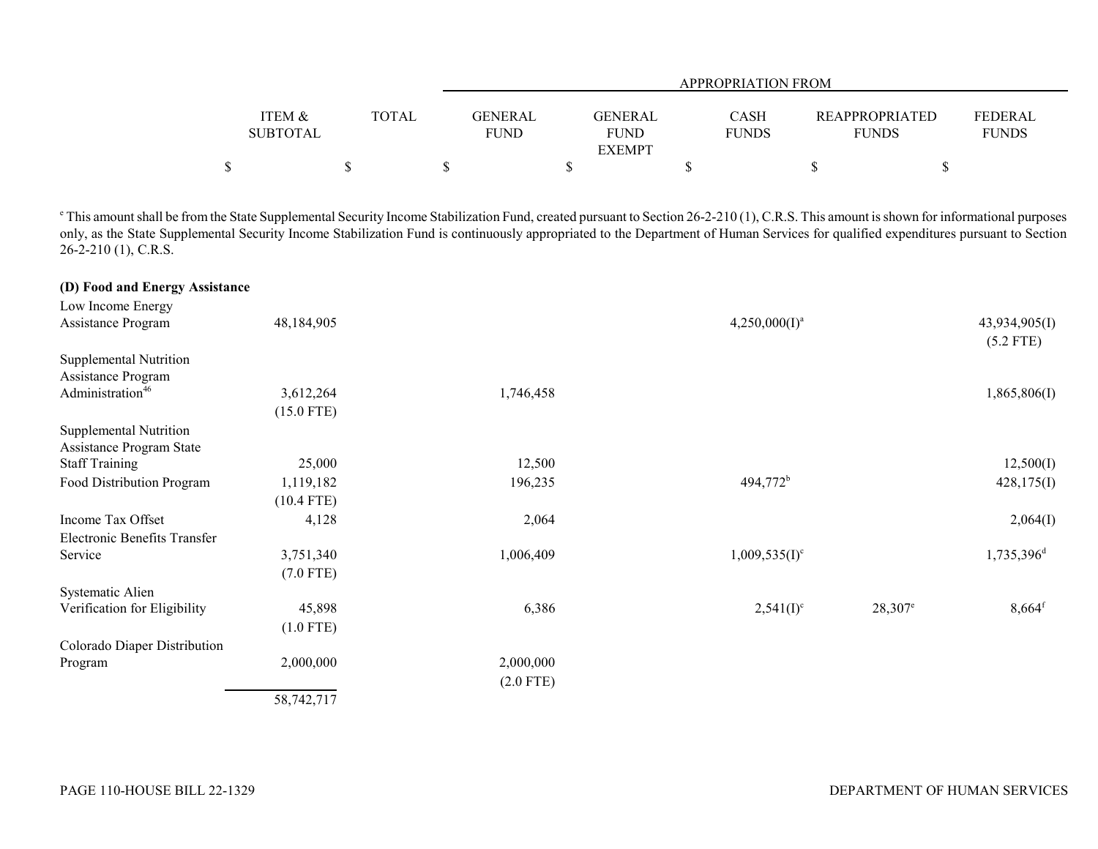|                           |              |                               |                        | <b>APPROPRIATION FROM</b> |                                       |                                |
|---------------------------|--------------|-------------------------------|------------------------|---------------------------|---------------------------------------|--------------------------------|
| ITEM &<br><b>SUBTOTAL</b> | <b>TOTAL</b> | <b>GENERAL</b><br><b>FUND</b> | GENERAL<br><b>FUND</b> | CASH<br><b>FUNDS</b>      | <b>REAPPROPRIATED</b><br><b>FUNDS</b> | <b>FEDERAL</b><br><b>FUNDS</b> |
|                           |              |                               | <b>EXEMPT</b>          |                           |                                       |                                |
|                           |              |                               |                        |                           |                                       |                                |

<sup>e</sup> This amount shall be from the State Supplemental Security Income Stabilization Fund, created pursuant to Section 26-2-210 (1), C.R.S. This amount is shown for informational purposes only, as the State Supplemental Security Income Stabilization Fund is continuously appropriated to the Department of Human Services for qualified expenditures pursuant to Section 26-2-210 (1), C.R.S.

| (D) Food and Energy Assistance |              |             |                  |            |                              |
|--------------------------------|--------------|-------------|------------------|------------|------------------------------|
| Low Income Energy              |              |             |                  |            |                              |
| Assistance Program             | 48,184,905   |             | $4,250,000(I)^a$ |            | 43,934,905(I)<br>$(5.2$ FTE) |
| Supplemental Nutrition         |              |             |                  |            |                              |
| Assistance Program             |              |             |                  |            |                              |
| Administration <sup>46</sup>   | 3,612,264    | 1,746,458   |                  |            | 1,865,806(I)                 |
|                                | $(15.0$ FTE) |             |                  |            |                              |
| Supplemental Nutrition         |              |             |                  |            |                              |
| Assistance Program State       |              |             |                  |            |                              |
| <b>Staff Training</b>          | 25,000       | 12,500      |                  |            | 12,500(I)                    |
| Food Distribution Program      | 1,119,182    | 196,235     | $494,772^b$      |            | 428,175(I)                   |
|                                | $(10.4$ FTE) |             |                  |            |                              |
| Income Tax Offset              | 4,128        | 2,064       |                  |            | 2,064(I)                     |
| Electronic Benefits Transfer   |              |             |                  |            |                              |
| Service                        | 3,751,340    | 1,006,409   | $1,009,535(I)^c$ |            | $1,735,396$ <sup>d</sup>     |
|                                | $(7.0$ FTE)  |             |                  |            |                              |
| Systematic Alien               |              |             |                  |            |                              |
| Verification for Eligibility   | 45,898       | 6,386       | $2,541(I)^c$     | $28,307^e$ | $8,664$ <sup>f</sup>         |
|                                | $(1.0$ FTE)  |             |                  |            |                              |
| Colorado Diaper Distribution   |              |             |                  |            |                              |
| Program                        | 2,000,000    | 2,000,000   |                  |            |                              |
|                                |              | $(2.0$ FTE) |                  |            |                              |
|                                | 58,742,717   |             |                  |            |                              |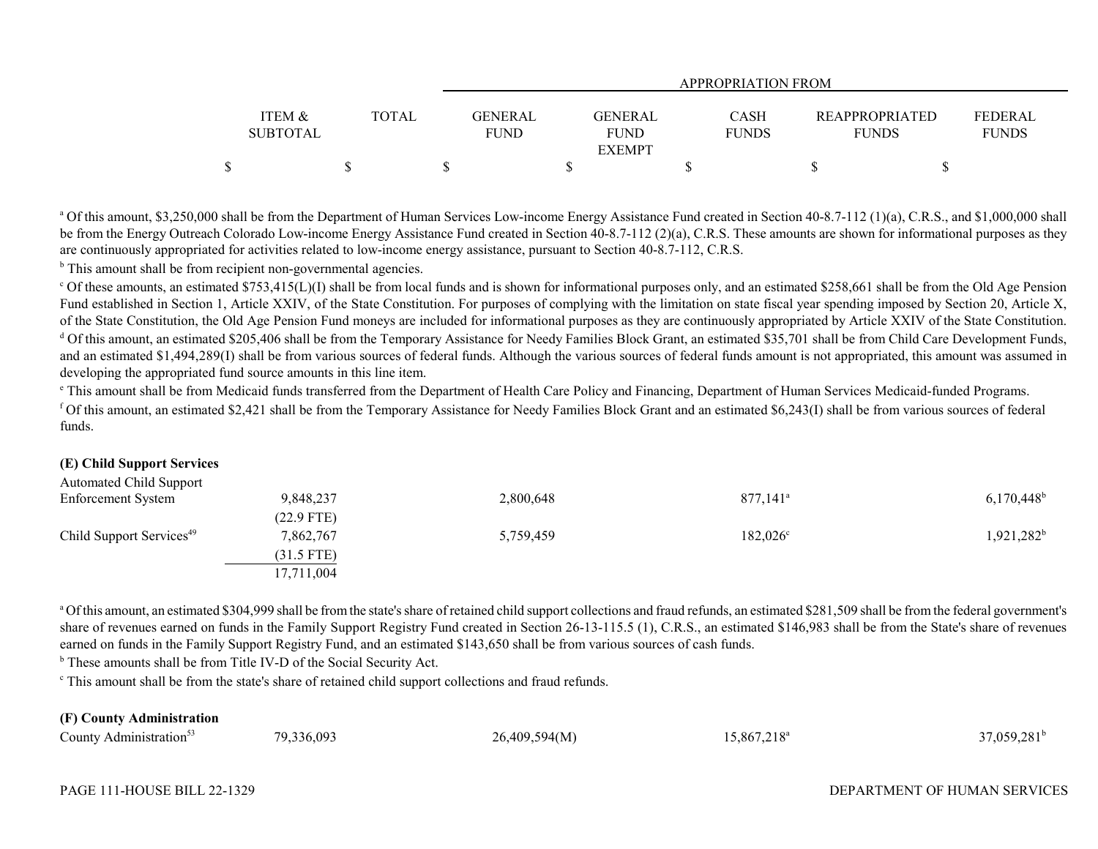|                   |              | <b>APPROPRIATION FROM</b> |               |              |                       |              |  |  |
|-------------------|--------------|---------------------------|---------------|--------------|-----------------------|--------------|--|--|
|                   |              |                           |               |              |                       |              |  |  |
| <b>ITEM &amp;</b> | <b>TOTAL</b> | <b>GENERAL</b>            | GENERAL       | <b>CASH</b>  | <b>REAPPROPRIATED</b> | FEDERAL      |  |  |
| <b>SUBTOTAL</b>   |              | <b>FUND</b>               | <b>FUND</b>   | <b>FUNDS</b> | <b>FUNDS</b>          | <b>FUNDS</b> |  |  |
|                   |              |                           | <b>EXEMPT</b> |              |                       |              |  |  |
|                   |              |                           |               |              |                       |              |  |  |

<sup>a</sup> Of this amount, \$3,250,000 shall be from the Department of Human Services Low-income Energy Assistance Fund created in Section 40-8.7-112 (1)(a), C.R.S., and \$1,000,000 shall be from the Energy Outreach Colorado Low-income Energy Assistance Fund created in Section 40-8.7-112 (2)(a), C.R.S. These amounts are shown for informational purposes as they are continuously appropriated for activities related to low-income energy assistance, pursuant to Section 40-8.7-112, C.R.S.

<sup>b</sup> This amount shall be from recipient non-governmental agencies.

<sup>c</sup> Of these amounts, an estimated \$753,415(L)(I) shall be from local funds and is shown for informational purposes only, and an estimated \$258,661 shall be from the Old Age Pension Fund established in Section 1, Article XXIV, of the State Constitution. For purposes of complying with the limitation on state fiscal year spending imposed by Section 20, Article X, of the State Constitution, the Old Age Pension Fund moneys are included for informational purposes as they are continuously appropriated by Article XXIV of the State Constitution. <sup>d</sup> Of this amount, an estimated \$205,406 shall be from the Temporary Assistance for Needy Families Block Grant, an estimated \$35,701 shall be from Child Care Development Funds, and an estimated \$1,494,289(I) shall be from various sources of federal funds amources of federal funds amount is not appropriated, this amount was assumed in developing the appropriated fund source amounts in this line item.

e This amount shall be from Medicaid funds transferred from the Department of Health Care Policy and Financing, Department of Human Services Medicaid-funded Programs.  $\beta$  of this amount, an estimated \$2,421 shall be from the Temporary Assistance for Needy Families Block Grant and an estimated \$6,243(I) shall be from various sources of federal funds.

## **(E) Child Support Services**

| Automated Child Support              |              |           |                        |                          |
|--------------------------------------|--------------|-----------|------------------------|--------------------------|
| <b>Enforcement System</b>            | 9,848,237    | 2,800,648 | $877,141$ <sup>a</sup> | $6,170,448$ <sup>b</sup> |
|                                      | $(22.9$ FTE) |           |                        |                          |
| Child Support Services <sup>49</sup> | 7,862,767    | 5,759,459 | $182,026^{\circ}$      | 1,921,282 <sup>b</sup>   |
|                                      | $(31.5$ FTE) |           |                        |                          |
|                                      | 17,711,004   |           |                        |                          |

<sup>a</sup> Of this amount, an estimated \$304,999 shall be from the state's share of retained child support collections and fraud refunds, an estimated \$281,509 shall be from the federal government's share of revenues earned on funds in the Family Support Registry Fund created in Section 26-13-115.5 (1), C.R.S., an estimated \$146,983 shall be from the State's share of revenues earned on funds in the Family Support Registry Fund, and an estimated \$143,650 shall be from various sources of cash funds.

<sup>b</sup> These amounts shall be from Title IV-D of the Social Security Act.

c This amount shall be from the state's share of retained child support collections and fraud refunds.

### **(F) County Administration**

| $\sim$<br>County<br>Administration~ | 336,093<br>70.<br>- - - - | .594(M<br>. 400 4<br>ᄼ<br>.<br>$\sim$ | $.867.218$ <sup>e</sup> | 281 <sup>b</sup><br>.059.<br><b>⁄ ∗∠</b> |
|-------------------------------------|---------------------------|---------------------------------------|-------------------------|------------------------------------------|
|-------------------------------------|---------------------------|---------------------------------------|-------------------------|------------------------------------------|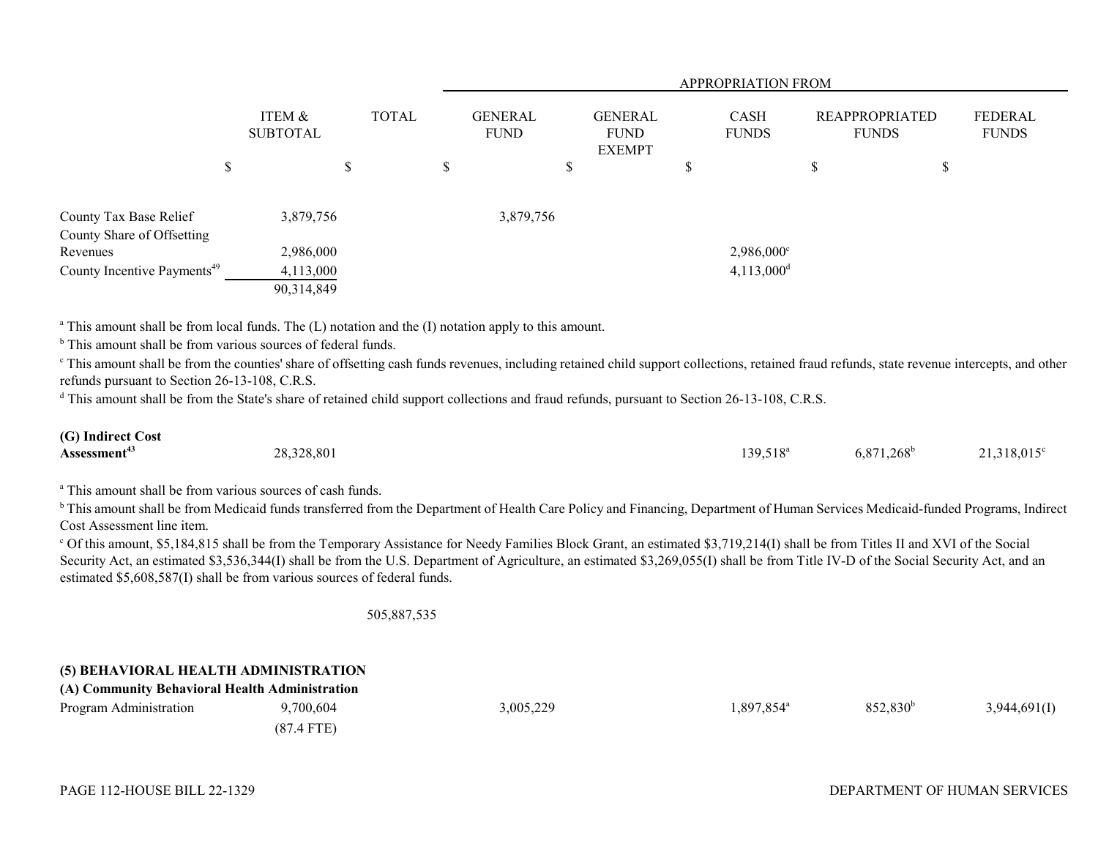|                                         |                           |              |    | <b>APPROPRIATION FROM</b>     |                                                |                             |                          |                                       |   |                         |  |  |
|-----------------------------------------|---------------------------|--------------|----|-------------------------------|------------------------------------------------|-----------------------------|--------------------------|---------------------------------------|---|-------------------------|--|--|
|                                         | ITEM &<br><b>SUBTOTAL</b> | <b>TOTAL</b> |    | <b>GENERAL</b><br><b>FUND</b> | <b>GENERAL</b><br><b>FUND</b><br><b>EXEMPT</b> | <b>CASH</b><br><b>FUNDS</b> |                          | <b>REAPPROPRIATED</b><br><b>FUNDS</b> |   | FEDERAL<br><b>FUNDS</b> |  |  |
| ــه<br>J                                |                           | \$           | \$ |                               | D                                              | J.                          |                          | J.D                                   | P |                         |  |  |
| County Tax Base Relief                  | 3,879,756                 |              |    | 3,879,756                     |                                                |                             |                          |                                       |   |                         |  |  |
| County Share of Offsetting<br>Revenues  | 2,986,000                 |              |    |                               |                                                |                             | $2,986,000^{\circ}$      |                                       |   |                         |  |  |
| County Incentive Payments <sup>49</sup> | 4,113,000<br>90,314,849   |              |    |                               |                                                |                             | $4,113,000$ <sup>d</sup> |                                       |   |                         |  |  |

<sup>a</sup> This amount shall be from local funds. The (L) notation and the (I) notation apply to this amount.

<sup>b</sup> This amount shall be from various sources of federal funds.

<sup>c</sup> This amount shall be from the counties' share of offsetting cash funds revenues, including retained child support collections, retained fraud refunds, state revenue intercepts, and other refunds pursuant to Section 26-13-108, C.R.S.

<sup>d</sup> This amount shall be from the State's share of retained child support collections and fraud refunds, pursuant to Section 26-13-108, C.R.S.

| (G) Indirect Cost        |            |                      |                     |                      |
|--------------------------|------------|----------------------|---------------------|----------------------|
| Assessment <sup>43</sup> | 28,328,801 | 139,518 <sup>a</sup> | $6,871,268^{\rm b}$ | $21,318,015^{\circ}$ |

<sup>a</sup> This amount shall be from various sources of cash funds.

<sup>b</sup> This amount shall be from Medicaid funds transferred from the Department of Health Care Policy and Financing, Department of Human Services Medicaid-funded Programs, Indirect Cost Assessment line item.

<sup>c</sup> Of this amount, \$5,184,815 shall be from the Temporary Assistance for Needy Families Block Grant, an estimated \$3,719,214(I) shall be from Titles II and XVI of the Social Security Act, an estimated \$3,536,344(I) shall be from the U.S. Department of Agriculture, an estimated \$3,269,055(I) shall be from Title IV-D of the Social Security Act, and an estimated \$5,608,587(I) shall be from various sources of federal funds.

505,887,535

#### **(5) BEHAVIORAL HEALTH ADMINISTRATION (A) Community Behavioral Health Administration**

| (A) Community Benavioral Health Administration |              |           |                     |                   |              |
|------------------------------------------------|--------------|-----------|---------------------|-------------------|--------------|
| Program Administration                         | 9,700,604    | 3,005,229 | $0.897,854^{\circ}$ | $852,830^{\circ}$ | 3,944,691(I) |
|                                                | $(87.4$ FTE) |           |                     |                   |              |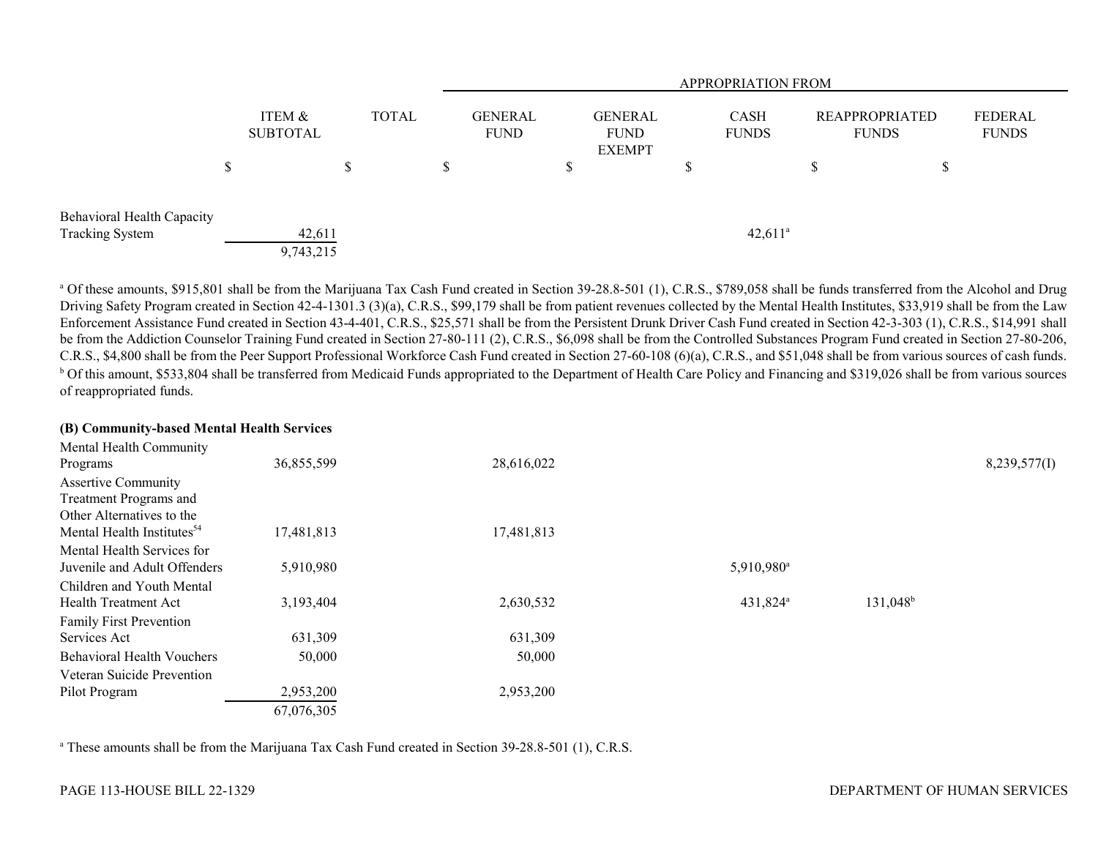|                                                      |   |                           |  |              |   | <b>APPROPRIATION FROM</b> |                                                               |  |                |                             |   |                                       |  |                         |
|------------------------------------------------------|---|---------------------------|--|--------------|---|---------------------------|---------------------------------------------------------------|--|----------------|-----------------------------|---|---------------------------------------|--|-------------------------|
|                                                      |   | ITEM &<br><b>SUBTOTAL</b> |  | <b>TOTAL</b> |   |                           | <b>GENERAL</b><br><b>FUND</b><br><b>FUND</b><br><b>EXEMPT</b> |  | <b>GENERAL</b> | <b>CASH</b><br><b>FUNDS</b> |   | <b>REAPPROPRIATED</b><br><b>FUNDS</b> |  | FEDERAL<br><b>FUNDS</b> |
|                                                      | Φ |                           |  |              | D |                           | \$                                                            |  |                |                             | D | ¢<br>D                                |  |                         |
| Behavioral Health Capacity<br><b>Tracking System</b> |   | 42,611<br>9,743,215       |  |              |   |                           |                                                               |  |                | $42,611^a$                  |   |                                       |  |                         |

<sup>a</sup> Of these amounts, \$915,801 shall be from the Marijuana Tax Cash Fund created in Section 39-28.8-501 (1), C.R.S., \$789,058 shall be funds transferred from the Alcohol and Drug Driving Safety Program created in Section 42-4-1301.3 (3)(a), C.R.S., \$99,179 shall be from patient revenues collected by the Mental Health Institutes, \$33,919 shall be from the Law Enforcement Assistance Fund created in Section 43-4-401, C.R.S., \$25,571 shall be from the Persistent Drunk Driver Cash Fund created in Section 42-3-303 (1), C.R.S., \$14,991 shall be from the Addiction Counselor Training Fund created in Section 27-80-111 (2), C.R.S., \$6,098 shall be from the Controlled Substances Program Fund created in Section 27-80-206, C.R.S., \$4,800 shall be from the Peer Support Professional Workforce Cash Fund created in Section 27-60-108 (6)(a), C.R.S., and \$51,048 shall be from various sources of cash funds. <sup>b</sup> Of this amount, \$533,804 shall be transferred from Medicaid Funds appropriated to the Department of Health Care Policy and Financing and \$319,026 shall be from various sources of reappropriated funds.

### **(B) Community-based Mental Health Services**

| Mental Health Community                |            |            |                        |                      |              |
|----------------------------------------|------------|------------|------------------------|----------------------|--------------|
| Programs                               | 36,855,599 | 28,616,022 |                        |                      | 8,239,577(I) |
| <b>Assertive Community</b>             |            |            |                        |                      |              |
| Treatment Programs and                 |            |            |                        |                      |              |
| Other Alternatives to the              |            |            |                        |                      |              |
| Mental Health Institutes <sup>54</sup> | 17,481,813 | 17,481,813 |                        |                      |              |
| Mental Health Services for             |            |            |                        |                      |              |
| Juvenile and Adult Offenders           | 5,910,980  |            | 5,910,980 <sup>a</sup> |                      |              |
| Children and Youth Mental              |            |            |                        |                      |              |
| <b>Health Treatment Act</b>            | 3,193,404  | 2,630,532  | 431,824 <sup>a</sup>   | 131,048 <sup>b</sup> |              |
| Family First Prevention                |            |            |                        |                      |              |
| Services Act                           | 631,309    | 631,309    |                        |                      |              |
| <b>Behavioral Health Vouchers</b>      | 50,000     | 50,000     |                        |                      |              |
| Veteran Suicide Prevention             |            |            |                        |                      |              |
| Pilot Program                          | 2,953,200  | 2,953,200  |                        |                      |              |
|                                        | 67,076,305 |            |                        |                      |              |

<sup>a</sup> These amounts shall be from the Marijuana Tax Cash Fund created in Section 39-28.8-501 (1), C.R.S.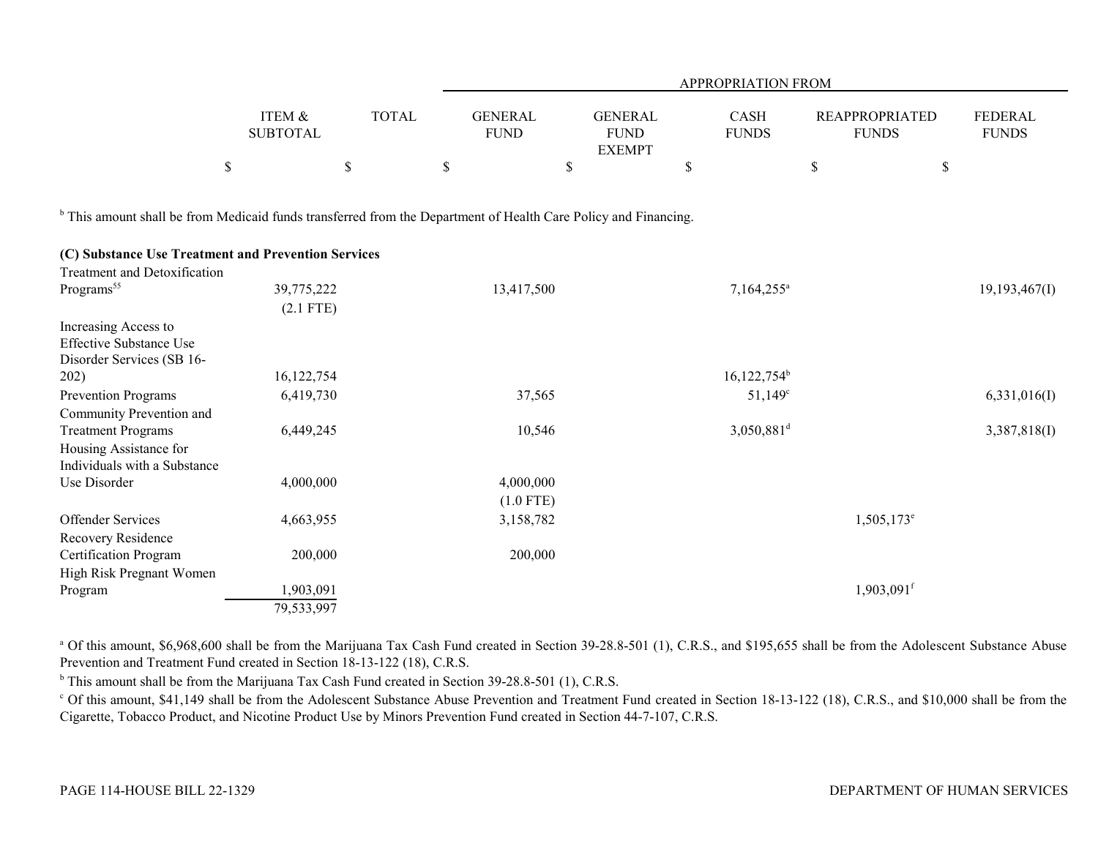|                   |              |                |                | APPROPRIATION FROM |                       |                |  |
|-------------------|--------------|----------------|----------------|--------------------|-----------------------|----------------|--|
| <b>ITEM &amp;</b> | <b>TOTAL</b> | <b>GENERAL</b> | <b>GENERAL</b> | <b>CASH</b>        | <b>REAPPROPRIATED</b> | <b>FEDERAL</b> |  |
| <b>SUBTOTAL</b>   |              | <b>FUND</b>    | <b>FUND</b>    | <b>FUNDS</b>       | <b>FUNDS</b>          | <b>FUNDS</b>   |  |
|                   |              |                | <b>EXEMPT</b>  |                    |                       |                |  |
|                   |              |                |                |                    |                       |                |  |

<sup>b</sup> This amount shall be from Medicaid funds transferred from the Department of Health Care Policy and Financing.

## **(C) Substance Use Treatment and Prevention Services**

| Treatment and Detoxification   |              |             |                          |                          |
|--------------------------------|--------------|-------------|--------------------------|--------------------------|
| Programs <sup>55</sup>         | 39,775,222   | 13,417,500  | 7,164,255 <sup>a</sup>   | 19,193,467(I)            |
|                                | $(2.1$ FTE)  |             |                          |                          |
| Increasing Access to           |              |             |                          |                          |
| <b>Effective Substance Use</b> |              |             |                          |                          |
| Disorder Services (SB 16-      |              |             |                          |                          |
| 202)                           | 16, 122, 754 |             | $16,122,754^b$           |                          |
| <b>Prevention Programs</b>     | 6,419,730    | 37,565      | $51,149^{\circ}$         | 6,331,016(I)             |
| Community Prevention and       |              |             |                          |                          |
| <b>Treatment Programs</b>      | 6,449,245    | 10,546      | $3,050,881$ <sup>d</sup> | 3,387,818(I)             |
| Housing Assistance for         |              |             |                          |                          |
| Individuals with a Substance   |              |             |                          |                          |
| Use Disorder                   | 4,000,000    | 4,000,000   |                          |                          |
|                                |              | $(1.0$ FTE) |                          |                          |
| <b>Offender Services</b>       | 4,663,955    | 3,158,782   |                          | $1,505,173^e$            |
| Recovery Residence             |              |             |                          |                          |
| Certification Program          | 200,000      | 200,000     |                          |                          |
| High Risk Pregnant Women       |              |             |                          |                          |
| Program                        | 1,903,091    |             |                          | $1,903,091$ <sup>f</sup> |
|                                | 79,533,997   |             |                          |                          |

<sup>a</sup> Of this amount, \$6,968,600 shall be from the Marijuana Tax Cash Fund created in Section 39-28.8-501 (1), C.R.S., and \$195,655 shall be from the Adolescent Substance Abuse Prevention and Treatment Fund created in Section 18-13-122 (18), C.R.S.

<sup>b</sup> This amount shall be from the Marijuana Tax Cash Fund created in Section 39-28.8-501 (1), C.R.S.

<sup>c</sup> Of this amount, \$41,149 shall be from the Adolescent Substance Abuse Prevention and Treatment Fund created in Section 18-13-122 (18), C.R.S., and \$10,000 shall be from the Cigarette, Tobacco Product, and Nicotine Product Use by Minors Prevention Fund created in Section 44-7-107, C.R.S.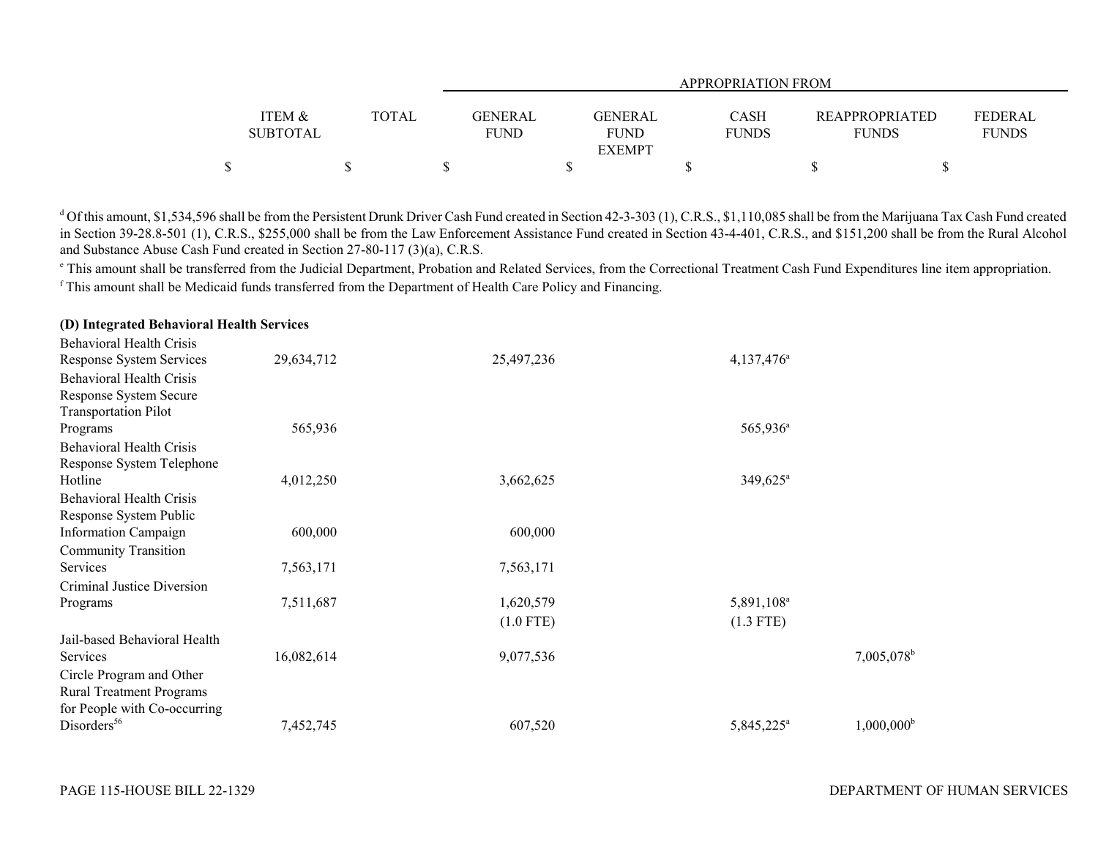|                   |              |             | APPROPRIATION FROM |              |                       |                |  |  |  |  |
|-------------------|--------------|-------------|--------------------|--------------|-----------------------|----------------|--|--|--|--|
|                   |              |             |                    |              |                       |                |  |  |  |  |
| <b>ITEM &amp;</b> | <b>TOTAL</b> | GENERAL     | GENERAL            | <b>CASH</b>  | <b>REAPPROPRIATED</b> | <b>FEDERAL</b> |  |  |  |  |
| <b>SUBTOTAL</b>   |              | <b>FUND</b> | FUND               | <b>FUNDS</b> | <b>FUNDS</b>          | <b>FUNDS</b>   |  |  |  |  |
|                   |              |             | <b>EXEMPT</b>      |              |                       |                |  |  |  |  |
|                   |              |             |                    |              |                       |                |  |  |  |  |

<sup>d</sup> Of this amount, \$1,534,596 shall be from the Persistent Drunk Driver Cash Fund created in Section 42-3-303 (1), C.R.S., \$1,110,085 shall be from the Marijuana Tax Cash Fund created in Section 39-28.8-501 (1), C.R.S., \$255,000 shall be from the Law Enforcement Assistance Fund created in Section 43-4-401, C.R.S., and \$151,200 shall be from the Rural Alcohol and Substance Abuse Cash Fund created in Section 27-80-117 (3)(a), C.R.S.

<sup>e</sup> This amount shall be transferred from the Judicial Department, Probation and Related Services, from the Correctional Treatment Cash Fund Expenditures line item appropriation. f This amount shall be Medicaid funds transferred from the Department of Health Care Policy and Financing.

| <b>Behavioral Health Crisis</b> |            |             |                        |                          |
|---------------------------------|------------|-------------|------------------------|--------------------------|
| Response System Services        | 29,634,712 | 25,497,236  | 4,137,476 <sup>a</sup> |                          |
| <b>Behavioral Health Crisis</b> |            |             |                        |                          |
| Response System Secure          |            |             |                        |                          |
| <b>Transportation Pilot</b>     |            |             |                        |                          |
| Programs                        | 565,936    |             | 565,936 <sup>a</sup>   |                          |
| <b>Behavioral Health Crisis</b> |            |             |                        |                          |
| Response System Telephone       |            |             |                        |                          |
| Hotline                         | 4,012,250  | 3,662,625   | 349,625 <sup>a</sup>   |                          |
| <b>Behavioral Health Crisis</b> |            |             |                        |                          |
| Response System Public          |            |             |                        |                          |
| <b>Information Campaign</b>     | 600,000    | 600,000     |                        |                          |
| <b>Community Transition</b>     |            |             |                        |                          |
| Services                        | 7,563,171  | 7,563,171   |                        |                          |
| Criminal Justice Diversion      |            |             |                        |                          |
| Programs                        | 7,511,687  | 1,620,579   | 5,891,108 <sup>a</sup> |                          |
|                                 |            | $(1.0$ FTE) | $(1.3$ FTE)            |                          |
| Jail-based Behavioral Health    |            |             |                        |                          |
| Services                        | 16,082,614 | 9,077,536   |                        | $7,005,078$ <sup>b</sup> |
| Circle Program and Other        |            |             |                        |                          |
| <b>Rural Treatment Programs</b> |            |             |                        |                          |
| for People with Co-occurring    |            |             |                        |                          |
| Disorders <sup>56</sup>         | 7,452,745  | 607,520     | 5,845,225 <sup>a</sup> | $1,000,000^{\rm b}$      |

#### **(D) Integrated Behavioral Health Services**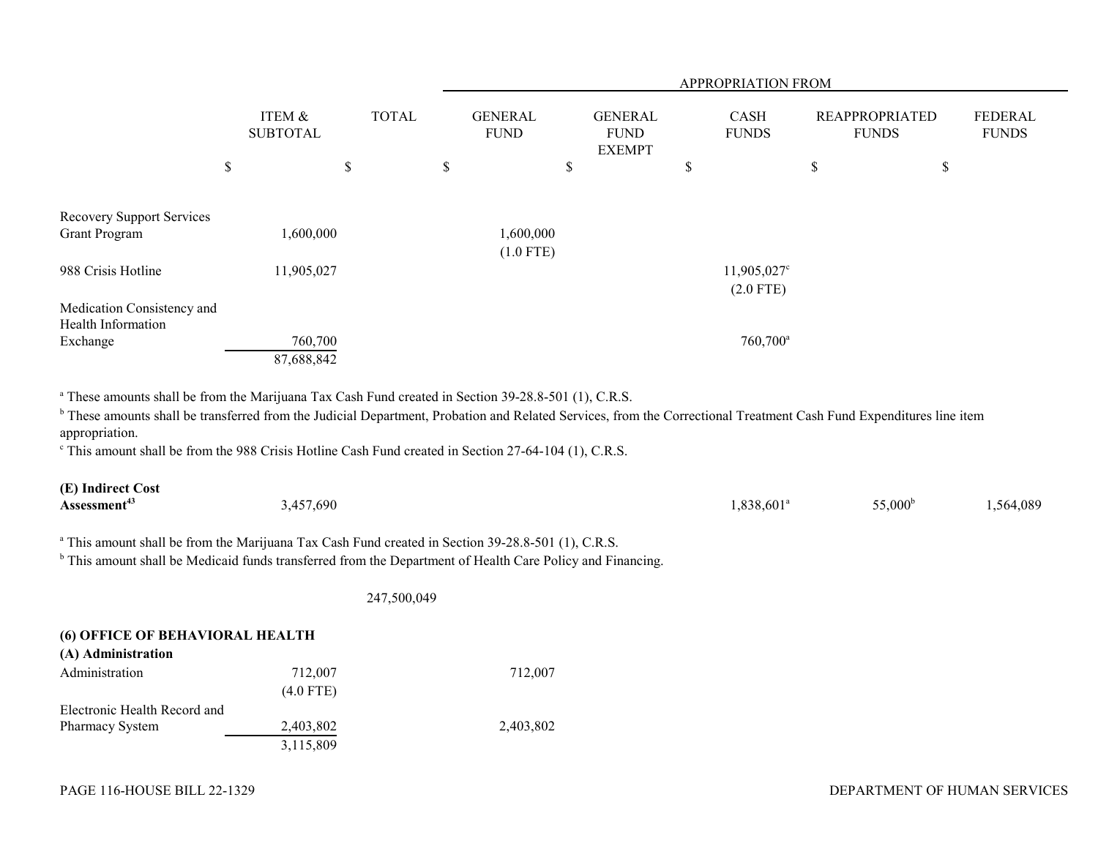|                                                                                                                                                                                                  |                                           |  | APPROPRIATION FROM            |             |                                                |  |    |                             |    |                                       |    |                                |
|--------------------------------------------------------------------------------------------------------------------------------------------------------------------------------------------------|-------------------------------------------|--|-------------------------------|-------------|------------------------------------------------|--|----|-----------------------------|----|---------------------------------------|----|--------------------------------|
|                                                                                                                                                                                                  | ITEM &<br><b>TOTAL</b><br><b>SUBTOTAL</b> |  | <b>GENERAL</b><br><b>FUND</b> |             | <b>GENERAL</b><br><b>FUND</b><br><b>EXEMPT</b> |  |    | <b>CASH</b><br><b>FUNDS</b> |    | <b>REAPPROPRIATED</b><br><b>FUNDS</b> |    | <b>FEDERAL</b><br><b>FUNDS</b> |
|                                                                                                                                                                                                  | \$<br>\$                                  |  | \$                            |             | \$                                             |  | \$ |                             | \$ |                                       | \$ |                                |
|                                                                                                                                                                                                  |                                           |  |                               |             |                                                |  |    |                             |    |                                       |    |                                |
| <b>Recovery Support Services</b>                                                                                                                                                                 |                                           |  |                               |             |                                                |  |    |                             |    |                                       |    |                                |
| <b>Grant Program</b>                                                                                                                                                                             | ,600,000                                  |  |                               | 1,600,000   |                                                |  |    |                             |    |                                       |    |                                |
|                                                                                                                                                                                                  |                                           |  |                               | $(1.0$ FTE) |                                                |  |    |                             |    |                                       |    |                                |
| 988 Crisis Hotline                                                                                                                                                                               | 11,905,027                                |  |                               |             |                                                |  |    | $11,905,027^{\circ}$        |    |                                       |    |                                |
|                                                                                                                                                                                                  |                                           |  |                               |             |                                                |  |    | $(2.0$ FTE)                 |    |                                       |    |                                |
| Medication Consistency and                                                                                                                                                                       |                                           |  |                               |             |                                                |  |    |                             |    |                                       |    |                                |
| Health Information                                                                                                                                                                               |                                           |  |                               |             |                                                |  |    |                             |    |                                       |    |                                |
| Exchange                                                                                                                                                                                         | 760,700                                   |  |                               |             |                                                |  |    | 760,700 <sup>a</sup>        |    |                                       |    |                                |
|                                                                                                                                                                                                  | 87,688,842                                |  |                               |             |                                                |  |    |                             |    |                                       |    |                                |
|                                                                                                                                                                                                  |                                           |  |                               |             |                                                |  |    |                             |    |                                       |    |                                |
| <sup>a</sup> These amounts shall be from the Marijuana Tax Cash Fund created in Section 39-28.8-501 (1), C.R.S.                                                                                  |                                           |  |                               |             |                                                |  |    |                             |    |                                       |    |                                |
| <sup>b</sup> These amounts shall be transferred from the Judicial Department, Probation and Related Services, from the Correctional Treatment Cash Fund Expenditures line item<br>appropriation. |                                           |  |                               |             |                                                |  |    |                             |    |                                       |    |                                |

c This amount shall be from the 988 Crisis Hotline Cash Fund created in Section 27-64-104 (1), C.R.S.

| (E) Indirect Cost        |           |                        |                  |           |
|--------------------------|-----------|------------------------|------------------|-----------|
| Assessment <sup>43</sup> | 3,457,690 | 1,838,601 <sup>a</sup> | $55,000^{\rm b}$ | 1,564,089 |

<sup>a</sup> This amount shall be from the Marijuana Tax Cash Fund created in Section 39-28.8-501 (1), C.R.S.

<sup>b</sup> This amount shall be Medicaid funds transferred from the Department of Health Care Policy and Financing.

247,500,049

| <b>(6) OFFICE OF BEHAVIORAL HEALTH</b> |             |           |  |  |  |  |
|----------------------------------------|-------------|-----------|--|--|--|--|
| (A) Administration                     |             |           |  |  |  |  |
| Administration                         | 712,007     | 712,007   |  |  |  |  |
|                                        | $(4.0$ FTE) |           |  |  |  |  |
| Electronic Health Record and           |             |           |  |  |  |  |
| <b>Pharmacy System</b>                 | 2,403,802   | 2,403,802 |  |  |  |  |
|                                        | 3,115,809   |           |  |  |  |  |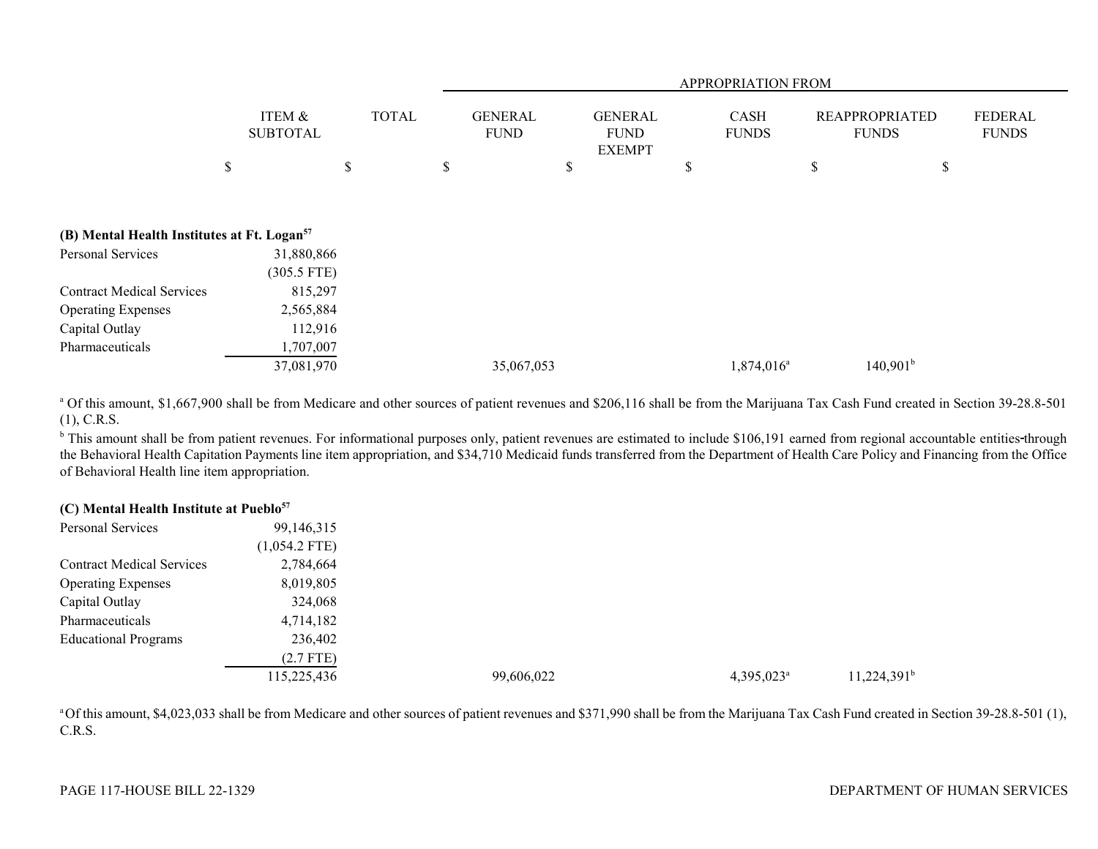|                                                         |                             | <b>APPROPRIATION FROM</b> |    |                               |    |                                                |    |                             |                                       |                                |
|---------------------------------------------------------|-----------------------------|---------------------------|----|-------------------------------|----|------------------------------------------------|----|-----------------------------|---------------------------------------|--------------------------------|
|                                                         | ITEM &<br><b>SUBTOTAL</b>   | <b>TOTAL</b>              |    | <b>GENERAL</b><br><b>FUND</b> |    | <b>GENERAL</b><br><b>FUND</b><br><b>EXEMPT</b> |    | <b>CASH</b><br><b>FUNDS</b> | <b>REAPPROPRIATED</b><br><b>FUNDS</b> | <b>FEDERAL</b><br><b>FUNDS</b> |
|                                                         | \$                          | \$                        | \$ |                               | \$ |                                                | \$ |                             | \$                                    | \$                             |
| (B) Mental Health Institutes at Ft. Logan <sup>57</sup> |                             |                           |    |                               |    |                                                |    |                             |                                       |                                |
| Personal Services                                       | 31,880,866<br>$(305.5$ FTE) |                           |    |                               |    |                                                |    |                             |                                       |                                |
| <b>Contract Medical Services</b>                        | 815,297                     |                           |    |                               |    |                                                |    |                             |                                       |                                |
| <b>Operating Expenses</b>                               | 2,565,884                   |                           |    |                               |    |                                                |    |                             |                                       |                                |
| Capital Outlay                                          | 112,916                     |                           |    |                               |    |                                                |    |                             |                                       |                                |
| Pharmaceuticals                                         | 1,707,007                   |                           |    |                               |    |                                                |    |                             |                                       |                                |
|                                                         | 37,081,970                  |                           |    | 35,067,053                    |    |                                                |    | 1,874,016 <sup>a</sup>      | 140,901 <sup>b</sup>                  |                                |

<sup>a</sup> Of this amount, \$1,667,900 shall be from Medicare and other sources of patient revenues and \$206,116 shall be from the Marijuana Tax Cash Fund created in Section 39-28.8-501 (1), C.R.S.

<sup>b</sup> This amount shall be from patient revenues. For informational purposes only, patient revenues are estimated to include \$106,191 earned from regional accountable entities-through the Behavioral Health Capitation Payments line item appropriation, and \$34,710 Medicaid funds transferred from the Department of Health Care Policy and Financing from the Office of Behavioral Health line item appropriation.

# **(C) Mental Health Institute at Pueblo<sup>57</sup>**

| Personal Services                | 99,146,315      |            |                     |                |
|----------------------------------|-----------------|------------|---------------------|----------------|
|                                  | $(1,054.2$ FTE) |            |                     |                |
| <b>Contract Medical Services</b> | 2,784,664       |            |                     |                |
| <b>Operating Expenses</b>        | 8,019,805       |            |                     |                |
| Capital Outlay                   | 324,068         |            |                     |                |
| Pharmaceuticals                  | 4,714,182       |            |                     |                |
| <b>Educational Programs</b>      | 236,402         |            |                     |                |
|                                  | $(2.7$ FTE)     |            |                     |                |
|                                  | 115,225,436     | 99,606,022 | $4,395,023^{\circ}$ | $11,224,391^b$ |

<sup>a</sup> Of this amount, \$4,023,033 shall be from Medicare and other sources of patient revenues and \$371,990 shall be from the Marijuana Tax Cash Fund created in Section 39-28.8-501 (1), C.R.S.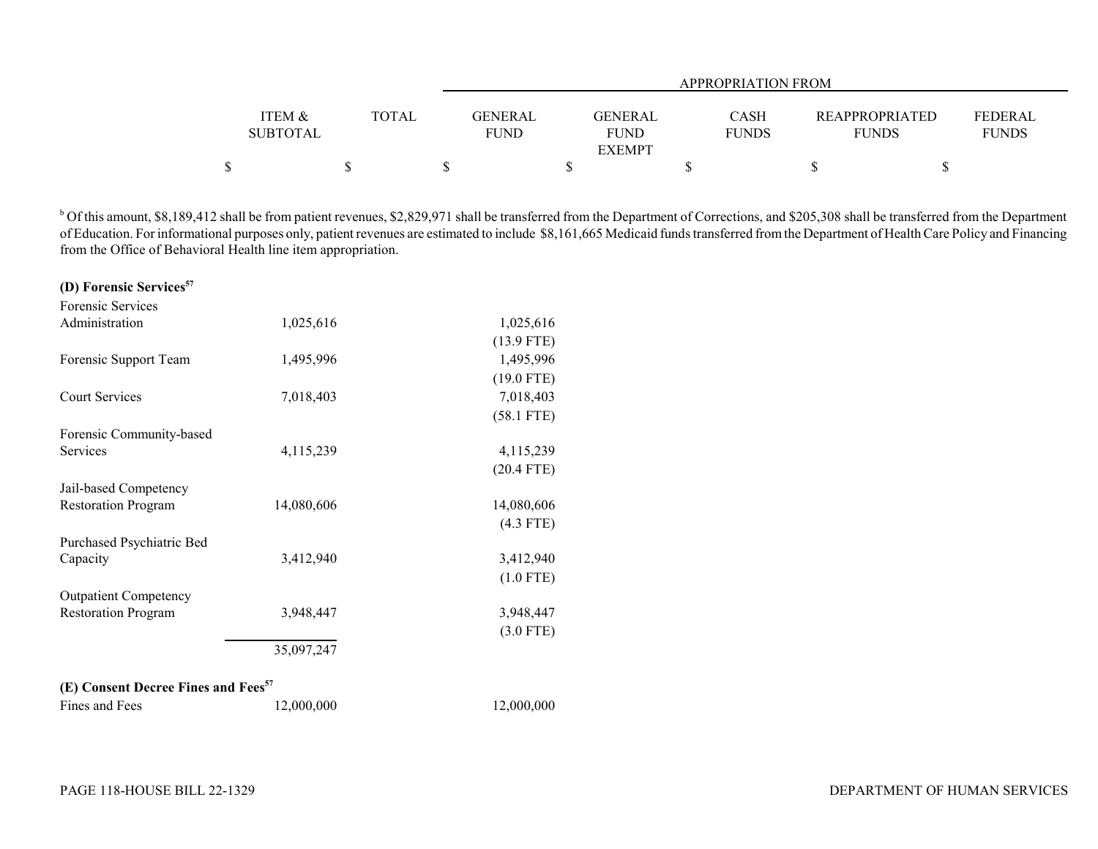|                 |              |             | APPROPRIATION FROM |              |                       |              |  |  |  |  |
|-----------------|--------------|-------------|--------------------|--------------|-----------------------|--------------|--|--|--|--|
|                 |              |             |                    |              |                       |              |  |  |  |  |
| ITEM &          | <b>TOTAL</b> | GENERAL     | GENERAL            | <b>CASH</b>  | <b>REAPPROPRIATED</b> | FEDERAL      |  |  |  |  |
| <b>SUBTOTAL</b> |              | <b>FUND</b> | <b>FUND</b>        | <b>FUNDS</b> | <b>FUNDS</b>          | <b>FUNDS</b> |  |  |  |  |
|                 |              |             | <b>EXEMPT</b>      |              |                       |              |  |  |  |  |
| \$              |              |             |                    |              |                       |              |  |  |  |  |

<sup>b</sup> Of this amount, \$8,189,412 shall be from patient revenues, \$2,829,971 shall be transferred from the Department of Corrections, and \$205,308 shall be transferred from the Department of Education. For informational purposes only, patient revenues are estimated to include \$8,161,665 Medicaid funds transferred from the Department of Health Care Policy and Financing from the Office of Behavioral Health line item appropriation.

| (D) Forensic Services <sup>57</sup> |            |              |
|-------------------------------------|------------|--------------|
| Forensic Services                   |            |              |
| Administration                      | 1,025,616  | 1,025,616    |
|                                     |            | $(13.9$ FTE) |
| Forensic Support Team               | 1,495,996  | 1,495,996    |
|                                     |            | $(19.0$ FTE) |
| <b>Court Services</b>               | 7,018,403  | 7,018,403    |
|                                     |            | $(58.1$ FTE) |
| Forensic Community-based            |            |              |
| Services                            | 4,115,239  | 4, 115, 239  |
|                                     |            | $(20.4$ FTE) |
| Jail-based Competency               |            |              |
| <b>Restoration Program</b>          | 14,080,606 | 14,080,606   |
|                                     |            | $(4.3$ FTE)  |
| Purchased Psychiatric Bed           |            |              |
| Capacity                            | 3,412,940  | 3,412,940    |
|                                     |            | $(1.0$ FTE)  |
| <b>Outpatient Competency</b>        |            |              |
| <b>Restoration Program</b>          | 3,948,447  | 3,948,447    |
|                                     |            | $(3.0$ FTE)  |
|                                     | 35,097,247 |              |
|                                     |            |              |

# **(E) Consent Decree Fines and Fees<sup>57</sup>**

| Fines and Fees | 12,000,000 | 12,000,000 |
|----------------|------------|------------|
|----------------|------------|------------|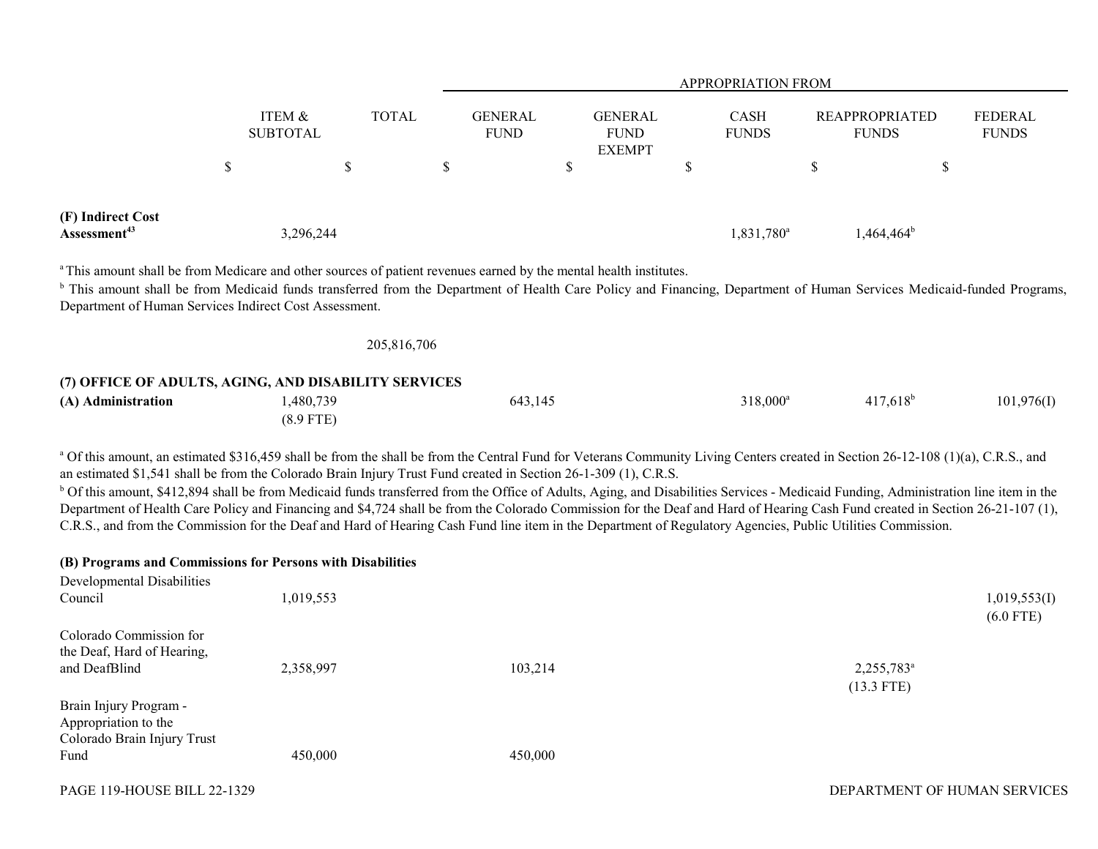|                                                        |                                      |              |                                                                                                                               | APPROPRIATION FROM                             |                             |                                                                                                                                                                                   |                                |  |  |
|--------------------------------------------------------|--------------------------------------|--------------|-------------------------------------------------------------------------------------------------------------------------------|------------------------------------------------|-----------------------------|-----------------------------------------------------------------------------------------------------------------------------------------------------------------------------------|--------------------------------|--|--|
|                                                        | <b>ITEM &amp;</b><br><b>SUBTOTAL</b> | <b>TOTAL</b> | <b>GENERAL</b><br><b>FUND</b>                                                                                                 | <b>GENERAL</b><br><b>FUND</b><br><b>EXEMPT</b> | <b>CASH</b><br><b>FUNDS</b> | <b>REAPPROPRIATED</b><br><b>FUNDS</b>                                                                                                                                             | <b>FEDERAL</b><br><b>FUNDS</b> |  |  |
|                                                        | \$                                   | S            | D                                                                                                                             |                                                | D                           |                                                                                                                                                                                   | Φ                              |  |  |
| (F) Indirect Cost<br>Assessment <sup>43</sup>          |                                      | 3,296,244    |                                                                                                                               |                                                | 1,831,780 <sup>a</sup>      | $1,464,464^{\circ}$                                                                                                                                                               |                                |  |  |
| Department of Human Services Indirect Cost Assessment. |                                      |              | <sup>a</sup> This amount shall be from Medicare and other sources of patient revenues earned by the mental health institutes. |                                                |                             | <sup>b</sup> This amount shall be from Medicaid funds transferred from the Department of Health Care Policy and Financing, Department of Human Services Medicaid-funded Programs, |                                |  |  |

| 205,816,706 |  |  |
|-------------|--|--|
|             |  |  |

# **(7) OFFICE OF ADULTS, AGING, AND DISABILITY SERVICES (A) Administration** 1,480,739 643,145 318,000<sup>a</sup> 417,618<sup>b</sup> 101,976(I) (8.9 FTE)

<sup>a</sup> Of this amount, an estimated \$316,459 shall be from the shall be from the Central Fund for Veterans Community Living Centers created in Section 26-12-108 (1)(a), C.R.S., and an estimated \$1,541 shall be from the Colorado Brain Injury Trust Fund created in Section 26-1-309 (1), C.R.S.

<sup>b</sup> Of this amount, \$412,894 shall be from Medicaid funds transferred from the Office of Adults, Aging, and Disabilities Services - Medicaid Funding, Administration line item in the Department of Health Care Policy and Financing and \$4,724 shall be from the Colorado Commission for the Deaf and Hard of Hearing Cash Fund created in Section 26-21-107 (1), C.R.S., and from the Commission for the Deaf and Hard of Hearing Cash Fund line item in the Department of Regulatory Agencies, Public Utilities Commission.

### **(B) Programs and Commissions for Persons with Disabilities**

| Developmental Disabilities<br>Council                                                 | 1,019,553 |         |                                        | 1,019,553(I)<br>$(6.0$ FTE) |
|---------------------------------------------------------------------------------------|-----------|---------|----------------------------------------|-----------------------------|
| Colorado Commission for<br>the Deaf, Hard of Hearing,<br>and DeafBlind                | 2,358,997 | 103,214 | 2,255,783 <sup>a</sup><br>$(13.3$ FTE) |                             |
| Brain Injury Program -<br>Appropriation to the<br>Colorado Brain Injury Trust<br>Fund | 450,000   | 450,000 |                                        |                             |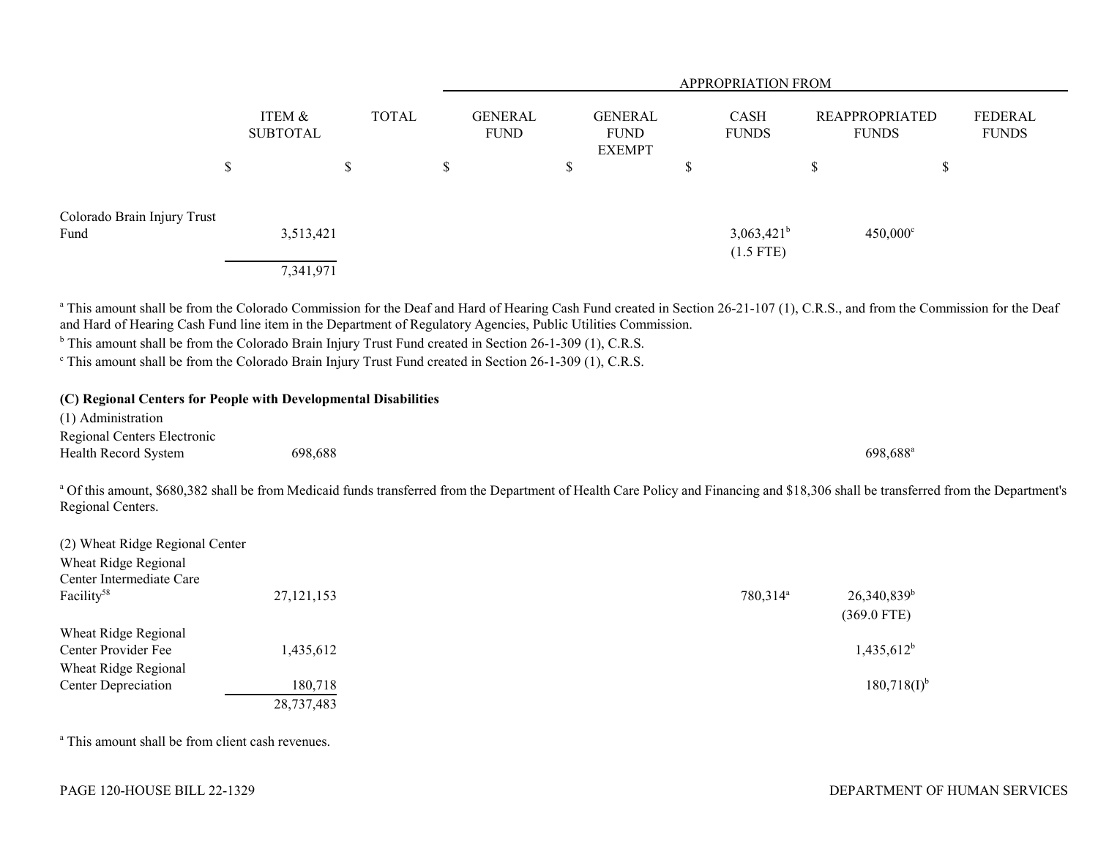|                                                                                                                                                                                                                                                                                                                                                                                                                                                                                                                                                                                                                                                                                                          |                           |              |                               |                                                | APPROPRIATION FROM           |                                                    |                                |
|----------------------------------------------------------------------------------------------------------------------------------------------------------------------------------------------------------------------------------------------------------------------------------------------------------------------------------------------------------------------------------------------------------------------------------------------------------------------------------------------------------------------------------------------------------------------------------------------------------------------------------------------------------------------------------------------------------|---------------------------|--------------|-------------------------------|------------------------------------------------|------------------------------|----------------------------------------------------|--------------------------------|
|                                                                                                                                                                                                                                                                                                                                                                                                                                                                                                                                                                                                                                                                                                          | ITEM &<br><b>SUBTOTAL</b> | <b>TOTAL</b> | <b>GENERAL</b><br><b>FUND</b> | <b>GENERAL</b><br><b>FUND</b><br><b>EXEMPT</b> | CASH<br><b>FUNDS</b>         | <b>REAPPROPRIATED</b><br><b>FUNDS</b>              | <b>FEDERAL</b><br><b>FUNDS</b> |
| $\mathbb{S}$                                                                                                                                                                                                                                                                                                                                                                                                                                                                                                                                                                                                                                                                                             |                           | $\mathbb S$  | $\mathcal{S}$                 | \$                                             | \$                           | $\mathbb S$<br>$\$$                                |                                |
| Colorado Brain Injury Trust<br>Fund                                                                                                                                                                                                                                                                                                                                                                                                                                                                                                                                                                                                                                                                      | 3,513,421<br>7,341,971    |              |                               |                                                | $3,063,421^b$<br>$(1.5$ FTE) | $450,000^{\circ}$                                  |                                |
| <sup>a</sup> This amount shall be from the Colorado Commission for the Deaf and Hard of Hearing Cash Fund created in Section 26-21-107 (1), C.R.S., and from the Commission for the Deaf<br>and Hard of Hearing Cash Fund line item in the Department of Regulatory Agencies, Public Utilities Commission.<br><sup>b</sup> This amount shall be from the Colorado Brain Injury Trust Fund created in Section 26-1-309 (1), C.R.S.<br><sup>c</sup> This amount shall be from the Colorado Brain Injury Trust Fund created in Section 26-1-309 (1), C.R.S.<br>(C) Regional Centers for People with Developmental Disabilities<br>(1) Administration<br>Regional Centers Electronic<br>Health Record System | 698,688                   |              |                               |                                                |                              | 698,688 <sup>a</sup>                               |                                |
| a Of this amount, \$680,382 shall be from Medicaid funds transferred from the Department of Health Care Policy and Financing and \$18,306 shall be transferred from the Department's<br>Regional Centers.                                                                                                                                                                                                                                                                                                                                                                                                                                                                                                |                           |              |                               |                                                |                              |                                                    |                                |
| (2) Wheat Ridge Regional Center<br>Wheat Ridge Regional<br>Center Intermediate Care<br>Facility <sup>58</sup>                                                                                                                                                                                                                                                                                                                                                                                                                                                                                                                                                                                            | 27, 121, 153              |              |                               |                                                | 780,314 <sup>a</sup>         | $26,340,839^b$                                     |                                |
| Wheat Ridge Regional<br>Center Provider Fee<br>Wheat Ridge Regional<br>Center Depreciation                                                                                                                                                                                                                                                                                                                                                                                                                                                                                                                                                                                                               | 1,435,612<br>180,718      |              |                               |                                                |                              | $(369.0$ FTE)<br>$1,435,612^b$<br>$180,718(I)^{b}$ |                                |
|                                                                                                                                                                                                                                                                                                                                                                                                                                                                                                                                                                                                                                                                                                          | 28,737,483                |              |                               |                                                |                              |                                                    |                                |

a This amount shall be from client cash revenues.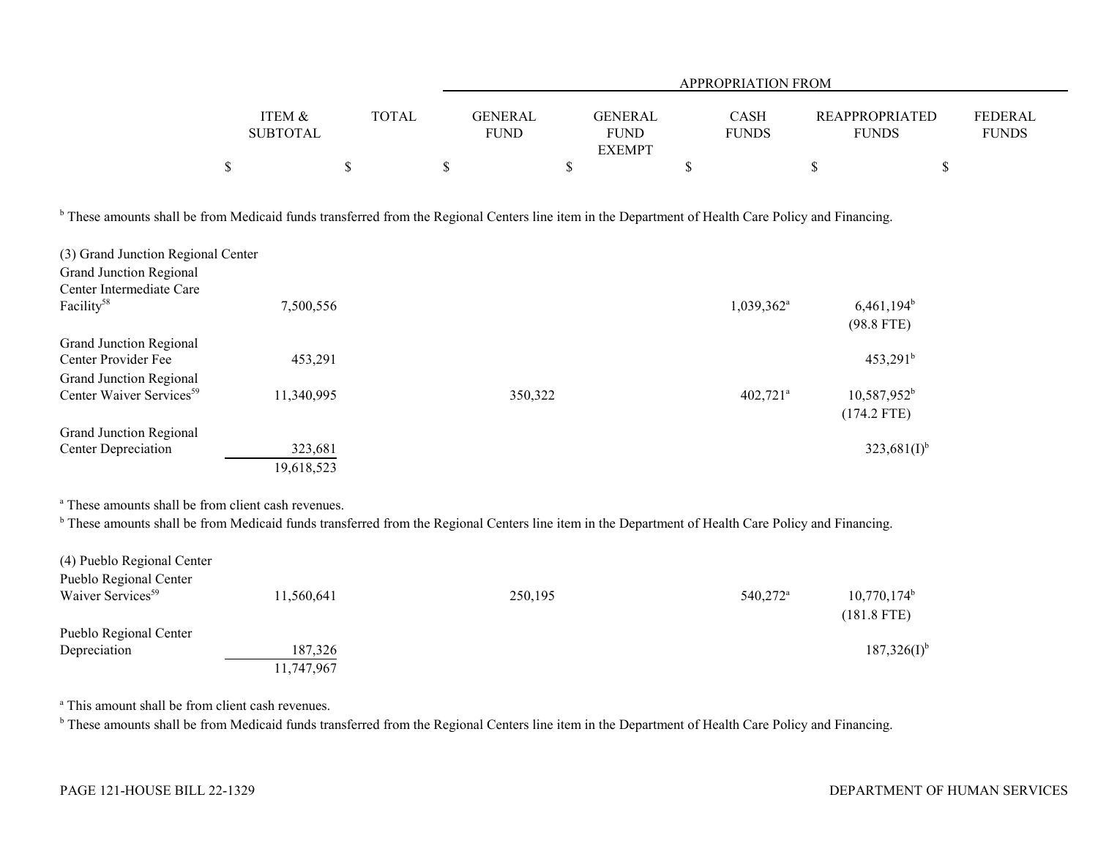|                                                                                                                                                                                                                                                                                              |                           |              |                               | APPROPRIATION FROM                             |                             |                                       |                                |  |  |  |
|----------------------------------------------------------------------------------------------------------------------------------------------------------------------------------------------------------------------------------------------------------------------------------------------|---------------------------|--------------|-------------------------------|------------------------------------------------|-----------------------------|---------------------------------------|--------------------------------|--|--|--|
|                                                                                                                                                                                                                                                                                              | ITEM &<br><b>SUBTOTAL</b> | <b>TOTAL</b> | <b>GENERAL</b><br><b>FUND</b> | <b>GENERAL</b><br><b>FUND</b><br><b>EXEMPT</b> | <b>CASH</b><br><b>FUNDS</b> | <b>REAPPROPRIATED</b><br><b>FUNDS</b> | <b>FEDERAL</b><br><b>FUNDS</b> |  |  |  |
|                                                                                                                                                                                                                                                                                              | \$                        | \$           | \$                            | \$                                             | \$                          | $\mathbb S$                           | \$                             |  |  |  |
| <sup>b</sup> These amounts shall be from Medicaid funds transferred from the Regional Centers line item in the Department of Health Care Policy and Financing.<br>(3) Grand Junction Regional Center<br><b>Grand Junction Regional</b><br>Center Intermediate Care<br>Facility <sup>58</sup> | 7,500,556                 |              |                               |                                                | $1,039,362$ <sup>a</sup>    | $6,461,194^b$<br>$(98.8$ FTE)         |                                |  |  |  |
| <b>Grand Junction Regional</b><br>Center Provider Fee<br><b>Grand Junction Regional</b>                                                                                                                                                                                                      | 453,291                   |              |                               |                                                |                             | $453,291^b$                           |                                |  |  |  |
| Center Waiver Services <sup>59</sup>                                                                                                                                                                                                                                                         | 11,340,995                |              | 350,322                       |                                                | $402,721$ <sup>a</sup>      | $10,587,952^b$<br>$(174.2$ FTE)       |                                |  |  |  |
| <b>Grand Junction Regional</b><br><b>Center Depreciation</b>                                                                                                                                                                                                                                 | 323,681<br>19,618,523     |              |                               |                                                |                             | $323,681(I)^{b}$                      |                                |  |  |  |

a These amounts shall be from client cash revenues.

<sup>b</sup> These amounts shall be from Medicaid funds transferred from the Regional Centers line item in the Department of Health Care Policy and Financing.

| (4) Pueblo Regional Center    |            |         |                      |                                 |
|-------------------------------|------------|---------|----------------------|---------------------------------|
| Pueblo Regional Center        |            |         |                      |                                 |
| Waiver Services <sup>59</sup> | 11,560,641 | 250,195 | 540,272 <sup>a</sup> | $10,770,174^b$<br>$(181.8$ FTE) |
| Pueblo Regional Center        |            |         |                      |                                 |
| Depreciation                  | 187,326    |         |                      | $187,326(I)^{6}$                |
|                               | 11,747,967 |         |                      |                                 |

a This amount shall be from client cash revenues.

<sup>b</sup> These amounts shall be from Medicaid funds transferred from the Regional Centers line item in the Department of Health Care Policy and Financing.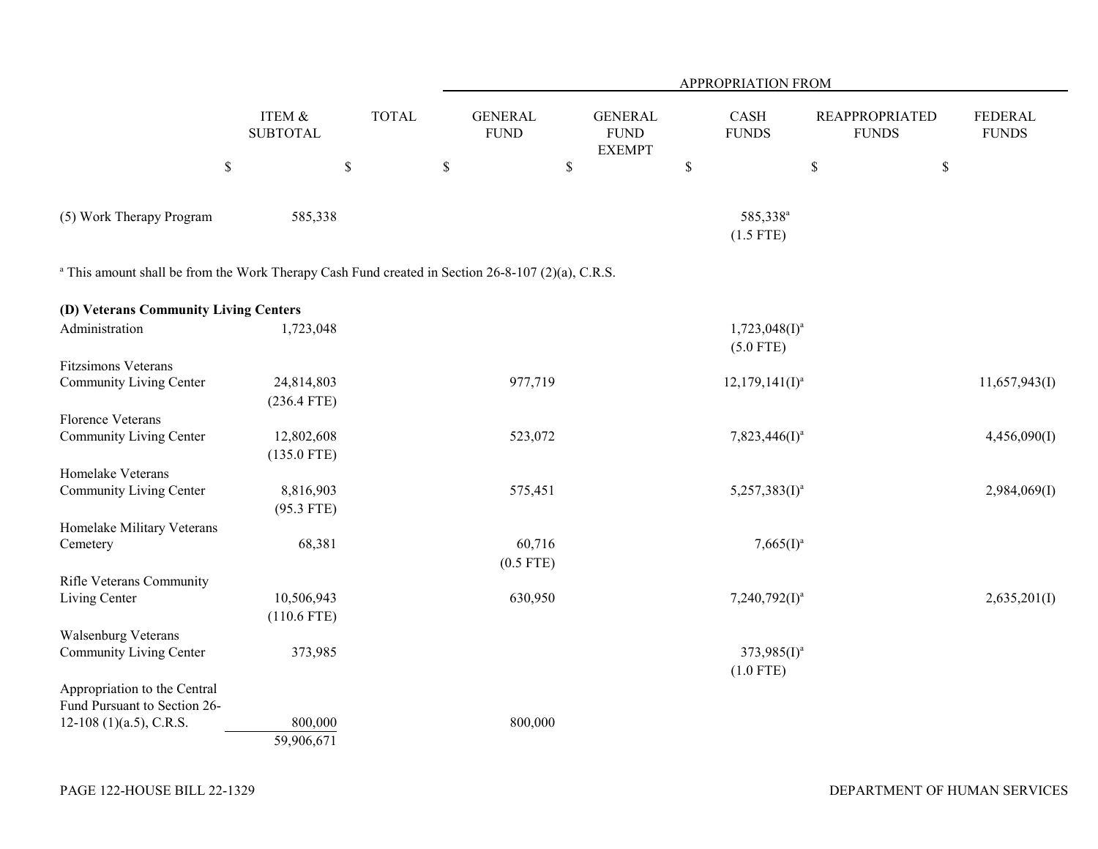|                                                                                                              |                             |              |                               |                                                | <b>APPROPRIATION FROM</b>           |                                       |                         |
|--------------------------------------------------------------------------------------------------------------|-----------------------------|--------------|-------------------------------|------------------------------------------------|-------------------------------------|---------------------------------------|-------------------------|
|                                                                                                              | ITEM &<br><b>SUBTOTAL</b>   | <b>TOTAL</b> | <b>GENERAL</b><br><b>FUND</b> | <b>GENERAL</b><br><b>FUND</b><br><b>EXEMPT</b> | CASH<br><b>FUNDS</b>                | <b>REAPPROPRIATED</b><br><b>FUNDS</b> | FEDERAL<br><b>FUNDS</b> |
|                                                                                                              | $\boldsymbol{\mathsf{S}}$   | \$           | $\mathbb{S}$                  | \$                                             | $\mathbb{S}$                        | \$<br>$\boldsymbol{\mathsf{S}}$       |                         |
| (5) Work Therapy Program                                                                                     | 585,338                     |              |                               |                                                | 585,338 <sup>a</sup><br>$(1.5$ FTE) |                                       |                         |
| <sup>a</sup> This amount shall be from the Work Therapy Cash Fund created in Section 26-8-107 (2)(a), C.R.S. |                             |              |                               |                                                |                                     |                                       |                         |
| (D) Veterans Community Living Centers                                                                        |                             |              |                               |                                                |                                     |                                       |                         |
| Administration                                                                                               | 1,723,048                   |              |                               |                                                | $1,723,048(I)^a$<br>$(5.0$ FTE)     |                                       |                         |
| Fitzsimons Veterans<br>Community Living Center                                                               | 24,814,803<br>$(236.4$ FTE) |              | 977,719                       |                                                | $12,179,141($ [J <sup>a</sup>       |                                       | 11,657,943(I)           |
| <b>Florence Veterans</b><br>Community Living Center                                                          | 12,802,608<br>$(135.0$ FTE) |              | 523,072                       |                                                | $7,823,446(I)^a$                    |                                       | 4,456,090(I)            |
| Homelake Veterans<br>Community Living Center                                                                 | 8,816,903                   |              | 575,451                       |                                                | $5,257,383(I)^a$                    |                                       | 2,984,069(I)            |
| Homelake Military Veterans                                                                                   | $(95.3$ FTE)                |              |                               |                                                |                                     |                                       |                         |
| Cemetery                                                                                                     | 68,381                      |              | 60,716<br>$(0.5$ FTE)         |                                                | $7,665(I)^a$                        |                                       |                         |
| Rifle Veterans Community<br>Living Center                                                                    | 10,506,943<br>$(110.6$ FTE) |              | 630,950                       |                                                | $7,240,792(1)^a$                    |                                       | 2,635,201(I)            |
| Walsenburg Veterans<br>Community Living Center                                                               | 373,985                     |              |                               |                                                | $373,985(I)^a$<br>$(1.0$ FTE)       |                                       |                         |
| Appropriation to the Central<br>Fund Pursuant to Section 26-<br>12-108 (1)(a.5), C.R.S.                      | 800,000                     |              | 800,000                       |                                                |                                     |                                       |                         |
|                                                                                                              | 59,906,671                  |              |                               |                                                |                                     |                                       |                         |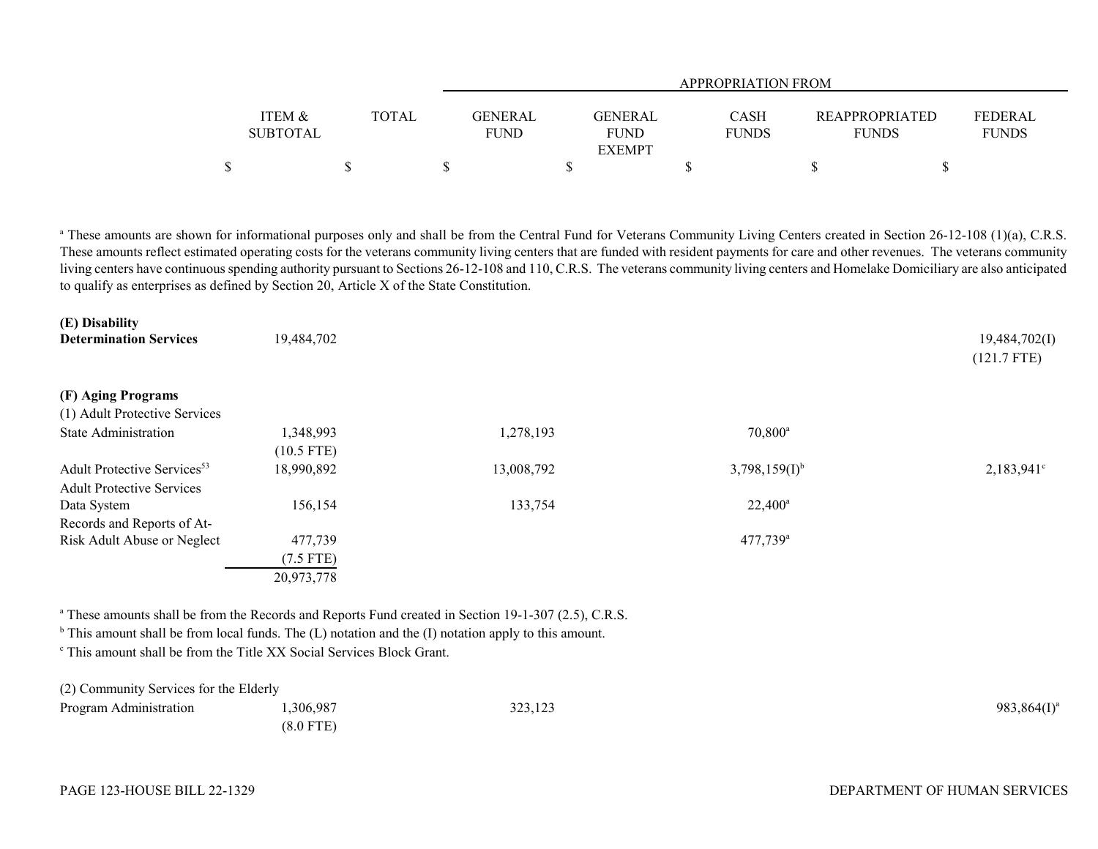|                   |              |             | <b>APPROPRIATION FROM</b> |              |                       |                |  |  |  |  |  |  |
|-------------------|--------------|-------------|---------------------------|--------------|-----------------------|----------------|--|--|--|--|--|--|
|                   |              |             |                           |              |                       |                |  |  |  |  |  |  |
| <b>ITEM &amp;</b> | <b>TOTAL</b> | GENERAL     | <b>GENERAL</b>            | CASH         | <b>REAPPROPRIATED</b> | <b>FEDERAL</b> |  |  |  |  |  |  |
| <b>SUBTOTAL</b>   |              | <b>FUND</b> | <b>FUND</b>               | <b>FUNDS</b> | <b>FUNDS</b>          | <b>FUNDS</b>   |  |  |  |  |  |  |
|                   |              |             | <b>EXEMPT</b>             |              |                       |                |  |  |  |  |  |  |
|                   |              |             |                           |              |                       |                |  |  |  |  |  |  |

<sup>a</sup> These amounts are shown for informational purposes only and shall be from the Central Fund for Veterans Community Living Centers created in Section 26-12-108 (1)(a), C.R.S. These amounts reflect estimated operating costs for the veterans community living centers that are funded with resident payments for care and other revenues. The veterans community living centers have continuous spending authority pursuant to Sections 26-12-108 and 110, C.R.S. The veterans community living centers and Homelake Domiciliary are also anticipated to qualify as enterprises as defined by Section 20, Article X of the State Constitution.

| (E) Disability<br><b>Determination Services</b> | 19,484,702   |            |                        | 19,484,702(I)<br>$(121.7$ FTE) |
|-------------------------------------------------|--------------|------------|------------------------|--------------------------------|
| (F) Aging Programs                              |              |            |                        |                                |
| (1) Adult Protective Services                   |              |            |                        |                                |
| <b>State Administration</b>                     | 1,348,993    | 1,278,193  | $70,800^{\circ}$       |                                |
|                                                 | $(10.5$ FTE) |            |                        |                                |
| Adult Protective Services <sup>53</sup>         | 18,990,892   | 13,008,792 | $3,798,159(1)^{b}$     | $2,183,941^{\circ}$            |
| <b>Adult Protective Services</b>                |              |            |                        |                                |
| Data System                                     | 156,154      | 133,754    | $22,400^{\circ}$       |                                |
| Records and Reports of At-                      |              |            |                        |                                |
| Risk Adult Abuse or Neglect                     | 477,739      |            | $477,739$ <sup>a</sup> |                                |
|                                                 | $(7.5$ FTE)  |            |                        |                                |
|                                                 | 20,973,778   |            |                        |                                |

<sup>a</sup> These amounts shall be from the Records and Reports Fund created in Section 19-1-307 (2.5), C.R.S.

 $<sup>b</sup>$  This amount shall be from local funds. The (L) notation and the (I) notation apply to this amount.</sup>

c This amount shall be from the Title XX Social Services Block Grant.

| (2) Community Services for the Elderly |             |         |                |
|----------------------------------------|-------------|---------|----------------|
| Program Administration                 | ,306,987    | 323,123 | $983,864(I)^a$ |
|                                        | $(8.0$ FTE) |         |                |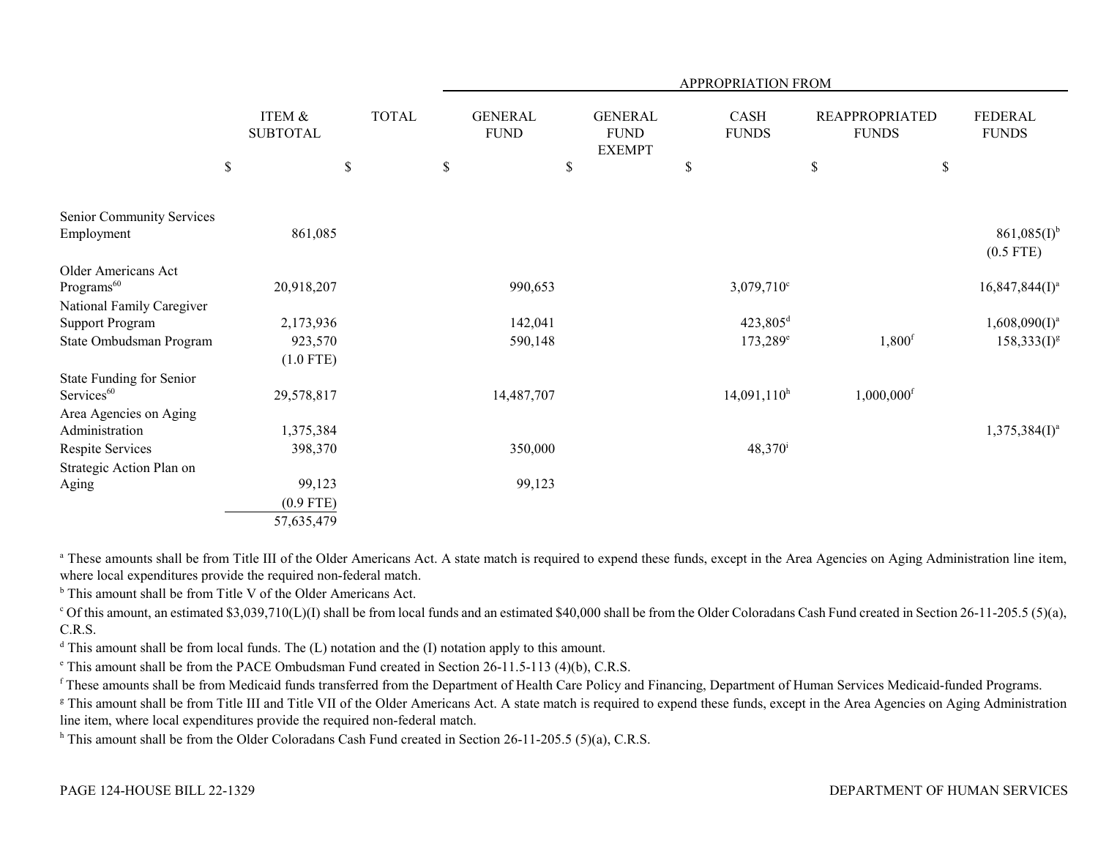|                           |                           |              |             |                               |                                                | APPROPRIATION FROM          |                                       |                                 |
|---------------------------|---------------------------|--------------|-------------|-------------------------------|------------------------------------------------|-----------------------------|---------------------------------------|---------------------------------|
|                           | ITEM &<br><b>SUBTOTAL</b> | <b>TOTAL</b> |             | <b>GENERAL</b><br><b>FUND</b> | <b>GENERAL</b><br><b>FUND</b><br><b>EXEMPT</b> | <b>CASH</b><br><b>FUNDS</b> | <b>REAPPROPRIATED</b><br><b>FUNDS</b> | <b>FEDERAL</b><br><b>FUNDS</b>  |
|                           | \$                        | \$           | $\mathbb S$ |                               | \$                                             | \$                          | \$                                    | \$                              |
| Senior Community Services |                           |              |             |                               |                                                |                             |                                       |                                 |
| Employment                | 861,085                   |              |             |                               |                                                |                             |                                       | $861,085(I)^{b}$<br>$(0.5$ FTE) |
| Older Americans Act       |                           |              |             |                               |                                                |                             |                                       |                                 |
| Programs <sup>60</sup>    | 20,918,207                |              |             | 990,653                       |                                                | 3,079,710°                  |                                       | $16,847,844(I)^a$               |
| National Family Caregiver |                           |              |             |                               |                                                |                             |                                       |                                 |
| <b>Support Program</b>    | 2,173,936                 |              |             | 142,041                       |                                                | 423,805 <sup>d</sup>        |                                       | $1,608,090(1)^a$                |
| State Ombudsman Program   | 923,570                   |              |             | 590,148                       |                                                | $173,289^e$                 | $1,800$ <sup>f</sup>                  | $158,333(1)^{g}$                |
|                           | $(1.0$ FTE)               |              |             |                               |                                                |                             |                                       |                                 |
| State Funding for Senior  |                           |              |             |                               |                                                |                             |                                       |                                 |
| Services <sup>60</sup>    | 29,578,817                |              |             | 14,487,707                    |                                                | $14,091,110^h$              | $1,000,000$ <sup>f</sup>              |                                 |
| Area Agencies on Aging    |                           |              |             |                               |                                                |                             |                                       |                                 |
| Administration            | 1,375,384                 |              |             |                               |                                                |                             |                                       | $1,375,384(I)^a$                |
| Respite Services          | 398,370                   |              |             | 350,000                       |                                                | $48,370^{\rm i}$            |                                       |                                 |
| Strategic Action Plan on  |                           |              |             |                               |                                                |                             |                                       |                                 |
| Aging                     | 99,123                    |              |             | 99,123                        |                                                |                             |                                       |                                 |
|                           | $(0.9$ FTE)               |              |             |                               |                                                |                             |                                       |                                 |
|                           | 57,635,479                |              |             |                               |                                                |                             |                                       |                                 |

<sup>a</sup> These amounts shall be from Title III of the Older Americans Act. A state match is required to expend these funds, except in the Area Agencies on Aging Administration line item, where local expenditures provide the required non-federal match.

<sup>b</sup> This amount shall be from Title V of the Older Americans Act.

 $\degree$  Of this amount, an estimated \$3,039,710(L)(I) shall be from local funds and an estimated \$40,000 shall be from the Older Coloradans Cash Fund created in Section 26-11-205.5 (5)(a), C.R.S.

 $d$  This amount shall be from local funds. The  $(L)$  notation and the  $(I)$  notation apply to this amount.

e This amount shall be from the PACE Ombudsman Fund created in Section 26-11.5-113 (4)(b), C.R.S.

<sup>f</sup> These amounts shall be from Medicaid funds transferred from the Department of Health Care Policy and Financing, Department of Human Services Medicaid-funded Programs.

<sup>g</sup> This amount shall be from Title III and Title VII of the Older Americans Act. A state match is required to expend these funds, except in the Area Agencies on Aging Administration line item, where local expenditures provide the required non-federal match.

<sup>h</sup> This amount shall be from the Older Coloradans Cash Fund created in Section 26-11-205.5 (5)(a), C.R.S.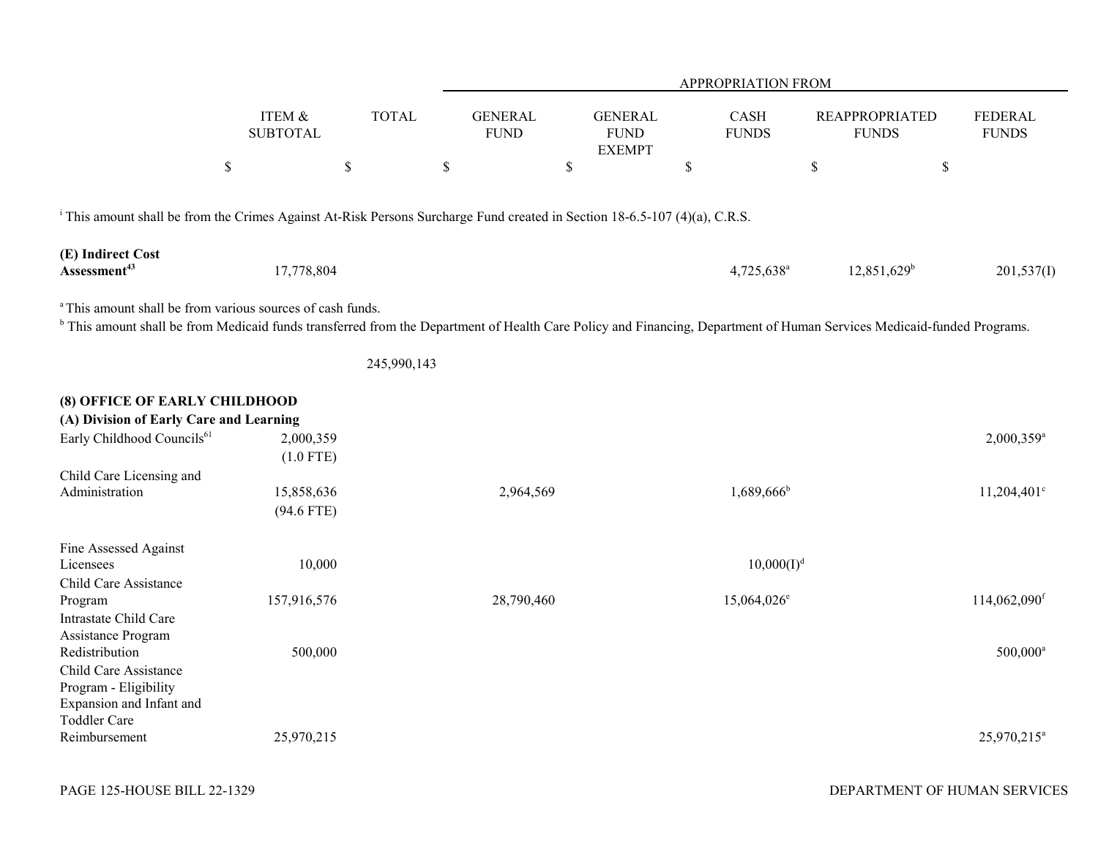|                                                                                                                                       |                            |              |                               |                                                | APPROPRIATION FROM       |                                                                                                                                                                                   |                                |
|---------------------------------------------------------------------------------------------------------------------------------------|----------------------------|--------------|-------------------------------|------------------------------------------------|--------------------------|-----------------------------------------------------------------------------------------------------------------------------------------------------------------------------------|--------------------------------|
|                                                                                                                                       | ITEM &<br><b>SUBTOTAL</b>  | <b>TOTAL</b> | <b>GENERAL</b><br><b>FUND</b> | <b>GENERAL</b><br><b>FUND</b><br><b>EXEMPT</b> | CASH<br><b>FUNDS</b>     | <b>REAPPROPRIATED</b><br><b>FUNDS</b>                                                                                                                                             | <b>FEDERAL</b><br><b>FUNDS</b> |
|                                                                                                                                       | $\mathbb S$                | $\mathbb S$  | $\mathbb S$                   | $\mathbb{S}$                                   | $\$$                     | $\mathbb{S}$                                                                                                                                                                      | \$                             |
| <sup>i</sup> This amount shall be from the Crimes Against At-Risk Persons Surcharge Fund created in Section 18-6.5-107 (4)(a), C.R.S. |                            |              |                               |                                                |                          |                                                                                                                                                                                   |                                |
| (E) Indirect Cost<br>Assessment <sup>43</sup>                                                                                         | 17,778,804                 |              |                               |                                                | 4,725,638 <sup>a</sup>   | $12,851,629$ <sup>b</sup>                                                                                                                                                         | 201,537(I)                     |
| <sup>a</sup> This amount shall be from various sources of cash funds.                                                                 |                            |              |                               |                                                |                          | <sup>b</sup> This amount shall be from Medicaid funds transferred from the Department of Health Care Policy and Financing, Department of Human Services Medicaid-funded Programs. |                                |
|                                                                                                                                       |                            | 245,990,143  |                               |                                                |                          |                                                                                                                                                                                   |                                |
| (8) OFFICE OF EARLY CHILDHOOD<br>(A) Division of Early Care and Learning                                                              |                            |              |                               |                                                |                          |                                                                                                                                                                                   |                                |
| Early Childhood Councils <sup>61</sup>                                                                                                | 2,000,359<br>$(1.0$ FTE)   |              |                               |                                                |                          |                                                                                                                                                                                   | 2,000,359 <sup>a</sup>         |
| Child Care Licensing and<br>Administration                                                                                            | 15,858,636<br>$(94.6$ FTE) |              | 2,964,569                     |                                                | $1,689,666$ <sup>b</sup> |                                                                                                                                                                                   | $11,204,401^{\circ}$           |
| Fine Assessed Against<br>Licensees<br>Child Care Assistance                                                                           | 10,000                     |              |                               |                                                |                          | $10,000(I)^d$                                                                                                                                                                     |                                |
| Program<br>Intrastate Child Care<br>Assistance Program                                                                                | 157,916,576                |              | 28,790,460                    |                                                | 15,064,026 <sup>e</sup>  |                                                                                                                                                                                   | 114,062,090 <sup>f</sup>       |
| Redistribution<br>Child Care Assistance<br>Program - Eligibility<br>Expansion and Infant and<br>Toddler Care                          | 500,000                    |              |                               |                                                |                          |                                                                                                                                                                                   | $500,000^{\rm a}$              |
| Reimbursement                                                                                                                         | 25,970,215                 |              |                               |                                                |                          |                                                                                                                                                                                   | 25,970,215 <sup>a</sup>        |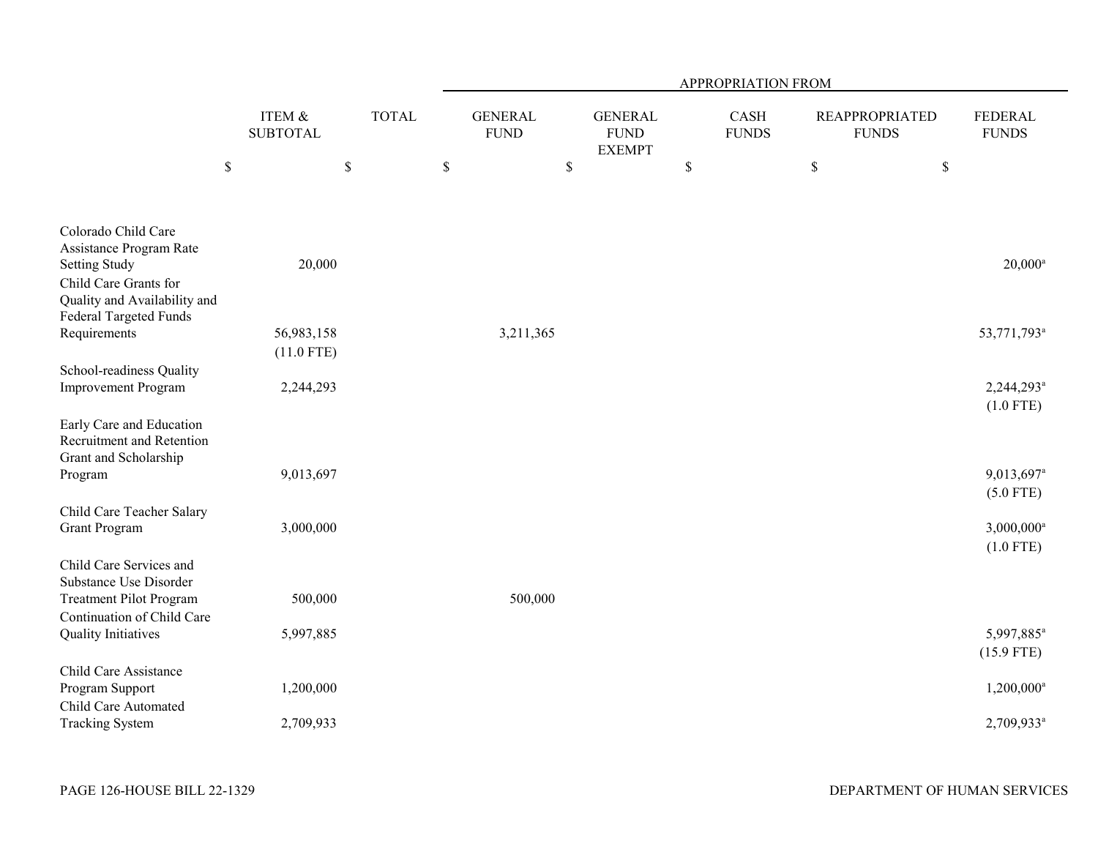|                                                                                        |                                      |              | APPROPRIATION FROM            |         |                                                |              |                      |                                       |              |                                         |  |
|----------------------------------------------------------------------------------------|--------------------------------------|--------------|-------------------------------|---------|------------------------------------------------|--------------|----------------------|---------------------------------------|--------------|-----------------------------------------|--|
|                                                                                        | <b>ITEM &amp;</b><br><b>SUBTOTAL</b> | <b>TOTAL</b> | <b>GENERAL</b><br><b>FUND</b> |         | <b>GENERAL</b><br><b>FUND</b><br><b>EXEMPT</b> |              | CASH<br><b>FUNDS</b> | <b>REAPPROPRIATED</b><br><b>FUNDS</b> |              | <b>FEDERAL</b><br><b>FUNDS</b>          |  |
|                                                                                        | $\mathbb S$                          | $\$$         | $\mathbb S$                   | $\$$    |                                                | $\mathbb{S}$ |                      | $\$$                                  | $\mathbb{S}$ |                                         |  |
| Colorado Child Care<br>Assistance Program Rate<br><b>Setting Study</b>                 | 20,000                               |              |                               |         |                                                |              |                      |                                       |              | $20,000^a$                              |  |
| Child Care Grants for<br>Quality and Availability and<br><b>Federal Targeted Funds</b> |                                      |              |                               |         |                                                |              |                      |                                       |              |                                         |  |
| Requirements                                                                           | 56,983,158<br>$(11.0$ FTE)           |              | 3,211,365                     |         |                                                |              |                      |                                       |              | 53,771,793 <sup>a</sup>                 |  |
| School-readiness Quality<br><b>Improvement Program</b>                                 | 2,244,293                            |              |                               |         |                                                |              |                      |                                       |              | 2,244,293 <sup>a</sup><br>$(1.0$ FTE)   |  |
| Early Care and Education<br>Recruitment and Retention<br>Grant and Scholarship         |                                      |              |                               |         |                                                |              |                      |                                       |              |                                         |  |
| Program                                                                                | 9,013,697                            |              |                               |         |                                                |              |                      |                                       |              | 9,013,697 <sup>a</sup><br>$(5.0$ FTE)   |  |
| Child Care Teacher Salary<br><b>Grant Program</b>                                      | 3,000,000                            |              |                               |         |                                                |              |                      |                                       |              | $3,000,000$ <sup>a</sup><br>$(1.0$ FTE) |  |
| Child Care Services and<br>Substance Use Disorder<br><b>Treatment Pilot Program</b>    | 500,000                              |              |                               | 500,000 |                                                |              |                      |                                       |              |                                         |  |
| Continuation of Child Care<br><b>Quality Initiatives</b>                               | 5,997,885                            |              |                               |         |                                                |              |                      |                                       |              | 5,997,885 <sup>a</sup>                  |  |
| Child Care Assistance<br>Program Support                                               | 1,200,000                            |              |                               |         |                                                |              |                      |                                       |              | $(15.9$ FTE)<br>1,200,000 <sup>a</sup>  |  |
| Child Care Automated<br><b>Tracking System</b>                                         | 2,709,933                            |              |                               |         |                                                |              |                      |                                       |              | 2,709,933 <sup>a</sup>                  |  |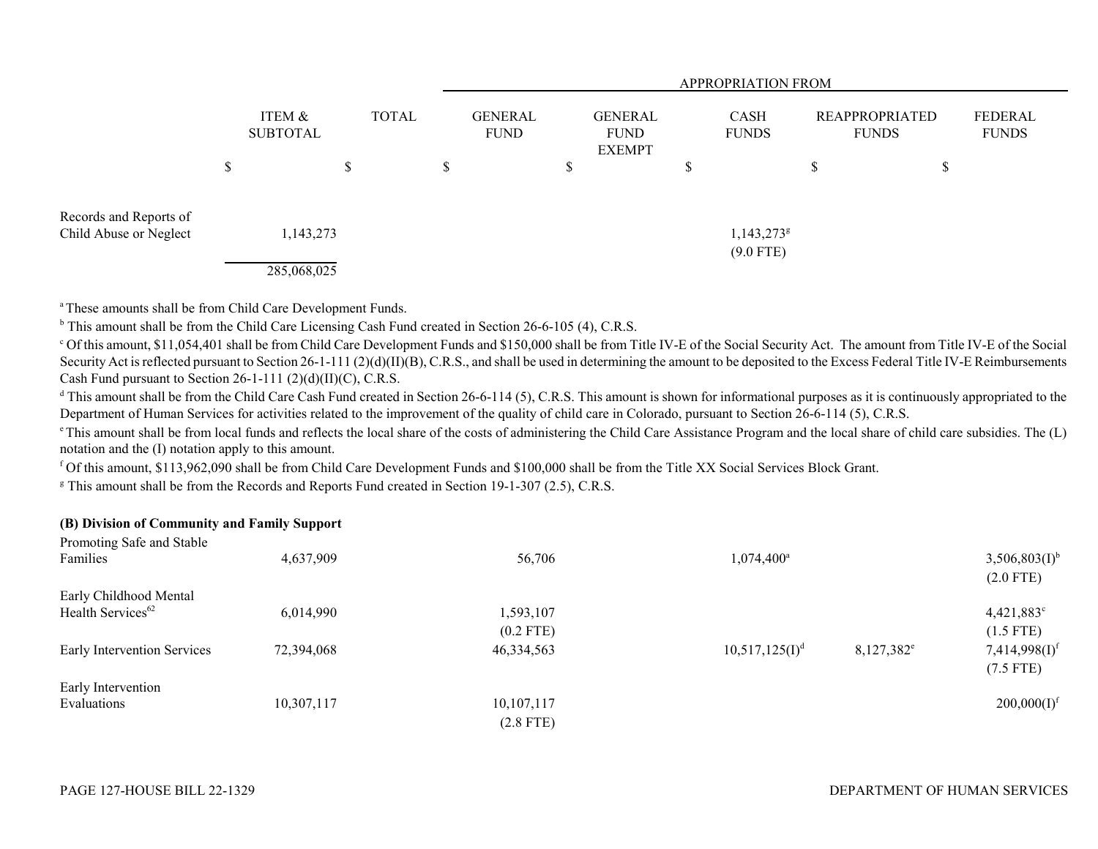|                                                  |                           |             |              |   | APPROPRIATION FROM            |   |                                                |  |                             |                                |    |                                |  |
|--------------------------------------------------|---------------------------|-------------|--------------|---|-------------------------------|---|------------------------------------------------|--|-----------------------------|--------------------------------|----|--------------------------------|--|
|                                                  | ITEM &<br><b>SUBTOTAL</b> |             | <b>TOTAL</b> |   | <b>GENERAL</b><br><b>FUND</b> |   | <b>GENERAL</b><br><b>FUND</b><br><b>EXEMPT</b> |  | <b>CASH</b><br><b>FUNDS</b> | REAPPROPRIATED<br><b>FUNDS</b> |    | <b>FEDERAL</b><br><b>FUNDS</b> |  |
|                                                  | ۰D                        |             | D            | S |                               | Φ |                                                |  |                             | \$                             | \$ |                                |  |
| Records and Reports of<br>Child Abuse or Neglect |                           | 1,143,273   |              |   |                               |   |                                                |  | $1,143,273$ <sup>g</sup>    |                                |    |                                |  |
|                                                  |                           | 285,068,025 |              |   |                               |   |                                                |  | $(9.0$ FTE)                 |                                |    |                                |  |

a These amounts shall be from Child Care Development Funds.

<sup>b</sup> This amount shall be from the Child Care Licensing Cash Fund created in Section 26-6-105 (4), C.R.S.

c Of this amount, \$11,054,401 shall be from Child Care Development Funds and \$150,000 shall be from Title IV-E of the Social Security Act. The amount from Title IV-E of the Social Security Act is reflected pursuant to Section 26-1-111 (2)(d)(II)(B), C.R.S., and shall be used in determining the amount to be deposited to the Excess Federal Title IV-E Reimbursements Cash Fund pursuant to Section 26-1-111 (2)(d)(II)(C), C.R.S.

<sup>d</sup> This amount shall be from the Child Care Cash Fund created in Section 26-6-114 (5), C.R.S. This amount is shown for informational purposes as it is continuously appropriated to the Department of Human Services for activities related to the improvement of the quality of child care in Colorado, pursuant to Section 26-6-114 (5), C.R.S.

<sup>e</sup> This amount shall be from local funds and reflects the local share of the costs of administering the Child Care Assistance Program and the local share of child care subsidies. The (L) notation and the (I) notation apply to this amount.

f Of this amount, \$113,962,090 shall be from Child Care Development Funds and \$100,000 shall be from the Title XX Social Services Block Grant.

<sup>g</sup> This amount shall be from the Records and Reports Fund created in Section 19-1-307 (2.5), C.R.S.

# **(B) Division of Community and Family Support**

| Promoting Safe and Stable     |            |              |                     |               |                             |
|-------------------------------|------------|--------------|---------------------|---------------|-----------------------------|
| Families                      | 4,637,909  | 56,706       | $1,074,400^{\circ}$ |               | $3,506,803(I)^{b}$          |
|                               |            |              |                     |               | $(2.0$ FTE)                 |
| Early Childhood Mental        |            |              |                     |               |                             |
| Health Services <sup>62</sup> | 6,014,990  | 1,593,107    |                     |               | $4,421,883$ <sup>c</sup>    |
|                               |            | $(0.2$ FTE)  |                     |               | $(1.5$ FTE)                 |
| Early Intervention Services   | 72,394,068 | 46, 334, 563 | $10,517,125(I)^d$   | $8,127,382^e$ | $7,414,998(I)$ <sup>f</sup> |
|                               |            |              |                     |               | $(7.5$ FTE)                 |
| Early Intervention            |            |              |                     |               |                             |
| Evaluations                   | 10,307,117 | 10,107,117   |                     |               | 200,000(I) <sup>f</sup>     |
|                               |            | $(2.8$ FTE)  |                     |               |                             |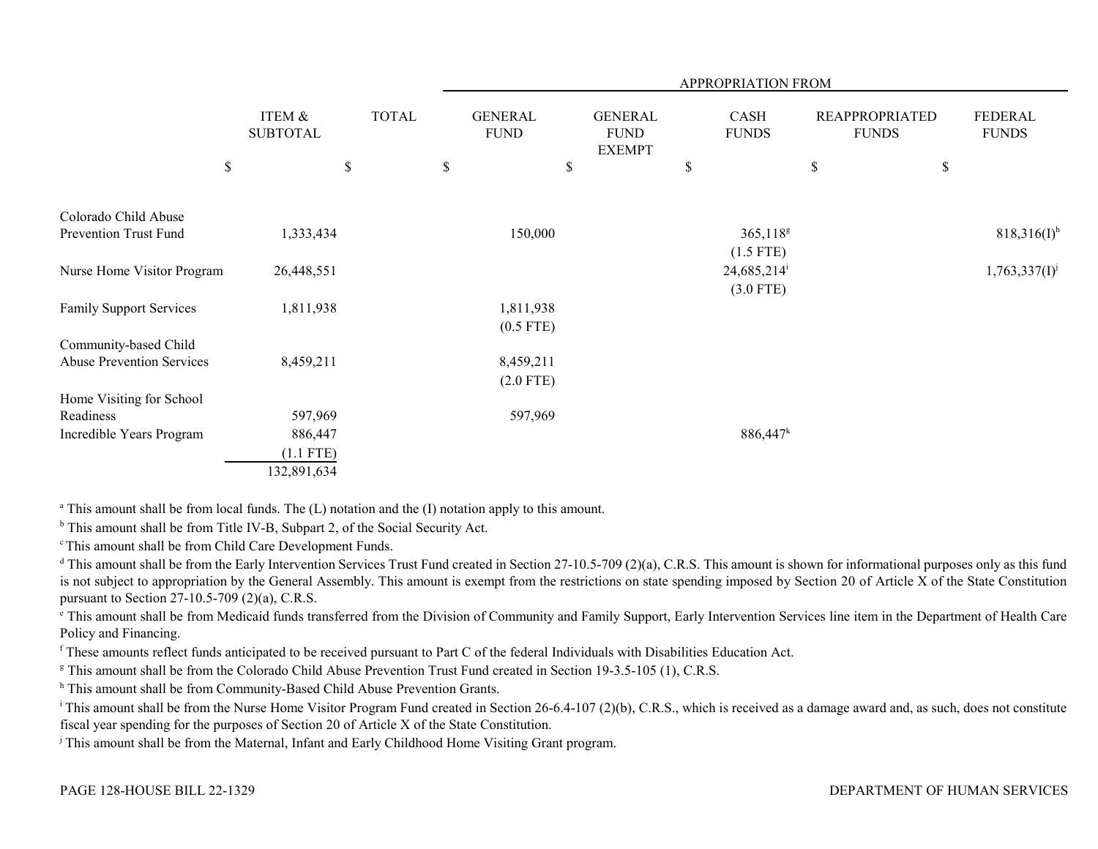|                                |                           |              |                               |                                                | APPROPRIATION FROM                       |                                       |                         |
|--------------------------------|---------------------------|--------------|-------------------------------|------------------------------------------------|------------------------------------------|---------------------------------------|-------------------------|
|                                | ITEM &<br><b>SUBTOTAL</b> | <b>TOTAL</b> | <b>GENERAL</b><br><b>FUND</b> | <b>GENERAL</b><br><b>FUND</b><br><b>EXEMPT</b> | CASH<br><b>FUNDS</b>                     | <b>REAPPROPRIATED</b><br><b>FUNDS</b> | FEDERAL<br><b>FUNDS</b> |
| \$                             |                           | $\mathbb S$  | \$                            | \$                                             | $\$$                                     | \$<br>$\mathbb S$                     |                         |
| Colorado Child Abuse           |                           |              |                               |                                                |                                          |                                       |                         |
| Prevention Trust Fund          | 1,333,434                 |              | 150,000                       |                                                | $365,118^g$<br>$(1.5$ FTE)               |                                       | $818,316(I)^h$          |
| Nurse Home Visitor Program     | 26,448,551                |              |                               |                                                | $24,685,214$ <sup>i</sup><br>$(3.0$ FTE) |                                       | $1,763,337(1)^j$        |
| <b>Family Support Services</b> | 1,811,938                 |              | 1,811,938<br>$(0.5$ FTE)      |                                                |                                          |                                       |                         |
| Community-based Child          |                           |              |                               |                                                |                                          |                                       |                         |
| Abuse Prevention Services      | 8,459,211                 |              | 8,459,211<br>$(2.0$ FTE)      |                                                |                                          |                                       |                         |
| Home Visiting for School       |                           |              |                               |                                                |                                          |                                       |                         |
| Readiness                      | 597,969                   |              | 597,969                       |                                                |                                          |                                       |                         |
| Incredible Years Program       | 886,447                   |              |                               |                                                | 886,447 <sup>k</sup>                     |                                       |                         |
|                                | $(1.1$ FTE)               |              |                               |                                                |                                          |                                       |                         |
|                                | 132,891,634               |              |                               |                                                |                                          |                                       |                         |

<sup>a</sup> This amount shall be from local funds. The (L) notation and the (I) notation apply to this amount.

<sup>b</sup> This amount shall be from Title IV-B, Subpart 2, of the Social Security Act.

c This amount shall be from Child Care Development Funds.

<sup>d</sup> This amount shall be from the Early Intervention Services Trust Fund created in Section 27-10.5-709 (2)(a), C.R.S. This amount is shown for informational purposes only as this fund is not subject to appropriation by the General Assembly. This amount is exempt from the restrictions on state spending imposed by Section 20 of Article X of the State Constitution pursuant to Section 27-10.5-709 (2)(a), C.R.S.

e This amount shall be from Medicaid funds transferred from the Division of Community and Family Support, Early Intervention Services line item in the Department of Health Care Policy and Financing.

f These amounts reflect funds anticipated to be received pursuant to Part C of the federal Individuals with Disabilities Education Act.

<sup>g</sup> This amount shall be from the Colorado Child Abuse Prevention Trust Fund created in Section 19-3.5-105 (1), C.R.S.

h This amount shall be from Community-Based Child Abuse Prevention Grants.

<sup>i</sup> This amount shall be from the Nurse Home Visitor Program Fund created in Section 26-6.4-107 (2)(b), C.R.S., which is received as a damage award and, as such, does not constitute fiscal year spending for the purposes of Section 20 of Article X of the State Constitution.

j This amount shall be from the Maternal, Infant and Early Childhood Home Visiting Grant program.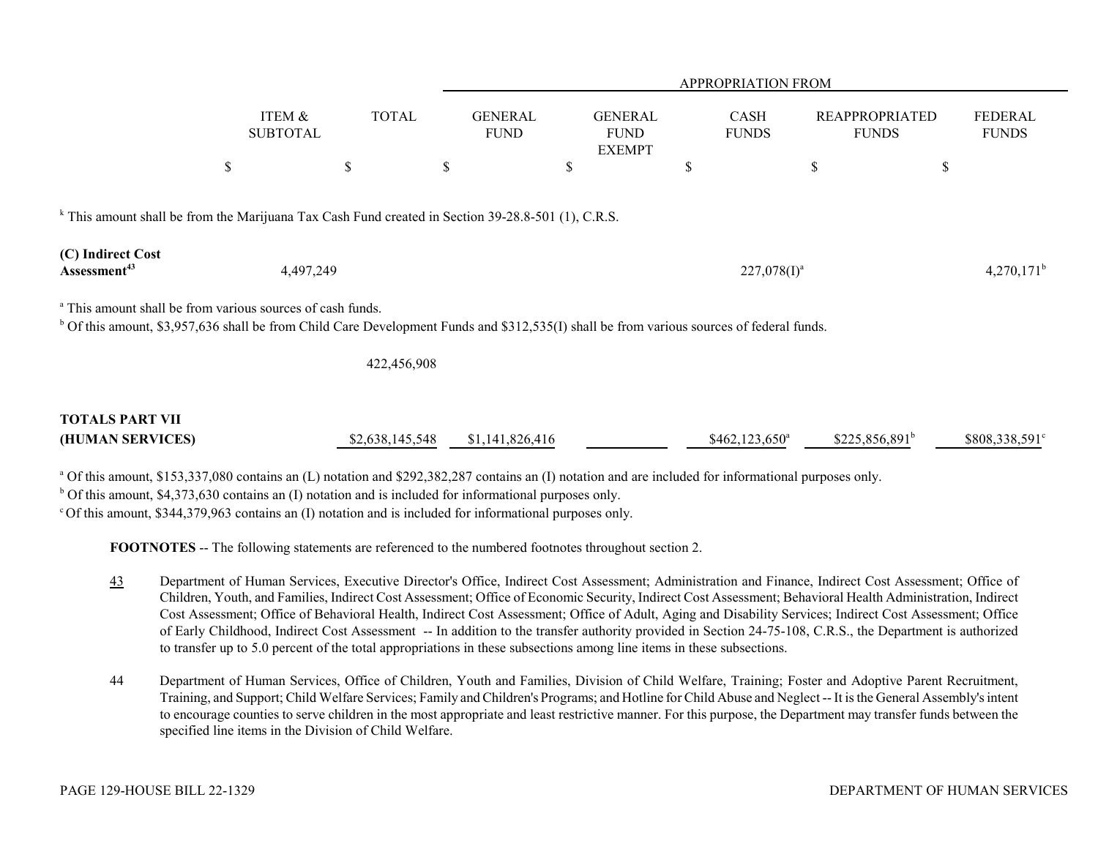|                                               |                                                                                                                                                                                                                         |                 |                               |                                                | <b>APPROPRIATION FROM</b>   |                                       |                                |
|-----------------------------------------------|-------------------------------------------------------------------------------------------------------------------------------------------------------------------------------------------------------------------------|-----------------|-------------------------------|------------------------------------------------|-----------------------------|---------------------------------------|--------------------------------|
|                                               | ITEM &<br><b>SUBTOTAL</b>                                                                                                                                                                                               | <b>TOTAL</b>    | <b>GENERAL</b><br><b>FUND</b> | <b>GENERAL</b><br><b>FUND</b><br><b>EXEMPT</b> | <b>CASH</b><br><b>FUNDS</b> | <b>REAPPROPRIATED</b><br><b>FUNDS</b> | <b>FEDERAL</b><br><b>FUNDS</b> |
|                                               | $\$$                                                                                                                                                                                                                    | \$              | \$                            | \$                                             | S                           | \$                                    | \$                             |
| (C) Indirect Cost<br>Assessment <sup>43</sup> | <sup>k</sup> This amount shall be from the Marijuana Tax Cash Fund created in Section 39-28.8-501 (1), C.R.S.<br>4,497,249                                                                                              |                 |                               |                                                | $227,078(1)^a$              |                                       | $4,270,171^{\rm b}$            |
|                                               |                                                                                                                                                                                                                         |                 |                               |                                                |                             |                                       |                                |
|                                               | <sup>a</sup> This amount shall be from various sources of cash funds.<br>$^{b}$ Of this amount, \$3,957,636 shall be from Child Care Development Funds and \$312,535(I) shall be from various sources of federal funds. |                 |                               |                                                |                             |                                       |                                |
|                                               |                                                                                                                                                                                                                         | 422,456,908     |                               |                                                |                             |                                       |                                |
| <b>TOTALS PART VII</b><br>(HUMAN SERVICES)    |                                                                                                                                                                                                                         | \$2,638,145,548 | \$1,141,826,416               |                                                | $$462,123,650^a$            | $$225,856,891^b$                      | \$808,338,591°                 |

<sup>a</sup> Of this amount, \$153,337,080 contains an (L) notation and \$292,382,287 contains an (I) notation and are included for informational purposes only.  $b$  Of this amount, \$4,373,630 contains an (I) notation and is included for informational purposes only.

 $\degree$  Of this amount, \$344,379,963 contains an (I) notation and is included for informational purposes only.

**FOOTNOTES** -- The following statements are referenced to the numbered footnotes throughout section 2.

- 43 Department of Human Services, Executive Director's Office, Indirect Cost Assessment; Administration and Finance, Indirect Cost Assessment; Office of Children, Youth, and Families, Indirect Cost Assessment; Office of Economic Security, Indirect Cost Assessment; Behavioral Health Administration, Indirect Cost Assessment; Office of Behavioral Health, Indirect Cost Assessment; Office of Adult, Aging and Disability Services; Indirect Cost Assessment; Office of Early Childhood, Indirect Cost Assessment -- In addition to the transfer authority provided in Section 24-75-108, C.R.S., the Department is authorized to transfer up to 5.0 percent of the total appropriations in these subsections among line items in these subsections.
- 44 Department of Human Services, Office of Children, Youth and Families, Division of Child Welfare, Training; Foster and Adoptive Parent Recruitment, Training, and Support; Child Welfare Services; Family and Children's Programs; and Hotline for Child Abuse and Neglect -- It is the General Assembly's intent to encourage counties to serve children in the most appropriate and least restrictive manner. For this purpose, the Department may transfer funds between the specified line items in the Division of Child Welfare.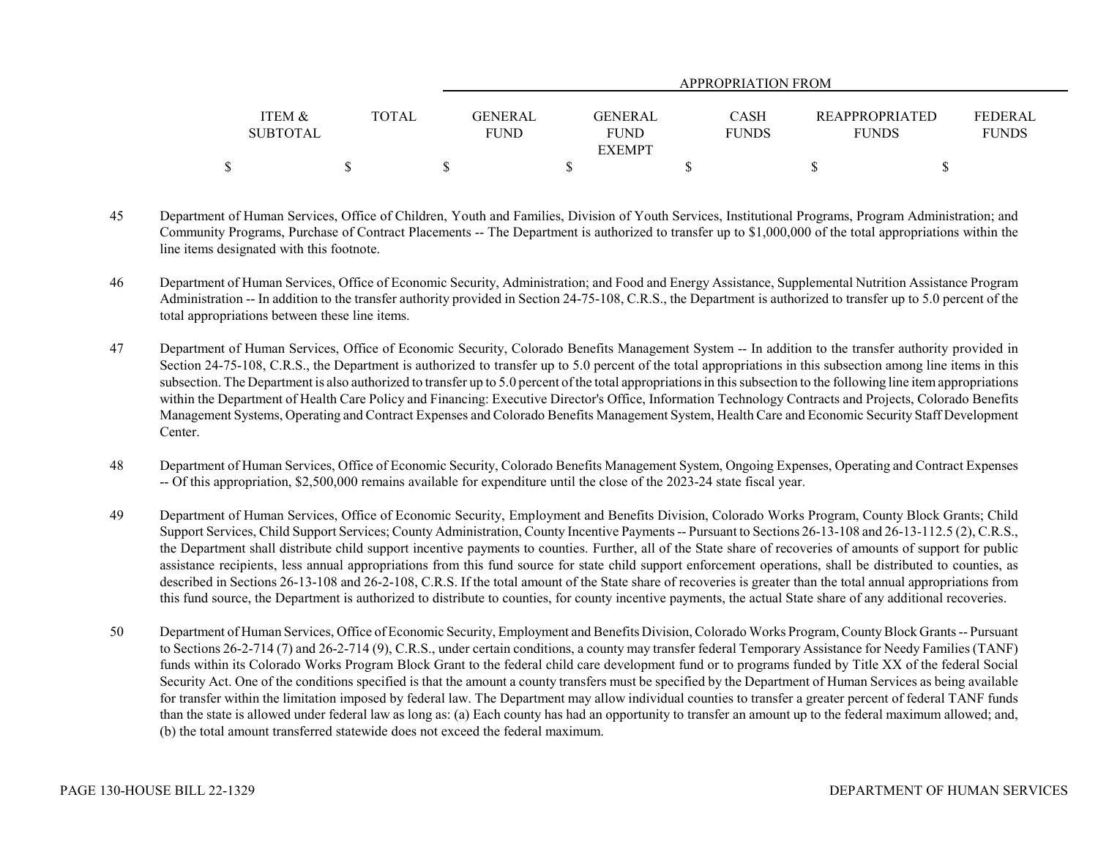|                                      |       | APPROPRIATION FROM                                                       |                             |                                       |                                |  |  |
|--------------------------------------|-------|--------------------------------------------------------------------------|-----------------------------|---------------------------------------|--------------------------------|--|--|
| <b>ITEM &amp;</b><br><b>SUBTOTAL</b> | TOTAL | GENERAL<br><b>GENERAL</b><br><b>FUND</b><br><b>FUND</b><br><b>EXEMPT</b> | <b>CASH</b><br><b>FUNDS</b> | <b>REAPPROPRIATED</b><br><b>FUNDS</b> | <b>FEDERAL</b><br><b>FUNDS</b> |  |  |
|                                      |       |                                                                          |                             |                                       |                                |  |  |

- 45 Department of Human Services, Office of Children, Youth and Families, Division of Youth Services, Institutional Programs, Program Administration; and Community Programs, Purchase of Contract Placements -- The Department is authorized to transfer up to \$1,000,000 of the total appropriations within the line items designated with this footnote.
- 46 Department of Human Services, Office of Economic Security, Administration; and Food and Energy Assistance, Supplemental Nutrition Assistance Program Administration -- In addition to the transfer authority provided in Section 24-75-108, C.R.S., the Department is authorized to transfer up to 5.0 percent of the total appropriations between these line items.
- 47 Department of Human Services, Office of Economic Security, Colorado Benefits Management System -- In addition to the transfer authority provided in Section 24-75-108, C.R.S., the Department is authorized to transfer up to 5.0 percent of the total appropriations in this subsection among line items in this subsection. The Department is also authorized to transfer up to 5.0 percent of the total appropriations in this subsection to the following line item appropriations within the Department of Health Care Policy and Financing: Executive Director's Office, Information Technology Contracts and Projects, Colorado Benefits Management Systems, Operating and Contract Expenses and Colorado Benefits Management System, Health Care and Economic Security Staff Development Center.
- 48 Department of Human Services, Office of Economic Security, Colorado Benefits Management System, Ongoing Expenses, Operating and Contract Expenses -- Of this appropriation, \$2,500,000 remains available for expenditure until the close of the 2023-24 state fiscal year.
- 49 Department of Human Services, Office of Economic Security, Employment and Benefits Division, Colorado Works Program, County Block Grants; Child Support Services, Child Support Services; County Administration, County Incentive Payments -- Pursuant to Sections 26-13-108 and 26-13-112.5 (2), C.R.S., the Department shall distribute child support incentive payments to counties. Further, all of the State share of recoveries of amounts of support for public assistance recipients, less annual appropriations from this fund source for state child support enforcement operations, shall be distributed to counties, as described in Sections 26-13-108 and 26-2-108, C.R.S. If the total amount of the State share of recoveries is greater than the total annual appropriations from this fund source, the Department is authorized to distribute to counties, for county incentive payments, the actual State share of any additional recoveries.
- 50 Department of Human Services, Office of Economic Security, Employment and Benefits Division, Colorado Works Program, County Block Grants -- Pursuant to Sections 26-2-714 (7) and 26-2-714 (9), C.R.S., under certain conditions, a county may transfer federal Temporary Assistance for Needy Families (TANF) funds within its Colorado Works Program Block Grant to the federal child care development fund or to programs funded by Title XX of the federal Social Security Act. One of the conditions specified is that the amount a county transfers must be specified by the Department of Human Services as being available for transfer within the limitation imposed by federal law. The Department may allow individual counties to transfer a greater percent of federal TANF funds than the state is allowed under federal law as long as: (a) Each county has had an opportunity to transfer an amount up to the federal maximum allowed; and, (b) the total amount transferred statewide does not exceed the federal maximum.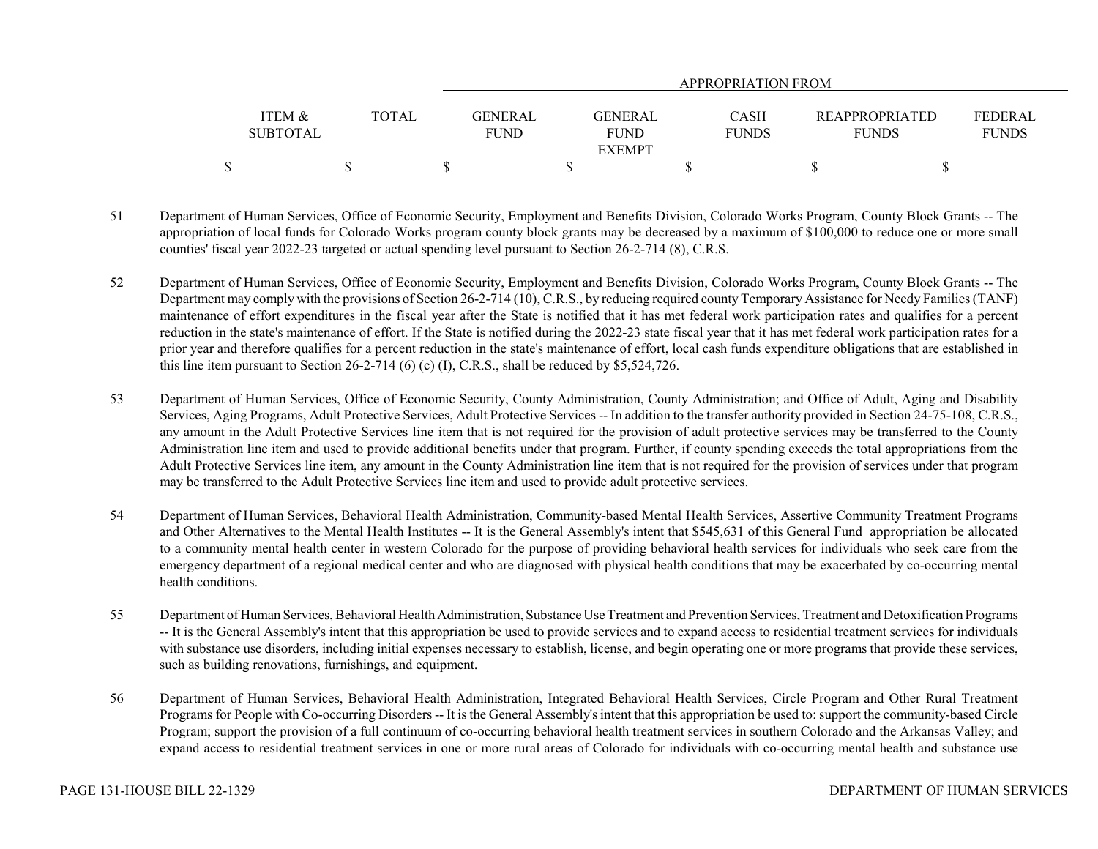|                                      |       |                               |                               | APPROPRIATION FROM          |                                       |                                |
|--------------------------------------|-------|-------------------------------|-------------------------------|-----------------------------|---------------------------------------|--------------------------------|
| <b>ITEM &amp;</b><br><b>SUBTOTAL</b> | TOTAL | <b>GENERAL</b><br><b>FUND</b> | <b>GENERAL</b><br><b>FUND</b> | <b>CASH</b><br><b>FUNDS</b> | <b>REAPPROPRIATED</b><br><b>FUNDS</b> | <b>FEDERAL</b><br><b>FUNDS</b> |
|                                      |       |                               | <b>EXEMPT</b>                 |                             |                                       |                                |
|                                      |       |                               |                               |                             |                                       |                                |

- 51 Department of Human Services, Office of Economic Security, Employment and Benefits Division, Colorado Works Program, County Block Grants -- The appropriation of local funds for Colorado Works program county block grants may be decreased by a maximum of \$100,000 to reduce one or more small counties' fiscal year 2022-23 targeted or actual spending level pursuant to Section 26-2-714 (8), C.R.S.
- 52 Department of Human Services, Office of Economic Security, Employment and Benefits Division, Colorado Works Program, County Block Grants -- The Department may comply with the provisions of Section 26-2-714 (10), C.R.S., by reducing required county Temporary Assistance for Needy Families (TANF) maintenance of effort expenditures in the fiscal year after the State is notified that it has met federal work participation rates and qualifies for a percent reduction in the state's maintenance of effort. If the State is notified during the 2022-23 state fiscal year that it has met federal work participation rates for a prior year and therefore qualifies for a percent reduction in the state's maintenance of effort, local cash funds expenditure obligations that are established in this line item pursuant to Section 26-2-714 (6) (c) (I), C.R.S., shall be reduced by \$5,524,726.
- 53 Department of Human Services, Office of Economic Security, County Administration, County Administration; and Office of Adult, Aging and Disability Services, Aging Programs, Adult Protective Services, Adult Protective Services -- In addition to the transfer authority provided in Section 24-75-108, C.R.S., any amount in the Adult Protective Services line item that is not required for the provision of adult protective services may be transferred to the County Administration line item and used to provide additional benefits under that program. Further, if county spending exceeds the total appropriations from the Adult Protective Services line item, any amount in the County Administration line item that is not required for the provision of services under that program may be transferred to the Adult Protective Services line item and used to provide adult protective services.
- 54 Department of Human Services, Behavioral Health Administration, Community-based Mental Health Services, Assertive Community Treatment Programs and Other Alternatives to the Mental Health Institutes -- It is the General Assembly's intent that \$545,631 of this General Fund appropriation be allocated to a community mental health center in western Colorado for the purpose of providing behavioral health services for individuals who seek care from the emergency department of a regional medical center and who are diagnosed with physical health conditions that may be exacerbated by co-occurring mental health conditions.
- 55 Department of Human Services, Behavioral Health Administration, Substance Use Treatment and Prevention Services, Treatment and Detoxification Programs -- It is the General Assembly's intent that this appropriation be used to provide services and to expand access to residential treatment services for individuals with substance use disorders, including initial expenses necessary to establish, license, and begin operating one or more programs that provide these services, such as building renovations, furnishings, and equipment.
- 56 Department of Human Services, Behavioral Health Administration, Integrated Behavioral Health Services, Circle Program and Other Rural Treatment Programs for People with Co-occurring Disorders -- It is the General Assembly's intent that this appropriation be used to: support the community-based Circle Program; support the provision of a full continuum of co-occurring behavioral health treatment services in southern Colorado and the Arkansas Valley; and expand access to residential treatment services in one or more rural areas of Colorado for individuals with co-occurring mental health and substance use